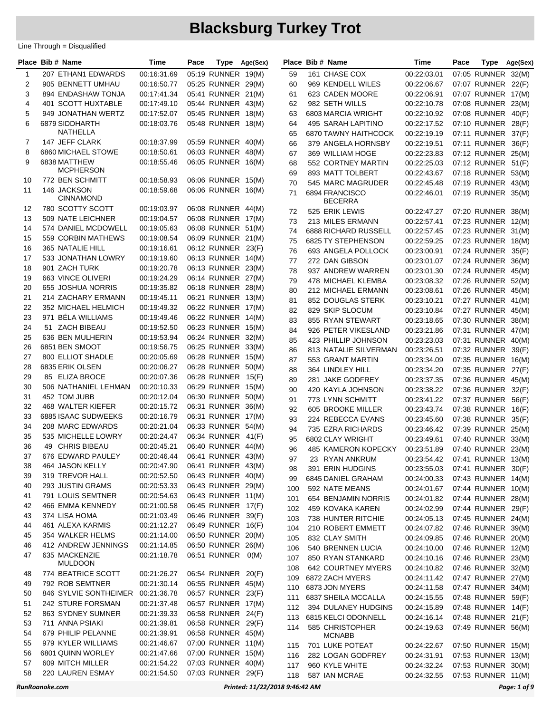|                | Place Bib # Name      | Time        | Pace | <b>Type</b>        | Age(Sex)                       |     | Place Bib # Name            | Time        | Pace | Type               | Age(Sex)     |
|----------------|-----------------------|-------------|------|--------------------|--------------------------------|-----|-----------------------------|-------------|------|--------------------|--------------|
| 1              | 207 ETHAN1 EDWARDS    | 00:16:31.69 |      | 05:19 RUNNER 19(M) |                                | 59  | 161 CHASE COX               | 00:22:03.01 |      | 07:05 RUNNER 32(M) |              |
| 2              | 905 BENNETT UMHAU     | 00:16:50.77 |      | 05:25 RUNNER 29(M) |                                | 60  | 969 KENDELL WILES           | 00:22:06.67 |      | 07:07 RUNNER 22(F) |              |
| 3              | 894 ENDASHAW TONJA    | 00:17:41.34 |      | 05:41 RUNNER 21(M) |                                | 61  | 623 CADEN MOORE             | 00:22:06.91 |      | 07:07 RUNNER 17(M) |              |
| 4              | 401 SCOTT HUXTABLE    | 00:17:49.10 |      | 05:44 RUNNER 43(M) |                                | 62  | 982 SETH WILLS              | 00:22:10.78 |      | 07:08 RUNNER 23(M) |              |
| 5              | 949 JONATHAN WERTZ    | 00:17:52.07 |      | 05:45 RUNNER 18(M) |                                | 63  | 6803 MARCIA WRIGHT          | 00:22:10.92 |      | 07:08 RUNNER       | 40(F)        |
| 6              | 6879 SIDDHARTH        | 00:18:03.76 |      | 05:48 RUNNER 18(M) |                                | 64  | 495 SARAH LAPITINO          | 00:22:17.52 |      | 07:10 RUNNER 28(F) |              |
|                | NATHELLA              |             |      |                    |                                | 65  | 6870 TAWNY HAITHCOCK        | 00:22:19.19 |      | 07:11 RUNNER 37(F) |              |
| 7              | 147 JEFF CLARK        | 00:18:37.99 |      | 05:59 RUNNER 40(M) |                                | 66  | 379 ANGELA HORNSBY          | 00:22:19.51 |      | 07:11 RUNNER       | 36(F)        |
| 8              | 6860 MICHAEL STOWE    | 00:18:50.61 |      | 06:03 RUNNER 48(M) |                                | 67  | 369 WILLIAM HOGE            | 00:22:23.83 |      | 07:12 RUNNER 25(M) |              |
| 9              | 6838 MATTHEW          | 00:18:55.46 |      | 06:05 RUNNER 16(M) |                                | 68  | 552 CORTNEY MARTIN          | 00:22:25.03 |      | 07:12 RUNNER 51(F) |              |
|                | <b>MCPHERSON</b>      |             |      |                    |                                | 69  | 893 MATT TOLBERT            | 00:22:43.67 |      | 07:18 RUNNER 53(M) |              |
| 10             | 772 BEN SCHMITT       | 00:18:58.93 |      | 06:06 RUNNER 15(M) |                                | 70  | 545 MARC MAGRUDER           | 00:22:45.48 |      | 07:19 RUNNER 43(M) |              |
| 11             | 146 JACKSON           | 00:18:59.68 |      | 06:06 RUNNER 16(M) |                                | 71  | 6894 FRANCISCO              | 00:22:46.01 |      | 07:19 RUNNER 35(M) |              |
|                | CINNAMOND             |             |      |                    |                                |     | <b>BECERRA</b>              |             |      |                    |              |
| 12             | 780 SCOTTY SCOTT      | 00:19:03.97 |      | 06:08 RUNNER 44(M) |                                | 72  | 525 ERIK LEWIS              | 00:22:47.27 |      | 07:20 RUNNER 38(M) |              |
| 13             | 509 NATE LEICHNER     | 00:19:04.57 |      | 06:08 RUNNER 17(M) |                                | 73  | 213 MILES ERMANN            | 00:22:57.41 |      | 07:23 RUNNER 12(M) |              |
| 14             | 574 DANIEL MCDOWELL   | 00:19:05.63 |      | 06:08 RUNNER 51(M) |                                | 74  | <b>6888 RICHARD RUSSELL</b> | 00:22:57.45 |      | 07:23 RUNNER 31(M) |              |
| 15             | 559 CORBIN MATHEWS    | 00:19:08.54 |      | 06:09 RUNNER 21(M) |                                | 75  | 6825 TY STEPHENSON          | 00:22:59.25 |      | 07:23 RUNNER 18(M) |              |
| 16             | 365 NATALIE HILL      | 00:19:16.61 |      | 06:12 RUNNER 23(F) |                                | 76  | 693 ANGELA POLLOCK          | 00:23:00.91 |      | 07:24 RUNNER 35(F) |              |
| 17             | 533 JONATHAN LOWRY    | 00:19:19.60 |      | 06:13 RUNNER 14(M) |                                | 77  | 272 DAN GIBSON              | 00:23:01.07 |      | 07:24 RUNNER 36(M) |              |
| 18             | 901 ZACH TURK         | 00:19:20.78 |      | 06:13 RUNNER 23(M) |                                | 78  | 937 ANDREW WARREN           | 00:23:01.30 |      | 07:24 RUNNER 45(M) |              |
| 19             | 663 VINCE OLIVERI     | 00:19:24.29 |      | 06:14 RUNNER 27(M) |                                | 79  | 478 MICHAEL KLEMBA          | 00:23:08.32 |      | 07:26 RUNNER 52(M) |              |
| 20             | 655 JOSHUA NORRIS     | 00:19:35.82 |      | 06:18 RUNNER 28(M) |                                | 80  | 212 MICHAEL ERMANN          | 00:23:08.61 |      | 07:26 RUNNER 45(M) |              |
| 21             | 214 ZACHARY ERMANN    | 00:19:45.11 |      | 06:21 RUNNER 13(M) |                                | 81  | 852 DOUGLAS STERK           | 00:23:10.21 |      | 07:27 RUNNER 41(M) |              |
| 22             | 352 MICHAEL HELMICH   | 00:19:49.32 |      | 06:22 RUNNER 17(M) |                                | 82  | 829 SKIP SLOCUM             | 00:23:10.84 |      | 07:27 RUNNER 45(M) |              |
| 23             | 971 BÉLA WILLIAMS     | 00:19:49.46 |      | 06:22 RUNNER 14(M) |                                | 83  | 855 RYAN STEWART            | 00:23:18.65 |      | 07:30 RUNNER 38(M) |              |
| 24             | 51 ZACH BIBEAU        | 00:19:52.50 |      | 06:23 RUNNER 15(M) |                                | 84  | 926 PETER VIKESLAND         | 00:23:21.86 |      | 07:31 RUNNER 47(M) |              |
| 25             | 636 BEN MULHERIN      | 00:19:53.94 |      | 06:24 RUNNER 32(M) |                                | 85  | 423 PHILLIP JOHNSON         | 00:23:23.03 |      | 07:31 RUNNER 40(M) |              |
| 26             | 6851 BEN SMOOT        | 00:19:56.75 |      | 06:25 RUNNER 33(M) |                                | 86  | 813 NATALIE SILVERMAN       | 00:23:26.51 |      | 07:32 RUNNER 39(F) |              |
| 27             | 800 ELLIOT SHADLE     | 00:20:05.69 |      | 06:28 RUNNER 15(M) |                                | 87  | 553 GRANT MARTIN            |             |      | 07:35 RUNNER 16(M) |              |
| 28             | 6835 ERIK OLSEN       | 00:20:06.27 |      | 06:28 RUNNER 50(M) |                                | 88  | 364 LINDLEY HILL            | 00:23:34.09 |      | 07:35 RUNNER 27(F) |              |
| 29             | 85 ELIZA BROCE        | 00:20:07.36 |      | 06:28 RUNNER 15(F) |                                |     |                             | 00:23:34.20 |      |                    |              |
| 30             | 506 NATHANIEL LEHMAN  | 00:20:10.33 |      | 06:29 RUNNER 15(M) |                                | 89  | 281 JAKE GODFREY            | 00:23:37.35 |      | 07:36 RUNNER 45(M) |              |
| 31             | 452 TOM JUBB          | 00:20:12.04 |      | 06:30 RUNNER 50(M) |                                | 90  | 420 KAYLA JOHNSON           | 00:23:38.22 |      | 07:36 RUNNER       | 32(F)        |
| 32             | 468 WALTER KIEFER     | 00:20:15.72 |      | 06:31 RUNNER 36(M) |                                | 91  | 773 LYNN SCHMITT            | 00:23:41.22 |      | 07:37 RUNNER 56(F) |              |
| 33             | 6885 ISAAC SUDWEEKS   | 00:20:16.79 |      | 06:31 RUNNER 17(M) |                                | 92  | 605 BROOKE MILLER           | 00:23:43.74 |      | 07:38 RUNNER 16(F) |              |
| 34             | 208 MARC EDWARDS      | 00:20:21.04 |      | 06:33 RUNNER 54(M) |                                | 93  | 224 REBECCA EVANS           | 00:23:45.60 |      | 07:38 RUNNER 35(F) |              |
| 35             | 535 MICHELLE LOWRY    | 00:20:24.47 |      | 06:34 RUNNER 41(F) |                                | 94  | 735 EZRA RICHARDS           | 00:23:46.42 |      | 07:39 RUNNER 25(M) |              |
| 36             | 49 CHRIS BIBEAU       | 00:20:45.21 |      | 06:40 RUNNER 44(M) |                                | 95  | 6802 CLAY WRIGHT            | 00:23:49.61 |      | 07:40 RUNNER 33(M) |              |
| 37             | 676 EDWARD PAULEY     | 00:20:46.44 |      | 06:41 RUNNER 43(M) |                                | 96  | 485 KAMERON KOPECKY         | 00:23:51.89 |      | 07:40 RUNNER 23(M) |              |
| 38             | 464 JASON KELLY       | 00:20:47.90 |      | 06:41 RUNNER 43(M) |                                | 97  | 23 RYAN ANKRUM              | 00:23:54.42 |      | 07:41 RUNNER 13(M) |              |
| 39             | 319 TREVOR HALL       | 00:20:52.50 |      | 06:43 RUNNER 40(M) |                                | 98  | 391 ERIN HUDGINS            | 00:23:55.03 |      | 07:41 RUNNER 30(F) |              |
| 40             | 293 JUSTIN GRAMS      | 00:20:53.33 |      | 06:43 RUNNER 29(M) |                                | 99  | 6845 DANIEL GRAHAM          | 00:24:00.33 |      | 07:43 RUNNER 14(M) |              |
| 41             | 791 LOUIS SEMTNER     | 00:20:54.63 |      | 06:43 RUNNER 11(M) |                                | 100 | 592 NATE MEANS              | 00:24:01.67 |      | 07:44 RUNNER 10(M) |              |
| 42             | 466 EMMA KENNEDY      | 00:21:00.58 |      | 06:45 RUNNER 17(F) |                                | 101 | 654 BENJAMIN NORRIS         | 00:24:01.82 |      | 07:44 RUNNER 28(M) |              |
| 43             | 374 LISA HOMA         | 00:21:03.49 |      | 06:46 RUNNER 39(F) |                                | 102 | 459 KOVAKA KAREN            | 00:24:02.99 |      | 07:44 RUNNER 29(F) |              |
| 44             | 461 ALEXA KARMIS      | 00:21:12.27 |      | 06:49 RUNNER 16(F) |                                | 103 | 738 HUNTER RITCHIE          | 00:24:05.13 |      | 07:45 RUNNER 24(M) |              |
| 45             | 354 WALKER HELMS      | 00:21:14.00 |      | 06:50 RUNNER 20(M) |                                | 104 | 210 ROBERT EMMETT           | 00:24:07.82 |      | 07:46 RUNNER 39(M) |              |
| 46             | 412 ANDREW JENNINGS   | 00:21:14.85 |      | 06:50 RUNNER 26(M) |                                | 105 | 832 CLAY SMITH              | 00:24:09.85 |      | 07:46 RUNNER 20(M) |              |
| 47             | 635 MACKENZIE         | 00:21:18.78 |      | 06:51 RUNNER 0(M)  |                                | 106 | 540 BRENNEN LUCIA           | 00:24:10.00 |      | 07:46 RUNNER 12(M) |              |
|                | <b>MULDOON</b>        |             |      |                    |                                | 107 | 850 RYAN STANKARD           | 00:24:10.16 |      | 07:46 RUNNER 23(M) |              |
| 48             | 774 BEATRICE SCOTT    | 00:21:26.27 |      | 06:54 RUNNER 20(F) |                                | 108 | 642 COURTNEY MYERS          | 00:24:10.82 |      | 07:46 RUNNER 32(M) |              |
| 49             | 792 ROB SEMTNER       | 00:21:30.14 |      | 06:55 RUNNER 45(M) |                                | 109 | 6872 ZACH MYERS             | 00:24:11.42 |      | 07:47 RUNNER 27(M) |              |
| 50             | 846 SYLVIE SONTHEIMER | 00:21:36.78 |      | 06:57 RUNNER 23(F) |                                | 110 | 6873 JON MYERS              | 00:24:11.58 |      | 07:47 RUNNER 34(M) |              |
| 51             | 242 STURE FORSMAN     | 00:21:37.48 |      | 06:57 RUNNER 17(M) |                                | 111 | 6837 SHEILA MCCALLA         | 00:24:15.55 |      | 07:48 RUNNER 59(F) |              |
| 52             | 863 SYDNEY SUMNER     | 00:21:39.33 |      | 06:58 RUNNER 24(F) |                                | 112 | 394 DULANEY HUDGINS         | 00:24:15.89 |      | 07:48 RUNNER 14(F) |              |
| 53             | 711 ANNA PSIAKI       | 00:21:39.81 |      | 06:58 RUNNER 29(F) |                                | 113 | 6815 KELCI ODONNELL         | 00:24:16.14 |      | 07:48 RUNNER 21(F) |              |
| 54             | 679 PHILIP PELANNE    | 00:21:39.91 |      | 06:58 RUNNER 45(M) |                                | 114 | 585 CHRISTOPHER             | 00:24:19.63 |      | 07:49 RUNNER 56(M) |              |
| 55             | 979 KYLER WILLIAMS    | 00:21:46.67 |      | 07:00 RUNNER 11(M) |                                |     | <b>MCNABB</b>               |             |      |                    |              |
| 56             | 6801 QUINN WORLEY     | 00:21:47.66 |      | 07:00 RUNNER 15(M) |                                | 115 | 701 LUKE POTEAT             | 00:24:22.67 |      | 07:50 RUNNER 15(M) |              |
| 57             | 609 MITCH MILLER      | 00:21:54.22 |      | 07:03 RUNNER 40(M) |                                | 116 | 282 LOGAN GODFREY           | 00:24:31.91 |      | 07:53 RUNNER 13(M) |              |
| 58             | 220 LAUREN ESMAY      | 00:21:54.50 |      | 07:03 RUNNER 29(F) |                                | 117 | 960 KYLE WHITE              | 00:24:32.24 |      | 07:53 RUNNER 30(M) |              |
|                |                       |             |      |                    |                                | 118 | 587 IAN MCRAE               | 00:24:32.55 |      | 07:53 RUNNER 11(M) |              |
| RunRoanoke.com |                       |             |      |                    | Printed: 11/22/2018 9:46:42 AM |     |                             |             |      |                    | Page: 1 of 9 |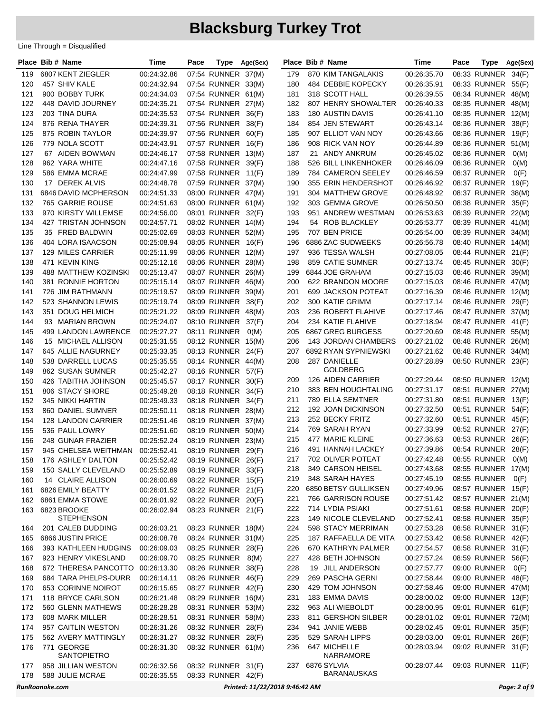| 00:24:32.86<br>07:54 RUNNER 37(M)<br>870 KIM TANGALAKIS<br>08:33 RUNNER 34(F)<br>6807 KENT ZIEGLER<br>00:26:35.70<br>119<br>179<br>120<br>457 SHIV KALE<br>00:24:32.94<br>07:54 RUNNER 33(M)<br>484 DEBBIE KOPECKY<br>00:26:35.91<br>08:33 RUNNER<br>180<br>55(F)<br>121<br>900 BOBBY TURK<br>00:24:34.03<br>07:54 RUNNER 61(M)<br>318 SCOTT HALL<br>08:34 RUNNER 48(M)<br>181<br>00:26:39.55<br>122<br>448 DAVID JOURNEY<br>00:24:35.21<br>07:54 RUNNER 27(M)<br>807 HENRY SHOWALTER<br>182<br>00:26:40.33<br>08:35 RUNNER 48(M)<br>123<br>203 TINA DURA<br>07:54 RUNNER 36(F)<br><b>180 AUSTIN DAVIS</b><br>08:35 RUNNER 12(M)<br>00:24:35.53<br>183<br>00:26:41.10<br>124<br>876 RENA THAYER<br>854 JEN STEWART<br>08:36 RUNNER 38(F)<br>00:24:39.31<br>07:56 RUNNER 38(F)<br>184<br>00:26:43.14<br>125<br>875 ROBIN TAYLOR<br>07:56 RUNNER 60(F)<br>00:24:39.97<br>185<br>907 ELLIOT VAN NOY<br>00:26:43.66<br>08:36 RUNNER 19(F)<br>126<br>779 NOLA SCOTT<br>07:57 RUNNER 16(F)<br>908 RICK VAN NOY<br>08:36 RUNNER 51(M)<br>00:24:43.91<br>186<br>00:26:44.89<br>127<br>67 AIDEN BOWMAN<br>07:58 RUNNER 13(M)<br>21 ANDY ANKRUM<br>08:36 RUNNER<br>00:24:46.17<br>187<br>00:26:45.02<br>O(M)<br>128<br>962 YARA WHITE<br>00:24:47.16<br>07:58 RUNNER 39(F)<br>188<br>526 BILL LINKENHOKER<br>00:26:46.09<br>08:36 RUNNER<br>O(M)<br>129<br>586 EMMA MCRAE<br>07:58 RUNNER 11(F)<br>784 CAMERON SEELEY<br>08:37 RUNNER<br>00:24:47.99<br>189<br>00:26:46.59<br>O(F)<br>130<br>17 DEREK ALVIS<br>07:59 RUNNER 37(M)<br>08:37 RUNNER 19(F)<br>00:24:48.78<br>190<br>355 ERIN HENDERSHOT<br>00:26:46.92<br>131<br>6846 DAVID MCPHERSON<br>08:00 RUNNER 47(M)<br>08:37 RUNNER 38(M)<br>00:24:51.33<br>191<br>304 MATTHEW GROVE<br>00:26:48.92<br>132<br>765 GARRIE ROUSE<br>08:00 RUNNER 61(M)<br>303 GEMMA GROVE<br>00:26:50.50<br>08:38 RUNNER<br>00:24:51.63<br>192<br>35(F)<br>133<br>970 KIRSTY WILLEMSE<br>08:01 RUNNER 32(F)<br>193<br>951 ANDREW WESTMAN<br>08:39 RUNNER 22(M)<br>00:24:56.00<br>00:26:53.63<br>134<br>427 TRISTAN JOHNSON<br>00:24:57.71<br>08:02 RUNNER 14(M)<br>194<br>54 ROB BLACKLEY<br>00:26:53.77<br>08:39 RUNNER 41(M)<br>135<br>35 FRED BALDWIN<br>08:03 RUNNER 52(M)<br>707 BEN PRICE<br>08:39 RUNNER 34(M)<br>00:25:02.69<br>195<br>00:26:54.00<br>136<br>404 LORA ISAACSON<br>6886 ZAC SUDWEEKS<br>00:25:08.94<br>08:05 RUNNER 16(F)<br>196<br>00:26:56.78<br>08:40 RUNNER 14(M)<br>137<br>129 MILES CARRIER<br>08:06 RUNNER 12(M)<br>936 TESSA WALSH<br>08:44 RUNNER 21(F)<br>00:25:11.99<br>197<br>00:27:08.05<br>138<br>471 KEVIN KING<br>08:06 RUNNER 28(M)<br>859 CATIE SUMNER<br>08:45 RUNNER 30(F)<br>00:25:12.16<br>198<br>00:27:13.74<br>139<br>08:07 RUNNER 26(M)<br>6844 JOE GRAHAM<br>08:46 RUNNER 39(M)<br>488 MATTHEW KOZINSKI<br>00:25:13.47<br>199<br>00:27:15.03<br>140<br>08:07 RUNNER 46(M)<br>381 RONNIE HORTON<br>00:25:15.14<br>200<br>622 BRANDON MOORE<br>00:27:15.03<br>08:46 RUNNER 47(M)<br>726 JIM RATHMANN<br>08:09 RUNNER 39(M)<br>08:46 RUNNER 12(M)<br>141<br>00:25:19.57<br>201<br>699 JACKSON POTEAT<br>00:27:16.39<br>142<br>08:09 RUNNER 38(F)<br>202<br>300 KATIE GRIMM<br>08:46 RUNNER 29(F)<br>523 SHANNON LEWIS<br>00:25:19.74<br>00:27:17.14<br>143<br>351 DOUG HELMICH<br>00:25:21.22<br>08:09 RUNNER 48(M)<br>203<br>08:47 RUNNER 37(M)<br>236 ROBERT FLAHIVE<br>00:27:17.46<br>144<br>93 MARIAN BROWN<br>00:25:24.07<br>08:10 RUNNER 37(F)<br>234 KATIE FLAHIVE<br>08:47 RUNNER 41(F)<br>204<br>00:27:18.94<br>145<br>499 LANDON LAWRENCE<br>00:25:27.27<br>08:11 RUNNER<br>6867 GREG BURGESS<br>00:27:20.69<br>08:48 RUNNER 55(M)<br>O(M)<br>205<br>146<br>15 MICHAEL ALLISON<br>00:25:31.55<br>08:12 RUNNER 15(M)<br>206<br>143 JORDAN CHAMBERS<br>00:27:21.02<br>08:48 RUNNER 26(M)<br>645 ALLIE NAGURNEY<br>08:13 RUNNER 24(F)<br>6892 RYAN SYPNIEWSKI<br>08:48 RUNNER 34(M)<br>147<br>00:25:33.35<br>00:27:21.62<br>207<br>148<br>538 DARRELL LUCAS<br>00:27:28.89<br>00:25:35.55<br>08:14 RUNNER 44(M)<br>208<br>287 DANIELLE<br>08:50 RUNNER 23(F)<br><b>GOLDBERG</b><br>149<br>08:16 RUNNER 57(F)<br>862 SUSAN SUMNER<br>00:25:42.27<br>00:27:29.44<br>08:50 RUNNER 12(M)<br>209<br>126 AIDEN CARRIER<br>150<br>426 TABITHA JOHNSON<br>08:17 RUNNER 30(F)<br>00:25:45.57<br>00:27:31.17<br>08:51 RUNNER 27(M)<br>383 BEN HOUGHTALING<br>210<br>806 STACY SHORE<br>08:18 RUNNER 34(F)<br>151<br>00:25:49.28<br>789 ELLA SEMTNER<br>00:27:31.80<br>08:51 RUNNER 13(F)<br>211<br>152<br>08:18 RUNNER 34(F)<br>345 NIKKI HARTIN<br>00:25:49.33<br>08:51 RUNNER 54(F)<br>212<br>192 JOAN DICKINSON<br>00:27:32.50<br>860 DANIEL SUMNER<br>08:18 RUNNER 28(M)<br>153<br>00:25:50.11<br>252 BECKY FRITZ<br>00:27:32.60<br>08:51 RUNNER 45(F)<br>213<br>154<br>128 LANDON CARRIER<br>08:19 RUNNER 37(M)<br>00:25:51.46<br>08:52 RUNNER<br>769 SARAH RYAN<br>00:27:33.99<br>27(F)<br>214<br>155<br>536 PAUL LOWRY<br>08:19 RUNNER 50(M)<br>00:25:51.60<br>00:27:36.63<br>08:53 RUNNER<br>477 MARIE KLEINE<br>26(F)<br>215<br>156<br>248 GUNAR FRAZIER<br>00:25:52.24<br>08:19 RUNNER 23(M)<br>00:27:39.86<br>08:54 RUNNER<br>216<br>491 HANNAH LACKEY<br>28(F)<br>157<br>945 CHELSEA WEITHMAN<br>00:25:52.41<br>08:19 RUNNER 29(F)<br>702 OLIVER POTEAT<br>00:27:42.48<br>08:55 RUNNER<br>217<br>O(M)<br>00:25:52.42<br>158<br>176 ASHLEY DALTON<br>08:19 RUNNER 26(F)<br>349 CARSON HEISEL<br>08:55 RUNNER 17(M)<br>00:27:43.68<br>218<br>150 SALLY CLEVELAND<br>08:19 RUNNER 33(F)<br>00:25:52.89<br>159<br>348 SARAH HAYES<br>08:55 RUNNER<br>00:27:45.19<br>219<br>O(F)<br>14 CLAIRE ALLISON<br>08:22 RUNNER 15(F)<br>160<br>00:26:00.69<br>6850 BETSY GULLIKSEN<br>00:27:49.96<br>08:57 RUNNER 15(F)<br>220<br>08:22 RUNNER 21(F)<br>6826 EMILY BEATTY<br>00:26:01.52<br>161<br>766 GARRISON ROUSE<br>08:57 RUNNER 21(M)<br>221<br>00:27:51.42<br>6861 EMMA STOWE<br>08:22 RUNNER 20(F)<br>162<br>00:26:01.92<br>714 LYDIA PSIAKI<br>00:27:51.61<br>08:58 RUNNER 20(F)<br>222<br>6823 BROOKE<br>08:23 RUNNER 21(F)<br>163<br>00:26:02.94<br><b>STEPHENSON</b><br>223<br>149 NICOLE CLEVELAND<br>00:27:52.41<br>08:58 RUNNER 35(F)<br>08:23 RUNNER 18(M)<br>224<br>00:27:53.28<br>08:58 RUNNER 31(F)<br>201 CALEB DUDDING<br>00:26:03.21<br>598 STACY MERRIMAN<br>164<br>6866 JUSTIN PRICE<br>08:24 RUNNER 31(M)<br>08:58 RUNNER 42(F)<br>165<br>00:26:08.78<br>225<br>187 RAFFAELLA DE VITA<br>00:27:53.42<br>166<br>00:26:09.03<br>08:25 RUNNER 28(F)<br>226<br>670 KATHRYN PALMER<br>00:27:54.57<br>08:58 RUNNER 31(F)<br>393 KATHLEEN HUDGINS<br>08:59 RUNNER 56(F)<br>167<br>923 HENRY VIKESLAND<br>00:26:09.70<br>08:25 RUNNER 8(M)<br>227<br>428 BETH JOHNSON<br>00:27:57.24<br>672 THERESA PANCOTTO<br>08:26 RUNNER 38(F)<br>00:27:57.77<br>09:00 RUNNER<br>168<br>00:26:13.30<br>228<br>19 JILL ANDERSON<br>O(F)<br>684 TARA PHELPS-DURR<br>08:26 RUNNER 46(F)<br>229<br>269 PASCHA GERNI<br>00:27:58.44<br>09:00 RUNNER 48(F)<br>169<br>00:26:14.11<br>170<br>653 CORINNE NOIROT<br>08:27 RUNNER 42(F)<br>230<br>429 TOM JOHNSON<br>00:27:58.46<br>09:00 RUNNER 47(M)<br>00:26:15.65<br>08:29 RUNNER 16(M)<br>231<br>183 EMMA DAVIS<br>09:00 RUNNER 13(F)<br>118 BRYCE CARLSON<br>00:28:00.02<br>171<br>00:26:21.48<br>09:01 RUNNER 61(F)<br>560 GLENN MATHEWS<br>08:31 RUNNER 53(M)<br>232<br>963 ALI WIEBOLDT<br>00:28:00.95<br>172<br>00:26:28.28<br>08:31 RUNNER 58(M)<br>811 GERSHON SILBER<br>00:28:01.02<br>09:01 RUNNER 72(M)<br>173<br>608 MARK MILLER<br>00:26:28.51<br>233<br>941 JANIE WEBB<br>09:01 RUNNER 35(F)<br>957 CAITLIN WESTON<br>08:32 RUNNER 28(F)<br>234<br>00:28:02.45<br>174<br>00:26:31.26<br>09:01 RUNNER 26(F)<br>08:32 RUNNER 28(F)<br>529 SARAH LIPPS<br>00:28:03.00<br>175<br>562 AVERY MATTINGLY<br>00:26:31.27<br>235<br>771 GEORGE<br>08:32 RUNNER 61(M)<br>647 MICHELLE<br>09:02 RUNNER 31(F)<br>176<br>00:26:31.30<br>236<br>00:28:03.94<br>NARRAMORE<br>SANTOPIETRO<br>6876 SYLVIA<br>08:32 RUNNER 31(F)<br>00:28:07.44<br>09:03 RUNNER 11(F)<br>958 JILLIAN WESTON<br>00:26:32.56<br>237<br>177<br><b>BARANAUSKAS</b><br>08:33 RUNNER 42(F)<br>178<br>588 JULIE MCRAE<br>00:26:35.55<br>RunRoanoke.com<br>Printed: 11/22/2018 9:46:42 AM<br>Page: 2 of 9 |  | Place Bib # Name | Time | Pace | Type | Age(Sex) |  | Place Bib # Name | Time | Pace | Type | Age(Sex) |
|-----------------------------------------------------------------------------------------------------------------------------------------------------------------------------------------------------------------------------------------------------------------------------------------------------------------------------------------------------------------------------------------------------------------------------------------------------------------------------------------------------------------------------------------------------------------------------------------------------------------------------------------------------------------------------------------------------------------------------------------------------------------------------------------------------------------------------------------------------------------------------------------------------------------------------------------------------------------------------------------------------------------------------------------------------------------------------------------------------------------------------------------------------------------------------------------------------------------------------------------------------------------------------------------------------------------------------------------------------------------------------------------------------------------------------------------------------------------------------------------------------------------------------------------------------------------------------------------------------------------------------------------------------------------------------------------------------------------------------------------------------------------------------------------------------------------------------------------------------------------------------------------------------------------------------------------------------------------------------------------------------------------------------------------------------------------------------------------------------------------------------------------------------------------------------------------------------------------------------------------------------------------------------------------------------------------------------------------------------------------------------------------------------------------------------------------------------------------------------------------------------------------------------------------------------------------------------------------------------------------------------------------------------------------------------------------------------------------------------------------------------------------------------------------------------------------------------------------------------------------------------------------------------------------------------------------------------------------------------------------------------------------------------------------------------------------------------------------------------------------------------------------------------------------------------------------------------------------------------------------------------------------------------------------------------------------------------------------------------------------------------------------------------------------------------------------------------------------------------------------------------------------------------------------------------------------------------------------------------------------------------------------------------------------------------------------------------------------------------------------------------------------------------------------------------------------------------------------------------------------------------------------------------------------------------------------------------------------------------------------------------------------------------------------------------------------------------------------------------------------------------------------------------------------------------------------------------------------------------------------------------------------------------------------------------------------------------------------------------------------------------------------------------------------------------------------------------------------------------------------------------------------------------------------------------------------------------------------------------------------------------------------------------------------------------------------------------------------------------------------------------------------------------------------------------------------------------------------------------------------------------------------------------------------------------------------------------------------------------------------------------------------------------------------------------------------------------------------------------------------------------------------------------------------------------------------------------------------------------------------------------------------------------------------------------------------------------------------------------------------------------------------------------------------------------------------------------------------------------------------------------------------------------------------------------------------------------------------------------------------------------------------------------------------------------------------------------------------------------------------------------------------------------------------------------------------------------------------------------------------------------------------------------------------------------------------------------------------------------------------------------------------------------------------------------------------------------------------------------------------------------------------------------------------------------------------------------------------------------------------------------------------------------------------------------------------------------------------------------------------------------------------------------------------------------------------------------------------------------------------------------------------------------------------------------------------------------------------------------------------------------------------------------------------------------------------------------------------------------------------------------------------------------------------------------------------------------------------------------------------------------------------------------------------------------------------------------------------------------------------------------------------------------------------------------------------------------------------------------------------------------------------------------------------------------------------------------------------------------------------------------------------------------------------------------------------------------------------------------------------------------------------------------------------------------------------------------------------------------------------------------------------------------------------------------------------------------------------------------------------------------------------------------------------------------------------------------------------------------------------------------------------------------------------------------------------------------------------------------------------------------------------------------------------------------------------------------------------------------------------------------------------------------------------------------------------------------------------------------------------------------------------------------------------------------------------------|--|------------------|------|------|------|----------|--|------------------|------|------|------|----------|
|                                                                                                                                                                                                                                                                                                                                                                                                                                                                                                                                                                                                                                                                                                                                                                                                                                                                                                                                                                                                                                                                                                                                                                                                                                                                                                                                                                                                                                                                                                                                                                                                                                                                                                                                                                                                                                                                                                                                                                                                                                                                                                                                                                                                                                                                                                                                                                                                                                                                                                                                                                                                                                                                                                                                                                                                                                                                                                                                                                                                                                                                                                                                                                                                                                                                                                                                                                                                                                                                                                                                                                                                                                                                                                                                                                                                                                                                                                                                                                                                                                                                                                                                                                                                                                                                                                                                                                                                                                                                                                                                                                                                                                                                                                                                                                                                                                                                                                                                                                                                                                                                                                                                                                                                                                                                                                                                                                                                                                                                                                                                                                                                                                                                                                                                                                                                                                                                                                                                                                                                                                                                                                                                                                                                                                                                                                                                                                                                                                                                                                                                                                                                                                                                                                                                                                                                                                                                                                                                                                                                                                                                                                                                                                                                                                                                                                                                                                                                                                                                                                                                                                                                                                                                                                                                                                                                                                                                                                                                                                                                                                                                                                                                                                                               |  |                  |      |      |      |          |  |                  |      |      |      |          |
|                                                                                                                                                                                                                                                                                                                                                                                                                                                                                                                                                                                                                                                                                                                                                                                                                                                                                                                                                                                                                                                                                                                                                                                                                                                                                                                                                                                                                                                                                                                                                                                                                                                                                                                                                                                                                                                                                                                                                                                                                                                                                                                                                                                                                                                                                                                                                                                                                                                                                                                                                                                                                                                                                                                                                                                                                                                                                                                                                                                                                                                                                                                                                                                                                                                                                                                                                                                                                                                                                                                                                                                                                                                                                                                                                                                                                                                                                                                                                                                                                                                                                                                                                                                                                                                                                                                                                                                                                                                                                                                                                                                                                                                                                                                                                                                                                                                                                                                                                                                                                                                                                                                                                                                                                                                                                                                                                                                                                                                                                                                                                                                                                                                                                                                                                                                                                                                                                                                                                                                                                                                                                                                                                                                                                                                                                                                                                                                                                                                                                                                                                                                                                                                                                                                                                                                                                                                                                                                                                                                                                                                                                                                                                                                                                                                                                                                                                                                                                                                                                                                                                                                                                                                                                                                                                                                                                                                                                                                                                                                                                                                                                                                                                                                               |  |                  |      |      |      |          |  |                  |      |      |      |          |
|                                                                                                                                                                                                                                                                                                                                                                                                                                                                                                                                                                                                                                                                                                                                                                                                                                                                                                                                                                                                                                                                                                                                                                                                                                                                                                                                                                                                                                                                                                                                                                                                                                                                                                                                                                                                                                                                                                                                                                                                                                                                                                                                                                                                                                                                                                                                                                                                                                                                                                                                                                                                                                                                                                                                                                                                                                                                                                                                                                                                                                                                                                                                                                                                                                                                                                                                                                                                                                                                                                                                                                                                                                                                                                                                                                                                                                                                                                                                                                                                                                                                                                                                                                                                                                                                                                                                                                                                                                                                                                                                                                                                                                                                                                                                                                                                                                                                                                                                                                                                                                                                                                                                                                                                                                                                                                                                                                                                                                                                                                                                                                                                                                                                                                                                                                                                                                                                                                                                                                                                                                                                                                                                                                                                                                                                                                                                                                                                                                                                                                                                                                                                                                                                                                                                                                                                                                                                                                                                                                                                                                                                                                                                                                                                                                                                                                                                                                                                                                                                                                                                                                                                                                                                                                                                                                                                                                                                                                                                                                                                                                                                                                                                                                                               |  |                  |      |      |      |          |  |                  |      |      |      |          |
|                                                                                                                                                                                                                                                                                                                                                                                                                                                                                                                                                                                                                                                                                                                                                                                                                                                                                                                                                                                                                                                                                                                                                                                                                                                                                                                                                                                                                                                                                                                                                                                                                                                                                                                                                                                                                                                                                                                                                                                                                                                                                                                                                                                                                                                                                                                                                                                                                                                                                                                                                                                                                                                                                                                                                                                                                                                                                                                                                                                                                                                                                                                                                                                                                                                                                                                                                                                                                                                                                                                                                                                                                                                                                                                                                                                                                                                                                                                                                                                                                                                                                                                                                                                                                                                                                                                                                                                                                                                                                                                                                                                                                                                                                                                                                                                                                                                                                                                                                                                                                                                                                                                                                                                                                                                                                                                                                                                                                                                                                                                                                                                                                                                                                                                                                                                                                                                                                                                                                                                                                                                                                                                                                                                                                                                                                                                                                                                                                                                                                                                                                                                                                                                                                                                                                                                                                                                                                                                                                                                                                                                                                                                                                                                                                                                                                                                                                                                                                                                                                                                                                                                                                                                                                                                                                                                                                                                                                                                                                                                                                                                                                                                                                                                               |  |                  |      |      |      |          |  |                  |      |      |      |          |
|                                                                                                                                                                                                                                                                                                                                                                                                                                                                                                                                                                                                                                                                                                                                                                                                                                                                                                                                                                                                                                                                                                                                                                                                                                                                                                                                                                                                                                                                                                                                                                                                                                                                                                                                                                                                                                                                                                                                                                                                                                                                                                                                                                                                                                                                                                                                                                                                                                                                                                                                                                                                                                                                                                                                                                                                                                                                                                                                                                                                                                                                                                                                                                                                                                                                                                                                                                                                                                                                                                                                                                                                                                                                                                                                                                                                                                                                                                                                                                                                                                                                                                                                                                                                                                                                                                                                                                                                                                                                                                                                                                                                                                                                                                                                                                                                                                                                                                                                                                                                                                                                                                                                                                                                                                                                                                                                                                                                                                                                                                                                                                                                                                                                                                                                                                                                                                                                                                                                                                                                                                                                                                                                                                                                                                                                                                                                                                                                                                                                                                                                                                                                                                                                                                                                                                                                                                                                                                                                                                                                                                                                                                                                                                                                                                                                                                                                                                                                                                                                                                                                                                                                                                                                                                                                                                                                                                                                                                                                                                                                                                                                                                                                                                                               |  |                  |      |      |      |          |  |                  |      |      |      |          |
|                                                                                                                                                                                                                                                                                                                                                                                                                                                                                                                                                                                                                                                                                                                                                                                                                                                                                                                                                                                                                                                                                                                                                                                                                                                                                                                                                                                                                                                                                                                                                                                                                                                                                                                                                                                                                                                                                                                                                                                                                                                                                                                                                                                                                                                                                                                                                                                                                                                                                                                                                                                                                                                                                                                                                                                                                                                                                                                                                                                                                                                                                                                                                                                                                                                                                                                                                                                                                                                                                                                                                                                                                                                                                                                                                                                                                                                                                                                                                                                                                                                                                                                                                                                                                                                                                                                                                                                                                                                                                                                                                                                                                                                                                                                                                                                                                                                                                                                                                                                                                                                                                                                                                                                                                                                                                                                                                                                                                                                                                                                                                                                                                                                                                                                                                                                                                                                                                                                                                                                                                                                                                                                                                                                                                                                                                                                                                                                                                                                                                                                                                                                                                                                                                                                                                                                                                                                                                                                                                                                                                                                                                                                                                                                                                                                                                                                                                                                                                                                                                                                                                                                                                                                                                                                                                                                                                                                                                                                                                                                                                                                                                                                                                                                               |  |                  |      |      |      |          |  |                  |      |      |      |          |
|                                                                                                                                                                                                                                                                                                                                                                                                                                                                                                                                                                                                                                                                                                                                                                                                                                                                                                                                                                                                                                                                                                                                                                                                                                                                                                                                                                                                                                                                                                                                                                                                                                                                                                                                                                                                                                                                                                                                                                                                                                                                                                                                                                                                                                                                                                                                                                                                                                                                                                                                                                                                                                                                                                                                                                                                                                                                                                                                                                                                                                                                                                                                                                                                                                                                                                                                                                                                                                                                                                                                                                                                                                                                                                                                                                                                                                                                                                                                                                                                                                                                                                                                                                                                                                                                                                                                                                                                                                                                                                                                                                                                                                                                                                                                                                                                                                                                                                                                                                                                                                                                                                                                                                                                                                                                                                                                                                                                                                                                                                                                                                                                                                                                                                                                                                                                                                                                                                                                                                                                                                                                                                                                                                                                                                                                                                                                                                                                                                                                                                                                                                                                                                                                                                                                                                                                                                                                                                                                                                                                                                                                                                                                                                                                                                                                                                                                                                                                                                                                                                                                                                                                                                                                                                                                                                                                                                                                                                                                                                                                                                                                                                                                                                                               |  |                  |      |      |      |          |  |                  |      |      |      |          |
|                                                                                                                                                                                                                                                                                                                                                                                                                                                                                                                                                                                                                                                                                                                                                                                                                                                                                                                                                                                                                                                                                                                                                                                                                                                                                                                                                                                                                                                                                                                                                                                                                                                                                                                                                                                                                                                                                                                                                                                                                                                                                                                                                                                                                                                                                                                                                                                                                                                                                                                                                                                                                                                                                                                                                                                                                                                                                                                                                                                                                                                                                                                                                                                                                                                                                                                                                                                                                                                                                                                                                                                                                                                                                                                                                                                                                                                                                                                                                                                                                                                                                                                                                                                                                                                                                                                                                                                                                                                                                                                                                                                                                                                                                                                                                                                                                                                                                                                                                                                                                                                                                                                                                                                                                                                                                                                                                                                                                                                                                                                                                                                                                                                                                                                                                                                                                                                                                                                                                                                                                                                                                                                                                                                                                                                                                                                                                                                                                                                                                                                                                                                                                                                                                                                                                                                                                                                                                                                                                                                                                                                                                                                                                                                                                                                                                                                                                                                                                                                                                                                                                                                                                                                                                                                                                                                                                                                                                                                                                                                                                                                                                                                                                                                               |  |                  |      |      |      |          |  |                  |      |      |      |          |
|                                                                                                                                                                                                                                                                                                                                                                                                                                                                                                                                                                                                                                                                                                                                                                                                                                                                                                                                                                                                                                                                                                                                                                                                                                                                                                                                                                                                                                                                                                                                                                                                                                                                                                                                                                                                                                                                                                                                                                                                                                                                                                                                                                                                                                                                                                                                                                                                                                                                                                                                                                                                                                                                                                                                                                                                                                                                                                                                                                                                                                                                                                                                                                                                                                                                                                                                                                                                                                                                                                                                                                                                                                                                                                                                                                                                                                                                                                                                                                                                                                                                                                                                                                                                                                                                                                                                                                                                                                                                                                                                                                                                                                                                                                                                                                                                                                                                                                                                                                                                                                                                                                                                                                                                                                                                                                                                                                                                                                                                                                                                                                                                                                                                                                                                                                                                                                                                                                                                                                                                                                                                                                                                                                                                                                                                                                                                                                                                                                                                                                                                                                                                                                                                                                                                                                                                                                                                                                                                                                                                                                                                                                                                                                                                                                                                                                                                                                                                                                                                                                                                                                                                                                                                                                                                                                                                                                                                                                                                                                                                                                                                                                                                                                                               |  |                  |      |      |      |          |  |                  |      |      |      |          |
|                                                                                                                                                                                                                                                                                                                                                                                                                                                                                                                                                                                                                                                                                                                                                                                                                                                                                                                                                                                                                                                                                                                                                                                                                                                                                                                                                                                                                                                                                                                                                                                                                                                                                                                                                                                                                                                                                                                                                                                                                                                                                                                                                                                                                                                                                                                                                                                                                                                                                                                                                                                                                                                                                                                                                                                                                                                                                                                                                                                                                                                                                                                                                                                                                                                                                                                                                                                                                                                                                                                                                                                                                                                                                                                                                                                                                                                                                                                                                                                                                                                                                                                                                                                                                                                                                                                                                                                                                                                                                                                                                                                                                                                                                                                                                                                                                                                                                                                                                                                                                                                                                                                                                                                                                                                                                                                                                                                                                                                                                                                                                                                                                                                                                                                                                                                                                                                                                                                                                                                                                                                                                                                                                                                                                                                                                                                                                                                                                                                                                                                                                                                                                                                                                                                                                                                                                                                                                                                                                                                                                                                                                                                                                                                                                                                                                                                                                                                                                                                                                                                                                                                                                                                                                                                                                                                                                                                                                                                                                                                                                                                                                                                                                                                               |  |                  |      |      |      |          |  |                  |      |      |      |          |
|                                                                                                                                                                                                                                                                                                                                                                                                                                                                                                                                                                                                                                                                                                                                                                                                                                                                                                                                                                                                                                                                                                                                                                                                                                                                                                                                                                                                                                                                                                                                                                                                                                                                                                                                                                                                                                                                                                                                                                                                                                                                                                                                                                                                                                                                                                                                                                                                                                                                                                                                                                                                                                                                                                                                                                                                                                                                                                                                                                                                                                                                                                                                                                                                                                                                                                                                                                                                                                                                                                                                                                                                                                                                                                                                                                                                                                                                                                                                                                                                                                                                                                                                                                                                                                                                                                                                                                                                                                                                                                                                                                                                                                                                                                                                                                                                                                                                                                                                                                                                                                                                                                                                                                                                                                                                                                                                                                                                                                                                                                                                                                                                                                                                                                                                                                                                                                                                                                                                                                                                                                                                                                                                                                                                                                                                                                                                                                                                                                                                                                                                                                                                                                                                                                                                                                                                                                                                                                                                                                                                                                                                                                                                                                                                                                                                                                                                                                                                                                                                                                                                                                                                                                                                                                                                                                                                                                                                                                                                                                                                                                                                                                                                                                                               |  |                  |      |      |      |          |  |                  |      |      |      |          |
|                                                                                                                                                                                                                                                                                                                                                                                                                                                                                                                                                                                                                                                                                                                                                                                                                                                                                                                                                                                                                                                                                                                                                                                                                                                                                                                                                                                                                                                                                                                                                                                                                                                                                                                                                                                                                                                                                                                                                                                                                                                                                                                                                                                                                                                                                                                                                                                                                                                                                                                                                                                                                                                                                                                                                                                                                                                                                                                                                                                                                                                                                                                                                                                                                                                                                                                                                                                                                                                                                                                                                                                                                                                                                                                                                                                                                                                                                                                                                                                                                                                                                                                                                                                                                                                                                                                                                                                                                                                                                                                                                                                                                                                                                                                                                                                                                                                                                                                                                                                                                                                                                                                                                                                                                                                                                                                                                                                                                                                                                                                                                                                                                                                                                                                                                                                                                                                                                                                                                                                                                                                                                                                                                                                                                                                                                                                                                                                                                                                                                                                                                                                                                                                                                                                                                                                                                                                                                                                                                                                                                                                                                                                                                                                                                                                                                                                                                                                                                                                                                                                                                                                                                                                                                                                                                                                                                                                                                                                                                                                                                                                                                                                                                                                               |  |                  |      |      |      |          |  |                  |      |      |      |          |
|                                                                                                                                                                                                                                                                                                                                                                                                                                                                                                                                                                                                                                                                                                                                                                                                                                                                                                                                                                                                                                                                                                                                                                                                                                                                                                                                                                                                                                                                                                                                                                                                                                                                                                                                                                                                                                                                                                                                                                                                                                                                                                                                                                                                                                                                                                                                                                                                                                                                                                                                                                                                                                                                                                                                                                                                                                                                                                                                                                                                                                                                                                                                                                                                                                                                                                                                                                                                                                                                                                                                                                                                                                                                                                                                                                                                                                                                                                                                                                                                                                                                                                                                                                                                                                                                                                                                                                                                                                                                                                                                                                                                                                                                                                                                                                                                                                                                                                                                                                                                                                                                                                                                                                                                                                                                                                                                                                                                                                                                                                                                                                                                                                                                                                                                                                                                                                                                                                                                                                                                                                                                                                                                                                                                                                                                                                                                                                                                                                                                                                                                                                                                                                                                                                                                                                                                                                                                                                                                                                                                                                                                                                                                                                                                                                                                                                                                                                                                                                                                                                                                                                                                                                                                                                                                                                                                                                                                                                                                                                                                                                                                                                                                                                                               |  |                  |      |      |      |          |  |                  |      |      |      |          |
|                                                                                                                                                                                                                                                                                                                                                                                                                                                                                                                                                                                                                                                                                                                                                                                                                                                                                                                                                                                                                                                                                                                                                                                                                                                                                                                                                                                                                                                                                                                                                                                                                                                                                                                                                                                                                                                                                                                                                                                                                                                                                                                                                                                                                                                                                                                                                                                                                                                                                                                                                                                                                                                                                                                                                                                                                                                                                                                                                                                                                                                                                                                                                                                                                                                                                                                                                                                                                                                                                                                                                                                                                                                                                                                                                                                                                                                                                                                                                                                                                                                                                                                                                                                                                                                                                                                                                                                                                                                                                                                                                                                                                                                                                                                                                                                                                                                                                                                                                                                                                                                                                                                                                                                                                                                                                                                                                                                                                                                                                                                                                                                                                                                                                                                                                                                                                                                                                                                                                                                                                                                                                                                                                                                                                                                                                                                                                                                                                                                                                                                                                                                                                                                                                                                                                                                                                                                                                                                                                                                                                                                                                                                                                                                                                                                                                                                                                                                                                                                                                                                                                                                                                                                                                                                                                                                                                                                                                                                                                                                                                                                                                                                                                                                               |  |                  |      |      |      |          |  |                  |      |      |      |          |
|                                                                                                                                                                                                                                                                                                                                                                                                                                                                                                                                                                                                                                                                                                                                                                                                                                                                                                                                                                                                                                                                                                                                                                                                                                                                                                                                                                                                                                                                                                                                                                                                                                                                                                                                                                                                                                                                                                                                                                                                                                                                                                                                                                                                                                                                                                                                                                                                                                                                                                                                                                                                                                                                                                                                                                                                                                                                                                                                                                                                                                                                                                                                                                                                                                                                                                                                                                                                                                                                                                                                                                                                                                                                                                                                                                                                                                                                                                                                                                                                                                                                                                                                                                                                                                                                                                                                                                                                                                                                                                                                                                                                                                                                                                                                                                                                                                                                                                                                                                                                                                                                                                                                                                                                                                                                                                                                                                                                                                                                                                                                                                                                                                                                                                                                                                                                                                                                                                                                                                                                                                                                                                                                                                                                                                                                                                                                                                                                                                                                                                                                                                                                                                                                                                                                                                                                                                                                                                                                                                                                                                                                                                                                                                                                                                                                                                                                                                                                                                                                                                                                                                                                                                                                                                                                                                                                                                                                                                                                                                                                                                                                                                                                                                                               |  |                  |      |      |      |          |  |                  |      |      |      |          |
|                                                                                                                                                                                                                                                                                                                                                                                                                                                                                                                                                                                                                                                                                                                                                                                                                                                                                                                                                                                                                                                                                                                                                                                                                                                                                                                                                                                                                                                                                                                                                                                                                                                                                                                                                                                                                                                                                                                                                                                                                                                                                                                                                                                                                                                                                                                                                                                                                                                                                                                                                                                                                                                                                                                                                                                                                                                                                                                                                                                                                                                                                                                                                                                                                                                                                                                                                                                                                                                                                                                                                                                                                                                                                                                                                                                                                                                                                                                                                                                                                                                                                                                                                                                                                                                                                                                                                                                                                                                                                                                                                                                                                                                                                                                                                                                                                                                                                                                                                                                                                                                                                                                                                                                                                                                                                                                                                                                                                                                                                                                                                                                                                                                                                                                                                                                                                                                                                                                                                                                                                                                                                                                                                                                                                                                                                                                                                                                                                                                                                                                                                                                                                                                                                                                                                                                                                                                                                                                                                                                                                                                                                                                                                                                                                                                                                                                                                                                                                                                                                                                                                                                                                                                                                                                                                                                                                                                                                                                                                                                                                                                                                                                                                                                               |  |                  |      |      |      |          |  |                  |      |      |      |          |
|                                                                                                                                                                                                                                                                                                                                                                                                                                                                                                                                                                                                                                                                                                                                                                                                                                                                                                                                                                                                                                                                                                                                                                                                                                                                                                                                                                                                                                                                                                                                                                                                                                                                                                                                                                                                                                                                                                                                                                                                                                                                                                                                                                                                                                                                                                                                                                                                                                                                                                                                                                                                                                                                                                                                                                                                                                                                                                                                                                                                                                                                                                                                                                                                                                                                                                                                                                                                                                                                                                                                                                                                                                                                                                                                                                                                                                                                                                                                                                                                                                                                                                                                                                                                                                                                                                                                                                                                                                                                                                                                                                                                                                                                                                                                                                                                                                                                                                                                                                                                                                                                                                                                                                                                                                                                                                                                                                                                                                                                                                                                                                                                                                                                                                                                                                                                                                                                                                                                                                                                                                                                                                                                                                                                                                                                                                                                                                                                                                                                                                                                                                                                                                                                                                                                                                                                                                                                                                                                                                                                                                                                                                                                                                                                                                                                                                                                                                                                                                                                                                                                                                                                                                                                                                                                                                                                                                                                                                                                                                                                                                                                                                                                                                                               |  |                  |      |      |      |          |  |                  |      |      |      |          |
|                                                                                                                                                                                                                                                                                                                                                                                                                                                                                                                                                                                                                                                                                                                                                                                                                                                                                                                                                                                                                                                                                                                                                                                                                                                                                                                                                                                                                                                                                                                                                                                                                                                                                                                                                                                                                                                                                                                                                                                                                                                                                                                                                                                                                                                                                                                                                                                                                                                                                                                                                                                                                                                                                                                                                                                                                                                                                                                                                                                                                                                                                                                                                                                                                                                                                                                                                                                                                                                                                                                                                                                                                                                                                                                                                                                                                                                                                                                                                                                                                                                                                                                                                                                                                                                                                                                                                                                                                                                                                                                                                                                                                                                                                                                                                                                                                                                                                                                                                                                                                                                                                                                                                                                                                                                                                                                                                                                                                                                                                                                                                                                                                                                                                                                                                                                                                                                                                                                                                                                                                                                                                                                                                                                                                                                                                                                                                                                                                                                                                                                                                                                                                                                                                                                                                                                                                                                                                                                                                                                                                                                                                                                                                                                                                                                                                                                                                                                                                                                                                                                                                                                                                                                                                                                                                                                                                                                                                                                                                                                                                                                                                                                                                                                               |  |                  |      |      |      |          |  |                  |      |      |      |          |
|                                                                                                                                                                                                                                                                                                                                                                                                                                                                                                                                                                                                                                                                                                                                                                                                                                                                                                                                                                                                                                                                                                                                                                                                                                                                                                                                                                                                                                                                                                                                                                                                                                                                                                                                                                                                                                                                                                                                                                                                                                                                                                                                                                                                                                                                                                                                                                                                                                                                                                                                                                                                                                                                                                                                                                                                                                                                                                                                                                                                                                                                                                                                                                                                                                                                                                                                                                                                                                                                                                                                                                                                                                                                                                                                                                                                                                                                                                                                                                                                                                                                                                                                                                                                                                                                                                                                                                                                                                                                                                                                                                                                                                                                                                                                                                                                                                                                                                                                                                                                                                                                                                                                                                                                                                                                                                                                                                                                                                                                                                                                                                                                                                                                                                                                                                                                                                                                                                                                                                                                                                                                                                                                                                                                                                                                                                                                                                                                                                                                                                                                                                                                                                                                                                                                                                                                                                                                                                                                                                                                                                                                                                                                                                                                                                                                                                                                                                                                                                                                                                                                                                                                                                                                                                                                                                                                                                                                                                                                                                                                                                                                                                                                                                                               |  |                  |      |      |      |          |  |                  |      |      |      |          |
|                                                                                                                                                                                                                                                                                                                                                                                                                                                                                                                                                                                                                                                                                                                                                                                                                                                                                                                                                                                                                                                                                                                                                                                                                                                                                                                                                                                                                                                                                                                                                                                                                                                                                                                                                                                                                                                                                                                                                                                                                                                                                                                                                                                                                                                                                                                                                                                                                                                                                                                                                                                                                                                                                                                                                                                                                                                                                                                                                                                                                                                                                                                                                                                                                                                                                                                                                                                                                                                                                                                                                                                                                                                                                                                                                                                                                                                                                                                                                                                                                                                                                                                                                                                                                                                                                                                                                                                                                                                                                                                                                                                                                                                                                                                                                                                                                                                                                                                                                                                                                                                                                                                                                                                                                                                                                                                                                                                                                                                                                                                                                                                                                                                                                                                                                                                                                                                                                                                                                                                                                                                                                                                                                                                                                                                                                                                                                                                                                                                                                                                                                                                                                                                                                                                                                                                                                                                                                                                                                                                                                                                                                                                                                                                                                                                                                                                                                                                                                                                                                                                                                                                                                                                                                                                                                                                                                                                                                                                                                                                                                                                                                                                                                                                               |  |                  |      |      |      |          |  |                  |      |      |      |          |
|                                                                                                                                                                                                                                                                                                                                                                                                                                                                                                                                                                                                                                                                                                                                                                                                                                                                                                                                                                                                                                                                                                                                                                                                                                                                                                                                                                                                                                                                                                                                                                                                                                                                                                                                                                                                                                                                                                                                                                                                                                                                                                                                                                                                                                                                                                                                                                                                                                                                                                                                                                                                                                                                                                                                                                                                                                                                                                                                                                                                                                                                                                                                                                                                                                                                                                                                                                                                                                                                                                                                                                                                                                                                                                                                                                                                                                                                                                                                                                                                                                                                                                                                                                                                                                                                                                                                                                                                                                                                                                                                                                                                                                                                                                                                                                                                                                                                                                                                                                                                                                                                                                                                                                                                                                                                                                                                                                                                                                                                                                                                                                                                                                                                                                                                                                                                                                                                                                                                                                                                                                                                                                                                                                                                                                                                                                                                                                                                                                                                                                                                                                                                                                                                                                                                                                                                                                                                                                                                                                                                                                                                                                                                                                                                                                                                                                                                                                                                                                                                                                                                                                                                                                                                                                                                                                                                                                                                                                                                                                                                                                                                                                                                                                                               |  |                  |      |      |      |          |  |                  |      |      |      |          |
|                                                                                                                                                                                                                                                                                                                                                                                                                                                                                                                                                                                                                                                                                                                                                                                                                                                                                                                                                                                                                                                                                                                                                                                                                                                                                                                                                                                                                                                                                                                                                                                                                                                                                                                                                                                                                                                                                                                                                                                                                                                                                                                                                                                                                                                                                                                                                                                                                                                                                                                                                                                                                                                                                                                                                                                                                                                                                                                                                                                                                                                                                                                                                                                                                                                                                                                                                                                                                                                                                                                                                                                                                                                                                                                                                                                                                                                                                                                                                                                                                                                                                                                                                                                                                                                                                                                                                                                                                                                                                                                                                                                                                                                                                                                                                                                                                                                                                                                                                                                                                                                                                                                                                                                                                                                                                                                                                                                                                                                                                                                                                                                                                                                                                                                                                                                                                                                                                                                                                                                                                                                                                                                                                                                                                                                                                                                                                                                                                                                                                                                                                                                                                                                                                                                                                                                                                                                                                                                                                                                                                                                                                                                                                                                                                                                                                                                                                                                                                                                                                                                                                                                                                                                                                                                                                                                                                                                                                                                                                                                                                                                                                                                                                                                               |  |                  |      |      |      |          |  |                  |      |      |      |          |
|                                                                                                                                                                                                                                                                                                                                                                                                                                                                                                                                                                                                                                                                                                                                                                                                                                                                                                                                                                                                                                                                                                                                                                                                                                                                                                                                                                                                                                                                                                                                                                                                                                                                                                                                                                                                                                                                                                                                                                                                                                                                                                                                                                                                                                                                                                                                                                                                                                                                                                                                                                                                                                                                                                                                                                                                                                                                                                                                                                                                                                                                                                                                                                                                                                                                                                                                                                                                                                                                                                                                                                                                                                                                                                                                                                                                                                                                                                                                                                                                                                                                                                                                                                                                                                                                                                                                                                                                                                                                                                                                                                                                                                                                                                                                                                                                                                                                                                                                                                                                                                                                                                                                                                                                                                                                                                                                                                                                                                                                                                                                                                                                                                                                                                                                                                                                                                                                                                                                                                                                                                                                                                                                                                                                                                                                                                                                                                                                                                                                                                                                                                                                                                                                                                                                                                                                                                                                                                                                                                                                                                                                                                                                                                                                                                                                                                                                                                                                                                                                                                                                                                                                                                                                                                                                                                                                                                                                                                                                                                                                                                                                                                                                                                                               |  |                  |      |      |      |          |  |                  |      |      |      |          |
|                                                                                                                                                                                                                                                                                                                                                                                                                                                                                                                                                                                                                                                                                                                                                                                                                                                                                                                                                                                                                                                                                                                                                                                                                                                                                                                                                                                                                                                                                                                                                                                                                                                                                                                                                                                                                                                                                                                                                                                                                                                                                                                                                                                                                                                                                                                                                                                                                                                                                                                                                                                                                                                                                                                                                                                                                                                                                                                                                                                                                                                                                                                                                                                                                                                                                                                                                                                                                                                                                                                                                                                                                                                                                                                                                                                                                                                                                                                                                                                                                                                                                                                                                                                                                                                                                                                                                                                                                                                                                                                                                                                                                                                                                                                                                                                                                                                                                                                                                                                                                                                                                                                                                                                                                                                                                                                                                                                                                                                                                                                                                                                                                                                                                                                                                                                                                                                                                                                                                                                                                                                                                                                                                                                                                                                                                                                                                                                                                                                                                                                                                                                                                                                                                                                                                                                                                                                                                                                                                                                                                                                                                                                                                                                                                                                                                                                                                                                                                                                                                                                                                                                                                                                                                                                                                                                                                                                                                                                                                                                                                                                                                                                                                                                               |  |                  |      |      |      |          |  |                  |      |      |      |          |
|                                                                                                                                                                                                                                                                                                                                                                                                                                                                                                                                                                                                                                                                                                                                                                                                                                                                                                                                                                                                                                                                                                                                                                                                                                                                                                                                                                                                                                                                                                                                                                                                                                                                                                                                                                                                                                                                                                                                                                                                                                                                                                                                                                                                                                                                                                                                                                                                                                                                                                                                                                                                                                                                                                                                                                                                                                                                                                                                                                                                                                                                                                                                                                                                                                                                                                                                                                                                                                                                                                                                                                                                                                                                                                                                                                                                                                                                                                                                                                                                                                                                                                                                                                                                                                                                                                                                                                                                                                                                                                                                                                                                                                                                                                                                                                                                                                                                                                                                                                                                                                                                                                                                                                                                                                                                                                                                                                                                                                                                                                                                                                                                                                                                                                                                                                                                                                                                                                                                                                                                                                                                                                                                                                                                                                                                                                                                                                                                                                                                                                                                                                                                                                                                                                                                                                                                                                                                                                                                                                                                                                                                                                                                                                                                                                                                                                                                                                                                                                                                                                                                                                                                                                                                                                                                                                                                                                                                                                                                                                                                                                                                                                                                                                                               |  |                  |      |      |      |          |  |                  |      |      |      |          |
|                                                                                                                                                                                                                                                                                                                                                                                                                                                                                                                                                                                                                                                                                                                                                                                                                                                                                                                                                                                                                                                                                                                                                                                                                                                                                                                                                                                                                                                                                                                                                                                                                                                                                                                                                                                                                                                                                                                                                                                                                                                                                                                                                                                                                                                                                                                                                                                                                                                                                                                                                                                                                                                                                                                                                                                                                                                                                                                                                                                                                                                                                                                                                                                                                                                                                                                                                                                                                                                                                                                                                                                                                                                                                                                                                                                                                                                                                                                                                                                                                                                                                                                                                                                                                                                                                                                                                                                                                                                                                                                                                                                                                                                                                                                                                                                                                                                                                                                                                                                                                                                                                                                                                                                                                                                                                                                                                                                                                                                                                                                                                                                                                                                                                                                                                                                                                                                                                                                                                                                                                                                                                                                                                                                                                                                                                                                                                                                                                                                                                                                                                                                                                                                                                                                                                                                                                                                                                                                                                                                                                                                                                                                                                                                                                                                                                                                                                                                                                                                                                                                                                                                                                                                                                                                                                                                                                                                                                                                                                                                                                                                                                                                                                                                               |  |                  |      |      |      |          |  |                  |      |      |      |          |
|                                                                                                                                                                                                                                                                                                                                                                                                                                                                                                                                                                                                                                                                                                                                                                                                                                                                                                                                                                                                                                                                                                                                                                                                                                                                                                                                                                                                                                                                                                                                                                                                                                                                                                                                                                                                                                                                                                                                                                                                                                                                                                                                                                                                                                                                                                                                                                                                                                                                                                                                                                                                                                                                                                                                                                                                                                                                                                                                                                                                                                                                                                                                                                                                                                                                                                                                                                                                                                                                                                                                                                                                                                                                                                                                                                                                                                                                                                                                                                                                                                                                                                                                                                                                                                                                                                                                                                                                                                                                                                                                                                                                                                                                                                                                                                                                                                                                                                                                                                                                                                                                                                                                                                                                                                                                                                                                                                                                                                                                                                                                                                                                                                                                                                                                                                                                                                                                                                                                                                                                                                                                                                                                                                                                                                                                                                                                                                                                                                                                                                                                                                                                                                                                                                                                                                                                                                                                                                                                                                                                                                                                                                                                                                                                                                                                                                                                                                                                                                                                                                                                                                                                                                                                                                                                                                                                                                                                                                                                                                                                                                                                                                                                                                                               |  |                  |      |      |      |          |  |                  |      |      |      |          |
|                                                                                                                                                                                                                                                                                                                                                                                                                                                                                                                                                                                                                                                                                                                                                                                                                                                                                                                                                                                                                                                                                                                                                                                                                                                                                                                                                                                                                                                                                                                                                                                                                                                                                                                                                                                                                                                                                                                                                                                                                                                                                                                                                                                                                                                                                                                                                                                                                                                                                                                                                                                                                                                                                                                                                                                                                                                                                                                                                                                                                                                                                                                                                                                                                                                                                                                                                                                                                                                                                                                                                                                                                                                                                                                                                                                                                                                                                                                                                                                                                                                                                                                                                                                                                                                                                                                                                                                                                                                                                                                                                                                                                                                                                                                                                                                                                                                                                                                                                                                                                                                                                                                                                                                                                                                                                                                                                                                                                                                                                                                                                                                                                                                                                                                                                                                                                                                                                                                                                                                                                                                                                                                                                                                                                                                                                                                                                                                                                                                                                                                                                                                                                                                                                                                                                                                                                                                                                                                                                                                                                                                                                                                                                                                                                                                                                                                                                                                                                                                                                                                                                                                                                                                                                                                                                                                                                                                                                                                                                                                                                                                                                                                                                                                               |  |                  |      |      |      |          |  |                  |      |      |      |          |
|                                                                                                                                                                                                                                                                                                                                                                                                                                                                                                                                                                                                                                                                                                                                                                                                                                                                                                                                                                                                                                                                                                                                                                                                                                                                                                                                                                                                                                                                                                                                                                                                                                                                                                                                                                                                                                                                                                                                                                                                                                                                                                                                                                                                                                                                                                                                                                                                                                                                                                                                                                                                                                                                                                                                                                                                                                                                                                                                                                                                                                                                                                                                                                                                                                                                                                                                                                                                                                                                                                                                                                                                                                                                                                                                                                                                                                                                                                                                                                                                                                                                                                                                                                                                                                                                                                                                                                                                                                                                                                                                                                                                                                                                                                                                                                                                                                                                                                                                                                                                                                                                                                                                                                                                                                                                                                                                                                                                                                                                                                                                                                                                                                                                                                                                                                                                                                                                                                                                                                                                                                                                                                                                                                                                                                                                                                                                                                                                                                                                                                                                                                                                                                                                                                                                                                                                                                                                                                                                                                                                                                                                                                                                                                                                                                                                                                                                                                                                                                                                                                                                                                                                                                                                                                                                                                                                                                                                                                                                                                                                                                                                                                                                                                                               |  |                  |      |      |      |          |  |                  |      |      |      |          |
|                                                                                                                                                                                                                                                                                                                                                                                                                                                                                                                                                                                                                                                                                                                                                                                                                                                                                                                                                                                                                                                                                                                                                                                                                                                                                                                                                                                                                                                                                                                                                                                                                                                                                                                                                                                                                                                                                                                                                                                                                                                                                                                                                                                                                                                                                                                                                                                                                                                                                                                                                                                                                                                                                                                                                                                                                                                                                                                                                                                                                                                                                                                                                                                                                                                                                                                                                                                                                                                                                                                                                                                                                                                                                                                                                                                                                                                                                                                                                                                                                                                                                                                                                                                                                                                                                                                                                                                                                                                                                                                                                                                                                                                                                                                                                                                                                                                                                                                                                                                                                                                                                                                                                                                                                                                                                                                                                                                                                                                                                                                                                                                                                                                                                                                                                                                                                                                                                                                                                                                                                                                                                                                                                                                                                                                                                                                                                                                                                                                                                                                                                                                                                                                                                                                                                                                                                                                                                                                                                                                                                                                                                                                                                                                                                                                                                                                                                                                                                                                                                                                                                                                                                                                                                                                                                                                                                                                                                                                                                                                                                                                                                                                                                                                               |  |                  |      |      |      |          |  |                  |      |      |      |          |
|                                                                                                                                                                                                                                                                                                                                                                                                                                                                                                                                                                                                                                                                                                                                                                                                                                                                                                                                                                                                                                                                                                                                                                                                                                                                                                                                                                                                                                                                                                                                                                                                                                                                                                                                                                                                                                                                                                                                                                                                                                                                                                                                                                                                                                                                                                                                                                                                                                                                                                                                                                                                                                                                                                                                                                                                                                                                                                                                                                                                                                                                                                                                                                                                                                                                                                                                                                                                                                                                                                                                                                                                                                                                                                                                                                                                                                                                                                                                                                                                                                                                                                                                                                                                                                                                                                                                                                                                                                                                                                                                                                                                                                                                                                                                                                                                                                                                                                                                                                                                                                                                                                                                                                                                                                                                                                                                                                                                                                                                                                                                                                                                                                                                                                                                                                                                                                                                                                                                                                                                                                                                                                                                                                                                                                                                                                                                                                                                                                                                                                                                                                                                                                                                                                                                                                                                                                                                                                                                                                                                                                                                                                                                                                                                                                                                                                                                                                                                                                                                                                                                                                                                                                                                                                                                                                                                                                                                                                                                                                                                                                                                                                                                                                                               |  |                  |      |      |      |          |  |                  |      |      |      |          |
|                                                                                                                                                                                                                                                                                                                                                                                                                                                                                                                                                                                                                                                                                                                                                                                                                                                                                                                                                                                                                                                                                                                                                                                                                                                                                                                                                                                                                                                                                                                                                                                                                                                                                                                                                                                                                                                                                                                                                                                                                                                                                                                                                                                                                                                                                                                                                                                                                                                                                                                                                                                                                                                                                                                                                                                                                                                                                                                                                                                                                                                                                                                                                                                                                                                                                                                                                                                                                                                                                                                                                                                                                                                                                                                                                                                                                                                                                                                                                                                                                                                                                                                                                                                                                                                                                                                                                                                                                                                                                                                                                                                                                                                                                                                                                                                                                                                                                                                                                                                                                                                                                                                                                                                                                                                                                                                                                                                                                                                                                                                                                                                                                                                                                                                                                                                                                                                                                                                                                                                                                                                                                                                                                                                                                                                                                                                                                                                                                                                                                                                                                                                                                                                                                                                                                                                                                                                                                                                                                                                                                                                                                                                                                                                                                                                                                                                                                                                                                                                                                                                                                                                                                                                                                                                                                                                                                                                                                                                                                                                                                                                                                                                                                                                               |  |                  |      |      |      |          |  |                  |      |      |      |          |
|                                                                                                                                                                                                                                                                                                                                                                                                                                                                                                                                                                                                                                                                                                                                                                                                                                                                                                                                                                                                                                                                                                                                                                                                                                                                                                                                                                                                                                                                                                                                                                                                                                                                                                                                                                                                                                                                                                                                                                                                                                                                                                                                                                                                                                                                                                                                                                                                                                                                                                                                                                                                                                                                                                                                                                                                                                                                                                                                                                                                                                                                                                                                                                                                                                                                                                                                                                                                                                                                                                                                                                                                                                                                                                                                                                                                                                                                                                                                                                                                                                                                                                                                                                                                                                                                                                                                                                                                                                                                                                                                                                                                                                                                                                                                                                                                                                                                                                                                                                                                                                                                                                                                                                                                                                                                                                                                                                                                                                                                                                                                                                                                                                                                                                                                                                                                                                                                                                                                                                                                                                                                                                                                                                                                                                                                                                                                                                                                                                                                                                                                                                                                                                                                                                                                                                                                                                                                                                                                                                                                                                                                                                                                                                                                                                                                                                                                                                                                                                                                                                                                                                                                                                                                                                                                                                                                                                                                                                                                                                                                                                                                                                                                                                                               |  |                  |      |      |      |          |  |                  |      |      |      |          |
|                                                                                                                                                                                                                                                                                                                                                                                                                                                                                                                                                                                                                                                                                                                                                                                                                                                                                                                                                                                                                                                                                                                                                                                                                                                                                                                                                                                                                                                                                                                                                                                                                                                                                                                                                                                                                                                                                                                                                                                                                                                                                                                                                                                                                                                                                                                                                                                                                                                                                                                                                                                                                                                                                                                                                                                                                                                                                                                                                                                                                                                                                                                                                                                                                                                                                                                                                                                                                                                                                                                                                                                                                                                                                                                                                                                                                                                                                                                                                                                                                                                                                                                                                                                                                                                                                                                                                                                                                                                                                                                                                                                                                                                                                                                                                                                                                                                                                                                                                                                                                                                                                                                                                                                                                                                                                                                                                                                                                                                                                                                                                                                                                                                                                                                                                                                                                                                                                                                                                                                                                                                                                                                                                                                                                                                                                                                                                                                                                                                                                                                                                                                                                                                                                                                                                                                                                                                                                                                                                                                                                                                                                                                                                                                                                                                                                                                                                                                                                                                                                                                                                                                                                                                                                                                                                                                                                                                                                                                                                                                                                                                                                                                                                                                               |  |                  |      |      |      |          |  |                  |      |      |      |          |
|                                                                                                                                                                                                                                                                                                                                                                                                                                                                                                                                                                                                                                                                                                                                                                                                                                                                                                                                                                                                                                                                                                                                                                                                                                                                                                                                                                                                                                                                                                                                                                                                                                                                                                                                                                                                                                                                                                                                                                                                                                                                                                                                                                                                                                                                                                                                                                                                                                                                                                                                                                                                                                                                                                                                                                                                                                                                                                                                                                                                                                                                                                                                                                                                                                                                                                                                                                                                                                                                                                                                                                                                                                                                                                                                                                                                                                                                                                                                                                                                                                                                                                                                                                                                                                                                                                                                                                                                                                                                                                                                                                                                                                                                                                                                                                                                                                                                                                                                                                                                                                                                                                                                                                                                                                                                                                                                                                                                                                                                                                                                                                                                                                                                                                                                                                                                                                                                                                                                                                                                                                                                                                                                                                                                                                                                                                                                                                                                                                                                                                                                                                                                                                                                                                                                                                                                                                                                                                                                                                                                                                                                                                                                                                                                                                                                                                                                                                                                                                                                                                                                                                                                                                                                                                                                                                                                                                                                                                                                                                                                                                                                                                                                                                                               |  |                  |      |      |      |          |  |                  |      |      |      |          |
|                                                                                                                                                                                                                                                                                                                                                                                                                                                                                                                                                                                                                                                                                                                                                                                                                                                                                                                                                                                                                                                                                                                                                                                                                                                                                                                                                                                                                                                                                                                                                                                                                                                                                                                                                                                                                                                                                                                                                                                                                                                                                                                                                                                                                                                                                                                                                                                                                                                                                                                                                                                                                                                                                                                                                                                                                                                                                                                                                                                                                                                                                                                                                                                                                                                                                                                                                                                                                                                                                                                                                                                                                                                                                                                                                                                                                                                                                                                                                                                                                                                                                                                                                                                                                                                                                                                                                                                                                                                                                                                                                                                                                                                                                                                                                                                                                                                                                                                                                                                                                                                                                                                                                                                                                                                                                                                                                                                                                                                                                                                                                                                                                                                                                                                                                                                                                                                                                                                                                                                                                                                                                                                                                                                                                                                                                                                                                                                                                                                                                                                                                                                                                                                                                                                                                                                                                                                                                                                                                                                                                                                                                                                                                                                                                                                                                                                                                                                                                                                                                                                                                                                                                                                                                                                                                                                                                                                                                                                                                                                                                                                                                                                                                                                               |  |                  |      |      |      |          |  |                  |      |      |      |          |
|                                                                                                                                                                                                                                                                                                                                                                                                                                                                                                                                                                                                                                                                                                                                                                                                                                                                                                                                                                                                                                                                                                                                                                                                                                                                                                                                                                                                                                                                                                                                                                                                                                                                                                                                                                                                                                                                                                                                                                                                                                                                                                                                                                                                                                                                                                                                                                                                                                                                                                                                                                                                                                                                                                                                                                                                                                                                                                                                                                                                                                                                                                                                                                                                                                                                                                                                                                                                                                                                                                                                                                                                                                                                                                                                                                                                                                                                                                                                                                                                                                                                                                                                                                                                                                                                                                                                                                                                                                                                                                                                                                                                                                                                                                                                                                                                                                                                                                                                                                                                                                                                                                                                                                                                                                                                                                                                                                                                                                                                                                                                                                                                                                                                                                                                                                                                                                                                                                                                                                                                                                                                                                                                                                                                                                                                                                                                                                                                                                                                                                                                                                                                                                                                                                                                                                                                                                                                                                                                                                                                                                                                                                                                                                                                                                                                                                                                                                                                                                                                                                                                                                                                                                                                                                                                                                                                                                                                                                                                                                                                                                                                                                                                                                                               |  |                  |      |      |      |          |  |                  |      |      |      |          |
|                                                                                                                                                                                                                                                                                                                                                                                                                                                                                                                                                                                                                                                                                                                                                                                                                                                                                                                                                                                                                                                                                                                                                                                                                                                                                                                                                                                                                                                                                                                                                                                                                                                                                                                                                                                                                                                                                                                                                                                                                                                                                                                                                                                                                                                                                                                                                                                                                                                                                                                                                                                                                                                                                                                                                                                                                                                                                                                                                                                                                                                                                                                                                                                                                                                                                                                                                                                                                                                                                                                                                                                                                                                                                                                                                                                                                                                                                                                                                                                                                                                                                                                                                                                                                                                                                                                                                                                                                                                                                                                                                                                                                                                                                                                                                                                                                                                                                                                                                                                                                                                                                                                                                                                                                                                                                                                                                                                                                                                                                                                                                                                                                                                                                                                                                                                                                                                                                                                                                                                                                                                                                                                                                                                                                                                                                                                                                                                                                                                                                                                                                                                                                                                                                                                                                                                                                                                                                                                                                                                                                                                                                                                                                                                                                                                                                                                                                                                                                                                                                                                                                                                                                                                                                                                                                                                                                                                                                                                                                                                                                                                                                                                                                                                               |  |                  |      |      |      |          |  |                  |      |      |      |          |
|                                                                                                                                                                                                                                                                                                                                                                                                                                                                                                                                                                                                                                                                                                                                                                                                                                                                                                                                                                                                                                                                                                                                                                                                                                                                                                                                                                                                                                                                                                                                                                                                                                                                                                                                                                                                                                                                                                                                                                                                                                                                                                                                                                                                                                                                                                                                                                                                                                                                                                                                                                                                                                                                                                                                                                                                                                                                                                                                                                                                                                                                                                                                                                                                                                                                                                                                                                                                                                                                                                                                                                                                                                                                                                                                                                                                                                                                                                                                                                                                                                                                                                                                                                                                                                                                                                                                                                                                                                                                                                                                                                                                                                                                                                                                                                                                                                                                                                                                                                                                                                                                                                                                                                                                                                                                                                                                                                                                                                                                                                                                                                                                                                                                                                                                                                                                                                                                                                                                                                                                                                                                                                                                                                                                                                                                                                                                                                                                                                                                                                                                                                                                                                                                                                                                                                                                                                                                                                                                                                                                                                                                                                                                                                                                                                                                                                                                                                                                                                                                                                                                                                                                                                                                                                                                                                                                                                                                                                                                                                                                                                                                                                                                                                                               |  |                  |      |      |      |          |  |                  |      |      |      |          |
|                                                                                                                                                                                                                                                                                                                                                                                                                                                                                                                                                                                                                                                                                                                                                                                                                                                                                                                                                                                                                                                                                                                                                                                                                                                                                                                                                                                                                                                                                                                                                                                                                                                                                                                                                                                                                                                                                                                                                                                                                                                                                                                                                                                                                                                                                                                                                                                                                                                                                                                                                                                                                                                                                                                                                                                                                                                                                                                                                                                                                                                                                                                                                                                                                                                                                                                                                                                                                                                                                                                                                                                                                                                                                                                                                                                                                                                                                                                                                                                                                                                                                                                                                                                                                                                                                                                                                                                                                                                                                                                                                                                                                                                                                                                                                                                                                                                                                                                                                                                                                                                                                                                                                                                                                                                                                                                                                                                                                                                                                                                                                                                                                                                                                                                                                                                                                                                                                                                                                                                                                                                                                                                                                                                                                                                                                                                                                                                                                                                                                                                                                                                                                                                                                                                                                                                                                                                                                                                                                                                                                                                                                                                                                                                                                                                                                                                                                                                                                                                                                                                                                                                                                                                                                                                                                                                                                                                                                                                                                                                                                                                                                                                                                                                               |  |                  |      |      |      |          |  |                  |      |      |      |          |
|                                                                                                                                                                                                                                                                                                                                                                                                                                                                                                                                                                                                                                                                                                                                                                                                                                                                                                                                                                                                                                                                                                                                                                                                                                                                                                                                                                                                                                                                                                                                                                                                                                                                                                                                                                                                                                                                                                                                                                                                                                                                                                                                                                                                                                                                                                                                                                                                                                                                                                                                                                                                                                                                                                                                                                                                                                                                                                                                                                                                                                                                                                                                                                                                                                                                                                                                                                                                                                                                                                                                                                                                                                                                                                                                                                                                                                                                                                                                                                                                                                                                                                                                                                                                                                                                                                                                                                                                                                                                                                                                                                                                                                                                                                                                                                                                                                                                                                                                                                                                                                                                                                                                                                                                                                                                                                                                                                                                                                                                                                                                                                                                                                                                                                                                                                                                                                                                                                                                                                                                                                                                                                                                                                                                                                                                                                                                                                                                                                                                                                                                                                                                                                                                                                                                                                                                                                                                                                                                                                                                                                                                                                                                                                                                                                                                                                                                                                                                                                                                                                                                                                                                                                                                                                                                                                                                                                                                                                                                                                                                                                                                                                                                                                                               |  |                  |      |      |      |          |  |                  |      |      |      |          |
|                                                                                                                                                                                                                                                                                                                                                                                                                                                                                                                                                                                                                                                                                                                                                                                                                                                                                                                                                                                                                                                                                                                                                                                                                                                                                                                                                                                                                                                                                                                                                                                                                                                                                                                                                                                                                                                                                                                                                                                                                                                                                                                                                                                                                                                                                                                                                                                                                                                                                                                                                                                                                                                                                                                                                                                                                                                                                                                                                                                                                                                                                                                                                                                                                                                                                                                                                                                                                                                                                                                                                                                                                                                                                                                                                                                                                                                                                                                                                                                                                                                                                                                                                                                                                                                                                                                                                                                                                                                                                                                                                                                                                                                                                                                                                                                                                                                                                                                                                                                                                                                                                                                                                                                                                                                                                                                                                                                                                                                                                                                                                                                                                                                                                                                                                                                                                                                                                                                                                                                                                                                                                                                                                                                                                                                                                                                                                                                                                                                                                                                                                                                                                                                                                                                                                                                                                                                                                                                                                                                                                                                                                                                                                                                                                                                                                                                                                                                                                                                                                                                                                                                                                                                                                                                                                                                                                                                                                                                                                                                                                                                                                                                                                                                               |  |                  |      |      |      |          |  |                  |      |      |      |          |
|                                                                                                                                                                                                                                                                                                                                                                                                                                                                                                                                                                                                                                                                                                                                                                                                                                                                                                                                                                                                                                                                                                                                                                                                                                                                                                                                                                                                                                                                                                                                                                                                                                                                                                                                                                                                                                                                                                                                                                                                                                                                                                                                                                                                                                                                                                                                                                                                                                                                                                                                                                                                                                                                                                                                                                                                                                                                                                                                                                                                                                                                                                                                                                                                                                                                                                                                                                                                                                                                                                                                                                                                                                                                                                                                                                                                                                                                                                                                                                                                                                                                                                                                                                                                                                                                                                                                                                                                                                                                                                                                                                                                                                                                                                                                                                                                                                                                                                                                                                                                                                                                                                                                                                                                                                                                                                                                                                                                                                                                                                                                                                                                                                                                                                                                                                                                                                                                                                                                                                                                                                                                                                                                                                                                                                                                                                                                                                                                                                                                                                                                                                                                                                                                                                                                                                                                                                                                                                                                                                                                                                                                                                                                                                                                                                                                                                                                                                                                                                                                                                                                                                                                                                                                                                                                                                                                                                                                                                                                                                                                                                                                                                                                                                                               |  |                  |      |      |      |          |  |                  |      |      |      |          |
|                                                                                                                                                                                                                                                                                                                                                                                                                                                                                                                                                                                                                                                                                                                                                                                                                                                                                                                                                                                                                                                                                                                                                                                                                                                                                                                                                                                                                                                                                                                                                                                                                                                                                                                                                                                                                                                                                                                                                                                                                                                                                                                                                                                                                                                                                                                                                                                                                                                                                                                                                                                                                                                                                                                                                                                                                                                                                                                                                                                                                                                                                                                                                                                                                                                                                                                                                                                                                                                                                                                                                                                                                                                                                                                                                                                                                                                                                                                                                                                                                                                                                                                                                                                                                                                                                                                                                                                                                                                                                                                                                                                                                                                                                                                                                                                                                                                                                                                                                                                                                                                                                                                                                                                                                                                                                                                                                                                                                                                                                                                                                                                                                                                                                                                                                                                                                                                                                                                                                                                                                                                                                                                                                                                                                                                                                                                                                                                                                                                                                                                                                                                                                                                                                                                                                                                                                                                                                                                                                                                                                                                                                                                                                                                                                                                                                                                                                                                                                                                                                                                                                                                                                                                                                                                                                                                                                                                                                                                                                                                                                                                                                                                                                                                               |  |                  |      |      |      |          |  |                  |      |      |      |          |
|                                                                                                                                                                                                                                                                                                                                                                                                                                                                                                                                                                                                                                                                                                                                                                                                                                                                                                                                                                                                                                                                                                                                                                                                                                                                                                                                                                                                                                                                                                                                                                                                                                                                                                                                                                                                                                                                                                                                                                                                                                                                                                                                                                                                                                                                                                                                                                                                                                                                                                                                                                                                                                                                                                                                                                                                                                                                                                                                                                                                                                                                                                                                                                                                                                                                                                                                                                                                                                                                                                                                                                                                                                                                                                                                                                                                                                                                                                                                                                                                                                                                                                                                                                                                                                                                                                                                                                                                                                                                                                                                                                                                                                                                                                                                                                                                                                                                                                                                                                                                                                                                                                                                                                                                                                                                                                                                                                                                                                                                                                                                                                                                                                                                                                                                                                                                                                                                                                                                                                                                                                                                                                                                                                                                                                                                                                                                                                                                                                                                                                                                                                                                                                                                                                                                                                                                                                                                                                                                                                                                                                                                                                                                                                                                                                                                                                                                                                                                                                                                                                                                                                                                                                                                                                                                                                                                                                                                                                                                                                                                                                                                                                                                                                                               |  |                  |      |      |      |          |  |                  |      |      |      |          |
|                                                                                                                                                                                                                                                                                                                                                                                                                                                                                                                                                                                                                                                                                                                                                                                                                                                                                                                                                                                                                                                                                                                                                                                                                                                                                                                                                                                                                                                                                                                                                                                                                                                                                                                                                                                                                                                                                                                                                                                                                                                                                                                                                                                                                                                                                                                                                                                                                                                                                                                                                                                                                                                                                                                                                                                                                                                                                                                                                                                                                                                                                                                                                                                                                                                                                                                                                                                                                                                                                                                                                                                                                                                                                                                                                                                                                                                                                                                                                                                                                                                                                                                                                                                                                                                                                                                                                                                                                                                                                                                                                                                                                                                                                                                                                                                                                                                                                                                                                                                                                                                                                                                                                                                                                                                                                                                                                                                                                                                                                                                                                                                                                                                                                                                                                                                                                                                                                                                                                                                                                                                                                                                                                                                                                                                                                                                                                                                                                                                                                                                                                                                                                                                                                                                                                                                                                                                                                                                                                                                                                                                                                                                                                                                                                                                                                                                                                                                                                                                                                                                                                                                                                                                                                                                                                                                                                                                                                                                                                                                                                                                                                                                                                                                               |  |                  |      |      |      |          |  |                  |      |      |      |          |
|                                                                                                                                                                                                                                                                                                                                                                                                                                                                                                                                                                                                                                                                                                                                                                                                                                                                                                                                                                                                                                                                                                                                                                                                                                                                                                                                                                                                                                                                                                                                                                                                                                                                                                                                                                                                                                                                                                                                                                                                                                                                                                                                                                                                                                                                                                                                                                                                                                                                                                                                                                                                                                                                                                                                                                                                                                                                                                                                                                                                                                                                                                                                                                                                                                                                                                                                                                                                                                                                                                                                                                                                                                                                                                                                                                                                                                                                                                                                                                                                                                                                                                                                                                                                                                                                                                                                                                                                                                                                                                                                                                                                                                                                                                                                                                                                                                                                                                                                                                                                                                                                                                                                                                                                                                                                                                                                                                                                                                                                                                                                                                                                                                                                                                                                                                                                                                                                                                                                                                                                                                                                                                                                                                                                                                                                                                                                                                                                                                                                                                                                                                                                                                                                                                                                                                                                                                                                                                                                                                                                                                                                                                                                                                                                                                                                                                                                                                                                                                                                                                                                                                                                                                                                                                                                                                                                                                                                                                                                                                                                                                                                                                                                                                                               |  |                  |      |      |      |          |  |                  |      |      |      |          |
|                                                                                                                                                                                                                                                                                                                                                                                                                                                                                                                                                                                                                                                                                                                                                                                                                                                                                                                                                                                                                                                                                                                                                                                                                                                                                                                                                                                                                                                                                                                                                                                                                                                                                                                                                                                                                                                                                                                                                                                                                                                                                                                                                                                                                                                                                                                                                                                                                                                                                                                                                                                                                                                                                                                                                                                                                                                                                                                                                                                                                                                                                                                                                                                                                                                                                                                                                                                                                                                                                                                                                                                                                                                                                                                                                                                                                                                                                                                                                                                                                                                                                                                                                                                                                                                                                                                                                                                                                                                                                                                                                                                                                                                                                                                                                                                                                                                                                                                                                                                                                                                                                                                                                                                                                                                                                                                                                                                                                                                                                                                                                                                                                                                                                                                                                                                                                                                                                                                                                                                                                                                                                                                                                                                                                                                                                                                                                                                                                                                                                                                                                                                                                                                                                                                                                                                                                                                                                                                                                                                                                                                                                                                                                                                                                                                                                                                                                                                                                                                                                                                                                                                                                                                                                                                                                                                                                                                                                                                                                                                                                                                                                                                                                                                               |  |                  |      |      |      |          |  |                  |      |      |      |          |
|                                                                                                                                                                                                                                                                                                                                                                                                                                                                                                                                                                                                                                                                                                                                                                                                                                                                                                                                                                                                                                                                                                                                                                                                                                                                                                                                                                                                                                                                                                                                                                                                                                                                                                                                                                                                                                                                                                                                                                                                                                                                                                                                                                                                                                                                                                                                                                                                                                                                                                                                                                                                                                                                                                                                                                                                                                                                                                                                                                                                                                                                                                                                                                                                                                                                                                                                                                                                                                                                                                                                                                                                                                                                                                                                                                                                                                                                                                                                                                                                                                                                                                                                                                                                                                                                                                                                                                                                                                                                                                                                                                                                                                                                                                                                                                                                                                                                                                                                                                                                                                                                                                                                                                                                                                                                                                                                                                                                                                                                                                                                                                                                                                                                                                                                                                                                                                                                                                                                                                                                                                                                                                                                                                                                                                                                                                                                                                                                                                                                                                                                                                                                                                                                                                                                                                                                                                                                                                                                                                                                                                                                                                                                                                                                                                                                                                                                                                                                                                                                                                                                                                                                                                                                                                                                                                                                                                                                                                                                                                                                                                                                                                                                                                                               |  |                  |      |      |      |          |  |                  |      |      |      |          |
|                                                                                                                                                                                                                                                                                                                                                                                                                                                                                                                                                                                                                                                                                                                                                                                                                                                                                                                                                                                                                                                                                                                                                                                                                                                                                                                                                                                                                                                                                                                                                                                                                                                                                                                                                                                                                                                                                                                                                                                                                                                                                                                                                                                                                                                                                                                                                                                                                                                                                                                                                                                                                                                                                                                                                                                                                                                                                                                                                                                                                                                                                                                                                                                                                                                                                                                                                                                                                                                                                                                                                                                                                                                                                                                                                                                                                                                                                                                                                                                                                                                                                                                                                                                                                                                                                                                                                                                                                                                                                                                                                                                                                                                                                                                                                                                                                                                                                                                                                                                                                                                                                                                                                                                                                                                                                                                                                                                                                                                                                                                                                                                                                                                                                                                                                                                                                                                                                                                                                                                                                                                                                                                                                                                                                                                                                                                                                                                                                                                                                                                                                                                                                                                                                                                                                                                                                                                                                                                                                                                                                                                                                                                                                                                                                                                                                                                                                                                                                                                                                                                                                                                                                                                                                                                                                                                                                                                                                                                                                                                                                                                                                                                                                                                               |  |                  |      |      |      |          |  |                  |      |      |      |          |
|                                                                                                                                                                                                                                                                                                                                                                                                                                                                                                                                                                                                                                                                                                                                                                                                                                                                                                                                                                                                                                                                                                                                                                                                                                                                                                                                                                                                                                                                                                                                                                                                                                                                                                                                                                                                                                                                                                                                                                                                                                                                                                                                                                                                                                                                                                                                                                                                                                                                                                                                                                                                                                                                                                                                                                                                                                                                                                                                                                                                                                                                                                                                                                                                                                                                                                                                                                                                                                                                                                                                                                                                                                                                                                                                                                                                                                                                                                                                                                                                                                                                                                                                                                                                                                                                                                                                                                                                                                                                                                                                                                                                                                                                                                                                                                                                                                                                                                                                                                                                                                                                                                                                                                                                                                                                                                                                                                                                                                                                                                                                                                                                                                                                                                                                                                                                                                                                                                                                                                                                                                                                                                                                                                                                                                                                                                                                                                                                                                                                                                                                                                                                                                                                                                                                                                                                                                                                                                                                                                                                                                                                                                                                                                                                                                                                                                                                                                                                                                                                                                                                                                                                                                                                                                                                                                                                                                                                                                                                                                                                                                                                                                                                                                                               |  |                  |      |      |      |          |  |                  |      |      |      |          |
|                                                                                                                                                                                                                                                                                                                                                                                                                                                                                                                                                                                                                                                                                                                                                                                                                                                                                                                                                                                                                                                                                                                                                                                                                                                                                                                                                                                                                                                                                                                                                                                                                                                                                                                                                                                                                                                                                                                                                                                                                                                                                                                                                                                                                                                                                                                                                                                                                                                                                                                                                                                                                                                                                                                                                                                                                                                                                                                                                                                                                                                                                                                                                                                                                                                                                                                                                                                                                                                                                                                                                                                                                                                                                                                                                                                                                                                                                                                                                                                                                                                                                                                                                                                                                                                                                                                                                                                                                                                                                                                                                                                                                                                                                                                                                                                                                                                                                                                                                                                                                                                                                                                                                                                                                                                                                                                                                                                                                                                                                                                                                                                                                                                                                                                                                                                                                                                                                                                                                                                                                                                                                                                                                                                                                                                                                                                                                                                                                                                                                                                                                                                                                                                                                                                                                                                                                                                                                                                                                                                                                                                                                                                                                                                                                                                                                                                                                                                                                                                                                                                                                                                                                                                                                                                                                                                                                                                                                                                                                                                                                                                                                                                                                                                               |  |                  |      |      |      |          |  |                  |      |      |      |          |
|                                                                                                                                                                                                                                                                                                                                                                                                                                                                                                                                                                                                                                                                                                                                                                                                                                                                                                                                                                                                                                                                                                                                                                                                                                                                                                                                                                                                                                                                                                                                                                                                                                                                                                                                                                                                                                                                                                                                                                                                                                                                                                                                                                                                                                                                                                                                                                                                                                                                                                                                                                                                                                                                                                                                                                                                                                                                                                                                                                                                                                                                                                                                                                                                                                                                                                                                                                                                                                                                                                                                                                                                                                                                                                                                                                                                                                                                                                                                                                                                                                                                                                                                                                                                                                                                                                                                                                                                                                                                                                                                                                                                                                                                                                                                                                                                                                                                                                                                                                                                                                                                                                                                                                                                                                                                                                                                                                                                                                                                                                                                                                                                                                                                                                                                                                                                                                                                                                                                                                                                                                                                                                                                                                                                                                                                                                                                                                                                                                                                                                                                                                                                                                                                                                                                                                                                                                                                                                                                                                                                                                                                                                                                                                                                                                                                                                                                                                                                                                                                                                                                                                                                                                                                                                                                                                                                                                                                                                                                                                                                                                                                                                                                                                                               |  |                  |      |      |      |          |  |                  |      |      |      |          |
|                                                                                                                                                                                                                                                                                                                                                                                                                                                                                                                                                                                                                                                                                                                                                                                                                                                                                                                                                                                                                                                                                                                                                                                                                                                                                                                                                                                                                                                                                                                                                                                                                                                                                                                                                                                                                                                                                                                                                                                                                                                                                                                                                                                                                                                                                                                                                                                                                                                                                                                                                                                                                                                                                                                                                                                                                                                                                                                                                                                                                                                                                                                                                                                                                                                                                                                                                                                                                                                                                                                                                                                                                                                                                                                                                                                                                                                                                                                                                                                                                                                                                                                                                                                                                                                                                                                                                                                                                                                                                                                                                                                                                                                                                                                                                                                                                                                                                                                                                                                                                                                                                                                                                                                                                                                                                                                                                                                                                                                                                                                                                                                                                                                                                                                                                                                                                                                                                                                                                                                                                                                                                                                                                                                                                                                                                                                                                                                                                                                                                                                                                                                                                                                                                                                                                                                                                                                                                                                                                                                                                                                                                                                                                                                                                                                                                                                                                                                                                                                                                                                                                                                                                                                                                                                                                                                                                                                                                                                                                                                                                                                                                                                                                                                               |  |                  |      |      |      |          |  |                  |      |      |      |          |
|                                                                                                                                                                                                                                                                                                                                                                                                                                                                                                                                                                                                                                                                                                                                                                                                                                                                                                                                                                                                                                                                                                                                                                                                                                                                                                                                                                                                                                                                                                                                                                                                                                                                                                                                                                                                                                                                                                                                                                                                                                                                                                                                                                                                                                                                                                                                                                                                                                                                                                                                                                                                                                                                                                                                                                                                                                                                                                                                                                                                                                                                                                                                                                                                                                                                                                                                                                                                                                                                                                                                                                                                                                                                                                                                                                                                                                                                                                                                                                                                                                                                                                                                                                                                                                                                                                                                                                                                                                                                                                                                                                                                                                                                                                                                                                                                                                                                                                                                                                                                                                                                                                                                                                                                                                                                                                                                                                                                                                                                                                                                                                                                                                                                                                                                                                                                                                                                                                                                                                                                                                                                                                                                                                                                                                                                                                                                                                                                                                                                                                                                                                                                                                                                                                                                                                                                                                                                                                                                                                                                                                                                                                                                                                                                                                                                                                                                                                                                                                                                                                                                                                                                                                                                                                                                                                                                                                                                                                                                                                                                                                                                                                                                                                                               |  |                  |      |      |      |          |  |                  |      |      |      |          |
|                                                                                                                                                                                                                                                                                                                                                                                                                                                                                                                                                                                                                                                                                                                                                                                                                                                                                                                                                                                                                                                                                                                                                                                                                                                                                                                                                                                                                                                                                                                                                                                                                                                                                                                                                                                                                                                                                                                                                                                                                                                                                                                                                                                                                                                                                                                                                                                                                                                                                                                                                                                                                                                                                                                                                                                                                                                                                                                                                                                                                                                                                                                                                                                                                                                                                                                                                                                                                                                                                                                                                                                                                                                                                                                                                                                                                                                                                                                                                                                                                                                                                                                                                                                                                                                                                                                                                                                                                                                                                                                                                                                                                                                                                                                                                                                                                                                                                                                                                                                                                                                                                                                                                                                                                                                                                                                                                                                                                                                                                                                                                                                                                                                                                                                                                                                                                                                                                                                                                                                                                                                                                                                                                                                                                                                                                                                                                                                                                                                                                                                                                                                                                                                                                                                                                                                                                                                                                                                                                                                                                                                                                                                                                                                                                                                                                                                                                                                                                                                                                                                                                                                                                                                                                                                                                                                                                                                                                                                                                                                                                                                                                                                                                                                               |  |                  |      |      |      |          |  |                  |      |      |      |          |
|                                                                                                                                                                                                                                                                                                                                                                                                                                                                                                                                                                                                                                                                                                                                                                                                                                                                                                                                                                                                                                                                                                                                                                                                                                                                                                                                                                                                                                                                                                                                                                                                                                                                                                                                                                                                                                                                                                                                                                                                                                                                                                                                                                                                                                                                                                                                                                                                                                                                                                                                                                                                                                                                                                                                                                                                                                                                                                                                                                                                                                                                                                                                                                                                                                                                                                                                                                                                                                                                                                                                                                                                                                                                                                                                                                                                                                                                                                                                                                                                                                                                                                                                                                                                                                                                                                                                                                                                                                                                                                                                                                                                                                                                                                                                                                                                                                                                                                                                                                                                                                                                                                                                                                                                                                                                                                                                                                                                                                                                                                                                                                                                                                                                                                                                                                                                                                                                                                                                                                                                                                                                                                                                                                                                                                                                                                                                                                                                                                                                                                                                                                                                                                                                                                                                                                                                                                                                                                                                                                                                                                                                                                                                                                                                                                                                                                                                                                                                                                                                                                                                                                                                                                                                                                                                                                                                                                                                                                                                                                                                                                                                                                                                                                                               |  |                  |      |      |      |          |  |                  |      |      |      |          |
|                                                                                                                                                                                                                                                                                                                                                                                                                                                                                                                                                                                                                                                                                                                                                                                                                                                                                                                                                                                                                                                                                                                                                                                                                                                                                                                                                                                                                                                                                                                                                                                                                                                                                                                                                                                                                                                                                                                                                                                                                                                                                                                                                                                                                                                                                                                                                                                                                                                                                                                                                                                                                                                                                                                                                                                                                                                                                                                                                                                                                                                                                                                                                                                                                                                                                                                                                                                                                                                                                                                                                                                                                                                                                                                                                                                                                                                                                                                                                                                                                                                                                                                                                                                                                                                                                                                                                                                                                                                                                                                                                                                                                                                                                                                                                                                                                                                                                                                                                                                                                                                                                                                                                                                                                                                                                                                                                                                                                                                                                                                                                                                                                                                                                                                                                                                                                                                                                                                                                                                                                                                                                                                                                                                                                                                                                                                                                                                                                                                                                                                                                                                                                                                                                                                                                                                                                                                                                                                                                                                                                                                                                                                                                                                                                                                                                                                                                                                                                                                                                                                                                                                                                                                                                                                                                                                                                                                                                                                                                                                                                                                                                                                                                                                               |  |                  |      |      |      |          |  |                  |      |      |      |          |
|                                                                                                                                                                                                                                                                                                                                                                                                                                                                                                                                                                                                                                                                                                                                                                                                                                                                                                                                                                                                                                                                                                                                                                                                                                                                                                                                                                                                                                                                                                                                                                                                                                                                                                                                                                                                                                                                                                                                                                                                                                                                                                                                                                                                                                                                                                                                                                                                                                                                                                                                                                                                                                                                                                                                                                                                                                                                                                                                                                                                                                                                                                                                                                                                                                                                                                                                                                                                                                                                                                                                                                                                                                                                                                                                                                                                                                                                                                                                                                                                                                                                                                                                                                                                                                                                                                                                                                                                                                                                                                                                                                                                                                                                                                                                                                                                                                                                                                                                                                                                                                                                                                                                                                                                                                                                                                                                                                                                                                                                                                                                                                                                                                                                                                                                                                                                                                                                                                                                                                                                                                                                                                                                                                                                                                                                                                                                                                                                                                                                                                                                                                                                                                                                                                                                                                                                                                                                                                                                                                                                                                                                                                                                                                                                                                                                                                                                                                                                                                                                                                                                                                                                                                                                                                                                                                                                                                                                                                                                                                                                                                                                                                                                                                                               |  |                  |      |      |      |          |  |                  |      |      |      |          |
|                                                                                                                                                                                                                                                                                                                                                                                                                                                                                                                                                                                                                                                                                                                                                                                                                                                                                                                                                                                                                                                                                                                                                                                                                                                                                                                                                                                                                                                                                                                                                                                                                                                                                                                                                                                                                                                                                                                                                                                                                                                                                                                                                                                                                                                                                                                                                                                                                                                                                                                                                                                                                                                                                                                                                                                                                                                                                                                                                                                                                                                                                                                                                                                                                                                                                                                                                                                                                                                                                                                                                                                                                                                                                                                                                                                                                                                                                                                                                                                                                                                                                                                                                                                                                                                                                                                                                                                                                                                                                                                                                                                                                                                                                                                                                                                                                                                                                                                                                                                                                                                                                                                                                                                                                                                                                                                                                                                                                                                                                                                                                                                                                                                                                                                                                                                                                                                                                                                                                                                                                                                                                                                                                                                                                                                                                                                                                                                                                                                                                                                                                                                                                                                                                                                                                                                                                                                                                                                                                                                                                                                                                                                                                                                                                                                                                                                                                                                                                                                                                                                                                                                                                                                                                                                                                                                                                                                                                                                                                                                                                                                                                                                                                                                               |  |                  |      |      |      |          |  |                  |      |      |      |          |
|                                                                                                                                                                                                                                                                                                                                                                                                                                                                                                                                                                                                                                                                                                                                                                                                                                                                                                                                                                                                                                                                                                                                                                                                                                                                                                                                                                                                                                                                                                                                                                                                                                                                                                                                                                                                                                                                                                                                                                                                                                                                                                                                                                                                                                                                                                                                                                                                                                                                                                                                                                                                                                                                                                                                                                                                                                                                                                                                                                                                                                                                                                                                                                                                                                                                                                                                                                                                                                                                                                                                                                                                                                                                                                                                                                                                                                                                                                                                                                                                                                                                                                                                                                                                                                                                                                                                                                                                                                                                                                                                                                                                                                                                                                                                                                                                                                                                                                                                                                                                                                                                                                                                                                                                                                                                                                                                                                                                                                                                                                                                                                                                                                                                                                                                                                                                                                                                                                                                                                                                                                                                                                                                                                                                                                                                                                                                                                                                                                                                                                                                                                                                                                                                                                                                                                                                                                                                                                                                                                                                                                                                                                                                                                                                                                                                                                                                                                                                                                                                                                                                                                                                                                                                                                                                                                                                                                                                                                                                                                                                                                                                                                                                                                                               |  |                  |      |      |      |          |  |                  |      |      |      |          |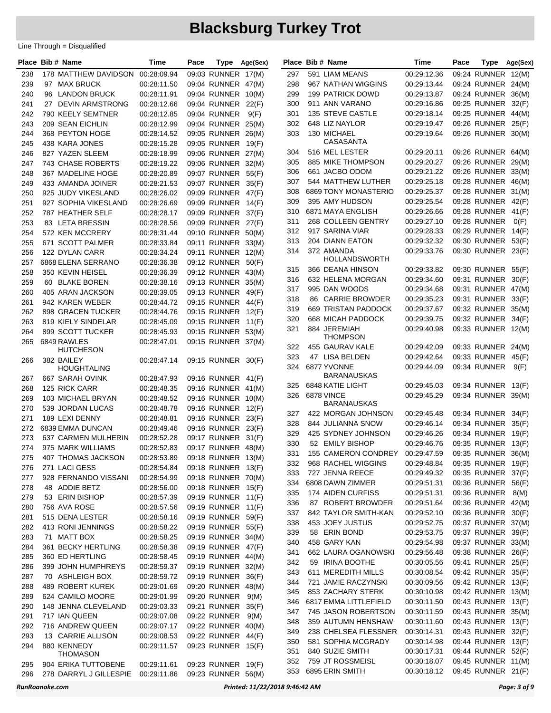|     | Place Bib # Name                 | Time        | Pace | <b>Type</b>        | Age(Sex) |            | Place Bib # Name                      | Time                       | Pace | <b>Type</b>                              | Age(Sex) |
|-----|----------------------------------|-------------|------|--------------------|----------|------------|---------------------------------------|----------------------------|------|------------------------------------------|----------|
| 238 | 178 MATTHEW DAVIDSON 00:28:09.94 |             |      | 09:03 RUNNER 17(M) |          | 297        | 591 LIAM MEANS                        | 00:29:12.36                |      | 09:24 RUNNER 12(M)                       |          |
| 239 | 97 MAX BRUCK                     | 00:28:11.50 |      | 09:04 RUNNER 47(M) |          | 298        | 967 NATHAN WIGGINS                    | 00:29:13.44                |      | 09:24 RUNNER 24(M)                       |          |
| 240 | 96 LANDON BRUCK                  | 00:28:11.91 |      | 09:04 RUNNER 10(M) |          | 299        | 199 PATRICK DOWD                      | 00:29:13.87                |      | 09:24 RUNNER 36(M)                       |          |
| 241 | 27 DEVIN ARMSTRONG               | 00:28:12.66 |      | 09:04 RUNNER       | 22(F)    | 300        | 911 ANN VARANO                        | 00:29:16.86                |      | 09:25 RUNNER 32(F)                       |          |
| 242 | 790 KEELY SEMTNER                | 00:28:12.85 |      | 09:04 RUNNER       | 9(F)     | 301        | 135 STEVE CASTLE                      | 00:29:18.14                |      | 09:25 RUNNER 44(M)                       |          |
| 243 | 209 SEAN EICHLIN                 | 00:28:12.99 |      | 09:04 RUNNER 25(M) |          | 302        | 648 LIZ NAYLOR                        | 00:29:19.47                |      | 09:26 RUNNER 25(F)                       |          |
| 244 | 368 PEYTON HOGE                  | 00:28:14.52 |      | 09:05 RUNNER       | 26(M)    | 303        | 130 MICHAEL                           | 00:29:19.64                |      | 09:26 RUNNER 30(M)                       |          |
| 245 | 438 KARA JONES                   | 00:28:15.28 |      | 09:05 RUNNER 19(F) |          |            | CASASANTA                             |                            |      |                                          |          |
| 246 | 827 YAZEN SLEEM                  | 00:28:18.99 |      | 09:06 RUNNER 27(M) |          | 304        | 516 MEL LESTER                        | 00:29:20.11                |      | 09:26 RUNNER 64(M)                       |          |
| 247 | 743 CHASE ROBERTS                | 00:28:19.22 |      | 09:06 RUNNER 32(M) |          | 305        | 885 MIKE THOMPSON                     | 00:29:20.27                |      | 09:26 RUNNER 29(M)                       |          |
| 248 | 367 MADELINE HOGE                | 00:28:20.89 |      | 09:07 RUNNER 55(F) |          | 306        | 661 JACBO ODOM                        | 00:29:21.22                |      | 09:26 RUNNER 33(M)                       |          |
| 249 | 433 AMANDA JOINER                | 00:28:21.53 |      | 09:07 RUNNER       | 35(F)    | 307        | 544 MATTHEW LUTHER                    | 00:29:25.18                |      | 09:28 RUNNER 46(M)                       |          |
| 250 | 925 JUDY VIKESLAND               | 00:28:26.02 |      | 09:09 RUNNER       | 47(F)    | 308        | 6869 TONY MONASTERIO                  | 00:29:25.37                |      | 09:28 RUNNER 31(M)                       |          |
| 251 | 927 SOPHIA VIKESLAND             | 00:28:26.69 |      | 09:09 RUNNER 14(F) |          | 309        | 395 AMY HUDSON                        | 00:29:25.54                |      | 09:28 RUNNER 42(F)                       |          |
| 252 | 787 HEATHER SELF                 | 00:28:28.17 |      | 09:09 RUNNER       | 37(F)    | 310        | 6871 MAYA ENGLISH                     | 00:29:26.66                |      | 09:28 RUNNER 41(F)                       |          |
| 253 | 83 LETA BRESSIN                  | 00:28:28.56 |      | 09:09 RUNNER       | 27(F)    | 311        | 268 COLLEEN GENTRY                    | 00:29:27.10                |      | 09:28 RUNNER                             | O(F)     |
| 254 | 572 KEN MCCRERY                  | 00:28:31.44 |      | 09:10 RUNNER 50(M) |          | 312        | 917 SARINA VIAR                       | 00:29:28.33                |      | 09:29 RUNNER 14(F)                       |          |
| 255 | 671 SCOTT PALMER                 | 00:28:33.84 |      | 09:11 RUNNER 33(M) |          | 313        | <b>204 DIANN EATON</b>                | 00:29:32.32                |      | 09:30 RUNNER 53(F)                       |          |
| 256 | 122 DYLAN CARR                   | 00:28:34.24 |      | 09:11 RUNNER       | 12(M)    | 314        | 372 AMANDA<br><b>HOLLANDSWORTH</b>    | 00:29:33.76                |      | 09:30 RUNNER 23(F)                       |          |
| 257 | 6868 ELENA SERRANO               | 00:28:36.38 |      | 09:12 RUNNER       | 50(F)    | 315        | 366 DEANA HINSON                      | 00:29:33.82                |      | 09:30 RUNNER 55(F)                       |          |
| 258 | 350 KEVIN HEISEL                 | 00:28:36.39 |      | 09:12 RUNNER 43(M) |          | 316        | 632 HELENA MORGAN                     | 00:29:34.60                |      | 09:31 RUNNER 30(F)                       |          |
| 259 | 60 BLAKE BOREN                   | 00:28:38.16 |      | 09:13 RUNNER       | 35(M)    | 317        | 995 DAN WOODS                         | 00:29:34.68                |      | 09:31 RUNNER 47(M)                       |          |
| 260 | 405 ARAN JACKSON                 | 00:28:39.05 |      | 09:13 RUNNER       | 49(F)    | 318        | 86 CARRIE BROWDER                     | 00:29:35.23                |      | 09:31 RUNNER                             | 33(F)    |
| 261 | 942 KAREN WEBER                  | 00:28:44.72 |      | 09:15 RUNNER 44(F) |          | 319        | 669 TRISTAN PADDOCK                   | 00:29:37.67                |      | 09:32 RUNNER 35(M)                       |          |
| 262 | 898 GRACEN TUCKER                | 00:28:44.76 |      | 09:15 RUNNER 12(F) |          | 320        | 668 MICAH PADDOCK                     | 00:29:39.75                |      | 09:32 RUNNER 34(F)                       |          |
| 263 | 819 KIELY SINDELAR               | 00:28:45.09 |      | 09:15 RUNNER 11(F) |          | 321        | 884 JEREMIAH                          | 00:29:40.98                |      | 09:33 RUNNER 12(M)                       |          |
| 264 | 899 SCOTT TUCKER                 | 00:28:45.93 |      | 09:15 RUNNER 53(M) |          |            | <b>THOMPSON</b>                       |                            |      |                                          |          |
| 265 | 6849 RAWLES<br><b>HUTCHESON</b>  | 00:28:47.01 |      | 09:15 RUNNER 37(M) |          | 322        | 455 GAURAV KALE                       | 00:29:42.09                |      | 09:33 RUNNER 24(M)                       |          |
| 266 | 382 BAILEY                       | 00:28:47.14 |      | 09:15 RUNNER 30(F) |          | 323        | 47 LISA BELDEN                        | 00:29:42.64                |      | 09:33 RUNNER                             | 45(F)    |
|     | <b>HOUGHTALING</b>               |             |      |                    |          | 324        | 6877 YVONNE                           | 00:29:44.09                |      | 09:34 RUNNER                             | 9(F)     |
| 267 | 667 SARAH OVINK                  | 00:28:47.93 |      | 09:16 RUNNER 41(F) |          |            | <b>BARANAUSKAS</b>                    |                            |      |                                          |          |
| 268 | 125 RICK CARR                    | 00:28:48.35 |      | 09:16 RUNNER 41(M) |          | 325        | 6848 KATIE LIGHT                      | 00:29:45.03                |      | 09:34 RUNNER                             | 13(F)    |
| 269 | 103 MICHAEL BRYAN                | 00:28:48.52 |      | 09:16 RUNNER 10(M) |          | 326        | 6878 VINCE                            | 00:29:45.29                |      | 09:34 RUNNER 39(M)                       |          |
| 270 | 539 JORDAN LUCAS                 | 00:28:48.78 |      | 09:16 RUNNER 12(F) |          |            | <b>BARANAUSKAS</b>                    |                            |      |                                          |          |
| 271 | 189 LEXI DENNY                   | 00:28:48.81 |      | 09:16 RUNNER 23(F) |          | 327        | 422 MORGAN JOHNSON                    | 00:29:45.48                |      | 09:34 RUNNER 34(F)                       |          |
| 272 | 6839 EMMA DUNCAN                 | 00:28:49.46 |      | 09:16 RUNNER       | 23(F)    | 328        | 844 JULIANNA SNOW                     | 00:29:46.14                |      | 09:34 RUNNER 35(F)                       |          |
| 273 | 637 CARMEN MULHERIN              | 00:28:52.28 |      | 09:17 RUNNER       | 31(F)    | 329        | 425 SYDNEY JOHNSON                    | 00:29:46.26                |      | 09:34 RUNNER                             | 19(F)    |
| 274 | 975 MARK WILLIAMS                | 00:28:52.83 |      | 09:17 RUNNER 48(M) |          | 330        | 52 EMILY BISHOP                       | 00:29:46.76                |      | 09:35 RUNNER 13(F)                       |          |
| 275 | 407 THOMAS JACKSON               | 00:28:53.89 |      | 09:18 RUNNER 13(M) |          | 331        | 155 CAMERON CONDREY                   | 00:29:47.59                |      | 09:35 RUNNER 36(M)                       |          |
| 276 | 271 LACI GESS                    | 00:28:54.84 |      | 09:18 RUNNER 13(F) |          | 332<br>333 | 968 RACHEL WIGGINS                    | 00:29:48.84                |      | 09:35 RUNNER 19(F)<br>09:35 RUNNER 37(F) |          |
| 277 | 928 FERNANDO VISSANI             | 00:28:54.99 |      | 09:18 RUNNER 70(M) |          | 334        | 727 JENNA REECE                       | 00:29:49.32                |      | 09:36 RUNNER 56(F)                       |          |
| 278 | 48 ADDIE BETZ                    | 00:28:56.00 |      | 09:18 RUNNER 15(F) |          | 335        | 6808 DAWN ZIMMER<br>174 AIDEN CURFISS | 00:29:51.31<br>00:29:51.31 |      | 09:36 RUNNER                             | 8(M)     |
| 279 | 53 ERIN BISHOP                   | 00:28:57.39 |      | 09:19 RUNNER 11(F) |          | 336        | 87 ROBERT BROWDER                     | 00:29:51.64                |      | 09:36 RUNNER 42(M)                       |          |
| 280 | 756 AVA ROSE                     | 00:28:57.56 |      | 09:19 RUNNER 11(F) |          | 337        | 842 TAYLOR SMITH-KAN                  | 00:29:52.10                |      | 09:36 RUNNER 30(F)                       |          |
| 281 | 515 DENA LESTER                  | 00:28:58.16 |      | 09:19 RUNNER 59(F) |          | 338        | 453 JOEY JUSTUS                       | 00:29:52.75                |      | 09:37 RUNNER 37(M)                       |          |
| 282 | 413 RONI JENNINGS                | 00:28:58.22 |      | 09:19 RUNNER 55(F) |          | 339        | 58 ERIN BOND                          | 00:29:53.75                |      | 09:37 RUNNER 39(F)                       |          |
| 283 | 71 MATT BOX                      | 00:28:58.25 |      | 09:19 RUNNER 34(M) |          | 340        | 458 GARY KAN                          | 00:29:54.98                |      | 09:37 RUNNER 33(M)                       |          |
| 284 | 361 BECKY HERTLING               | 00:28:58.38 |      | 09:19 RUNNER 47(F) |          | 341        | 662 LAURA OGANOWSKI                   | 00:29:56.48                |      | 09:38 RUNNER 26(F)                       |          |
| 285 | 360 ED HERTLING                  | 00:28:58.45 |      | 09:19 RUNNER 44(M) |          | 342        | 59 IRINA BOOTHE                       | 00:30:05.56                |      | 09:41 RUNNER 25(F)                       |          |
| 286 | 399 JOHN HUMPHREYS               | 00:28:59.37 |      | 09:19 RUNNER 32(M) |          | 343        | 611 MEREDITH MILLS                    | 00:30:08.54                |      | 09:42 RUNNER 35(F)                       |          |
| 287 | 70 ASHLEIGH BOX                  | 00:28:59.72 |      | 09:19 RUNNER 36(F) |          | 344        | 721 JAMIE RACZYNSKI                   | 00:30:09.56                |      | 09:42 RUNNER 13(F)                       |          |
| 288 | 489 ROBERT KUREK                 | 00:29:01.69 |      | 09:20 RUNNER 48(M) |          | 345        | 853 ZACHARY STERK                     | 00:30:10.98                |      | 09:42 RUNNER 13(M)                       |          |
| 289 | 624 CAMILO MOORE                 | 00:29:01.99 |      | 09:20 RUNNER       | 9(M)     | 346        | 6817 EMMA LITTLEFIELD                 | 00:30:11.50                |      | 09:43 RUNNER 13(F)                       |          |
| 290 | 148 JENNA CLEVELAND              | 00:29:03.33 |      | 09:21 RUNNER       | 35(F)    | 347        | 745 JASON ROBERTSON                   | 00:30:11.59                |      | 09:43 RUNNER 35(M)                       |          |
| 291 | 717 IAN QUEEN                    | 00:29:07.08 |      | 09:22 RUNNER       | 9(M)     | 348        | 359 AUTUMN HENSHAW                    | 00:30:11.60                |      | 09:43 RUNNER 13(F)                       |          |
| 292 | 716 ANDREW QUEEN                 | 00:29:07.17 |      | 09:22 RUNNER 40(M) |          | 349        | 238 CHELSEA FLESSNER                  | 00:30:14.31                |      | 09:43 RUNNER 32(F)                       |          |
| 293 | 13 CARRIE ALLISON                | 00:29:08.53 |      | 09:22 RUNNER       | 44(F)    | 350        | 581 SOPHIA MCGRADY                    | 00:30:14.98                |      | 09:44 RUNNER 13(F)                       |          |
| 294 | 880 KENNEDY<br><b>THOMASON</b>   | 00:29:11.57 |      | 09:23 RUNNER 15(F) |          | 351        | 840 SUZIE SMITH                       | 00:30:17.31                |      | 09:44 RUNNER 52(F)                       |          |
| 295 | 904 ERIKA TUTTOBENE              | 00:29:11.61 |      | 09:23 RUNNER 19(F) |          | 352        | 759 JT ROSSMEISL                      | 00:30:18.07                |      | 09:45 RUNNER 11(M)                       |          |
| 296 | 278 DARRYL J GILLESPIE           | 00:29:11.86 |      | 09:23 RUNNER 56(M) |          | 353        | 6895 ERIN SMITH                       | 00:30:18.12                |      | 09:45 RUNNER 21(F)                       |          |
|     |                                  |             |      |                    |          |            |                                       |                            |      |                                          |          |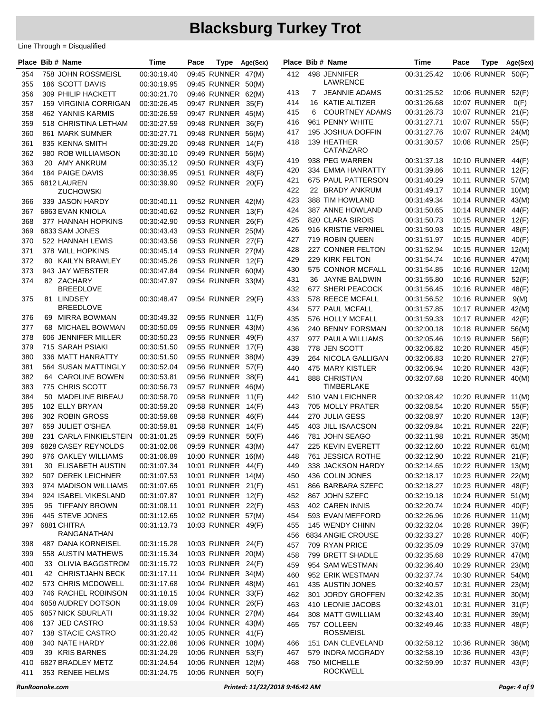|     | Place Bib # Name               | Time                       | Pace | Type                                     | Age(Sex)       |     | Place Bib # Name                   | Time        | Pace | <b>Type</b>         | Age(Sex) |
|-----|--------------------------------|----------------------------|------|------------------------------------------|----------------|-----|------------------------------------|-------------|------|---------------------|----------|
| 354 | 758 JOHN ROSSMEISL             | 00:30:19.40                |      | 09:45 RUNNER 47(M)                       |                | 412 | 498 JENNIFER                       | 00:31:25.42 |      | 10:06 RUNNER 50(F)  |          |
| 355 | 186 SCOTT DAVIS                | 00:30:19.95                |      | 09:45 RUNNER 50(M)                       |                |     | LAWRENCE                           |             |      |                     |          |
| 356 | 309 PHILIP HACKETT             | 00:30:21.70                |      | 09:46 RUNNER 62(M)                       |                | 413 | 7 JEANNIE ADAMS                    | 00:31:25.52 |      | 10:06 RUNNER        | 52(F)    |
| 357 | <b>159 VIRGINIA CORRIGAN</b>   | 00:30:26.45                |      | 09:47 RUNNER                             | 35(F)          | 414 | 16 KATIE ALTIZER                   | 00:31:26.68 |      | 10:07 RUNNER        | O(F)     |
| 358 | 462 YANNIS KARMIS              | 00:30:26.59                |      | 09:47 RUNNER 45(M)                       |                | 415 | <b>COURTNEY ADAMS</b><br>6         | 00:31:26.73 |      | 10:07 RUNNER 21(F)  |          |
| 359 | 518 CHRISTINA LETHAM           | 00:30:27.59                |      | 09:48 RUNNER 36(F)                       |                | 416 | 961 PENNY WHITE                    | 00:31:27.71 |      | 10:07 RUNNER 55(F)  |          |
| 360 | 861 MARK SUMNER                | 00:30:27.71                |      | 09:48 RUNNER 56(M)                       |                | 417 | 195 JOSHUA DOFFIN                  | 00:31:27.76 |      | 10:07 RUNNER 24(M)  |          |
| 361 | 835 KENNA SMITH                | 00:30:29.20                |      | 09:48 RUNNER                             | 14(F)          | 418 | 139 HEATHER                        | 00:31:30.57 |      | 10:08 RUNNER 25(F)  |          |
| 362 | 980 ROB WILLIAMSON             | 00:30:30.10                |      | 09:49 RUNNER 56(M)                       |                |     | CATANZARO                          |             |      |                     |          |
| 363 | 20 AMY ANKRUM                  | 00:30:35.12                |      | 09:50 RUNNER                             | 43(F)          | 419 | 938 PEG WARREN                     | 00:31:37.18 |      | 10:10 RUNNER 44(F)  |          |
| 364 | 184 PAIGE DAVIS                | 00:30:38.95                |      | 09:51 RUNNER                             | 48(F)          | 420 | 334 EMMA HANRATTY                  | 00:31:39.86 |      | 10:11 RUNNER 12(F)  |          |
| 365 | 6812 LAUREN                    | 00:30:39.90                |      | 09:52 RUNNER 20(F)                       |                | 421 | 675 PAUL PATTERSON                 | 00:31:40.29 |      | 10:11 RUNNER 57(M)  |          |
|     | <b>ZUCHOWSKI</b>               |                            |      |                                          |                | 422 | 22 BRADY ANKRUM                    | 00:31:49.17 |      | 10:14 RUNNER 10(M)  |          |
| 366 | 339 JASON HARDY                | 00:30:40.11                |      | 09:52 RUNNER 42(M)                       |                | 423 | 388 TIM HOWLAND                    | 00:31:49.34 |      | 10:14 RUNNER 43(M)  |          |
| 367 | 6863 EVAN KNIOLA               | 00:30:40.62                |      | 09:52 RUNNER                             | 13(F)          | 424 | 387 ANNE HOWLAND                   | 00:31:50.65 |      | 10:14 RUNNER 44(F)  |          |
| 368 | 377 HANNAH HOPKINS             | 00:30:42.90                |      | 09:53 RUNNER 26(F)                       |                | 425 | 820 CLARA SIROIS                   | 00:31:50.73 |      | 10:15 RUNNER 12(F)  |          |
| 369 | 6833 SAM JONES                 | 00:30:43.43                |      | 09:53 RUNNER 25(M)                       |                | 426 | 916 KRISTIE VERNIEL                | 00:31:50.93 |      | 10:15 RUNNER        | 48(F)    |
| 370 | 522 HANNAH LEWIS               | 00:30:43.56                |      | 09:53 RUNNER 27(F)                       |                | 427 | 719 ROBIN QUEEN                    | 00:31:51.97 |      | 10:15 RUNNER 40(F)  |          |
| 371 | 378 WILL HOPKINS               | 00:30:45.14                |      | 09:53 RUNNER 27(M)                       |                | 428 | 227 CONNER FELTON                  | 00:31:52.94 |      | 10:15 RUNNER 12(M)  |          |
| 372 | 80 KAILYN BRAWLEY              | 00:30:45.26                |      | 09:53 RUNNER                             | 12(F)          | 429 | 229 KIRK FELTON                    | 00:31:54.74 |      | 10:16 RUNNER 47(M)  |          |
| 373 | 943 JAY WEBSTER                | 00:30:47.84                |      | 09:54 RUNNER 60(M)                       |                | 430 | 575 CONNOR MCFALL                  | 00:31:54.85 |      | 10:16 RUNNER 12(M)  |          |
| 374 | 82 ZACHARY                     | 00:30:47.97                |      | 09:54 RUNNER 33(M)                       |                | 431 | 36 JAYNE BALDWIN                   | 00:31:55.80 |      | 10:16 RUNNER 52(F)  |          |
|     | <b>BREEDLOVE</b>               |                            |      |                                          |                | 432 | 677 SHERI PEACOCK                  | 00:31:56.45 |      | 10:16 RUNNER        | 48(F)    |
| 375 | 81 LINDSEY<br><b>BREEDLOVE</b> | 00:30:48.47                |      | 09:54 RUNNER 29(F)                       |                | 433 | 578 REECE MCFALL                   | 00:31:56.52 |      | <b>10:16 RUNNER</b> | 9(M)     |
| 376 | 69 MIRRA BOWMAN                | 00:30:49.32                |      | 09:55 RUNNER 11(F)                       |                | 434 | 577 PAUL MCFALL                    | 00:31:57.85 |      | 10:17 RUNNER 42(M)  |          |
| 377 | 68 MICHAEL BOWMAN              |                            |      |                                          |                | 435 | 576 HOLLY MCFALL                   | 00:31:59.33 |      | 10:17 RUNNER        | 42(F)    |
| 378 | 606 JENNIFER MILLER            | 00:30:50.09<br>00:30:50.23 |      | 09:55 RUNNER 43(M)<br>09:55 RUNNER 49(F) |                | 436 | 240 BENNY FORSMAN                  | 00:32:00.18 |      | 10:18 RUNNER 56(M)  |          |
| 379 | 715 SARAH PSIAKI               | 00:30:51.50                |      | 09:55 RUNNER                             |                | 437 | 977 PAULA WILLIAMS                 | 00:32:05.46 |      | 10:19 RUNNER        | 56(F)    |
| 380 | 336 MATT HANRATTY              | 00:30:51.50                |      | 09:55 RUNNER                             | 17(F)<br>38(M) | 438 | 778 JEN SCOTT                      | 00:32:06.82 |      | 10:20 RUNNER        | 45(F)    |
| 381 | 564 SUSAN MATTINGLY            | 00:30:52.04                |      | 09:56 RUNNER 57(F)                       |                | 439 | 264 NICOLA GALLIGAN                | 00:32:06.83 |      | 10:20 RUNNER        | 27(F)    |
| 382 | 64 CAROLINE BOWEN              | 00:30:53.81                |      | 09:56 RUNNER                             | 38(F)          | 440 | 475 MARY KISTLER                   | 00:32:06.94 |      | <b>10:20 RUNNER</b> | 43(F)    |
| 383 | 775 CHRIS SCOTT                | 00:30:56.73                |      | 09:57 RUNNER 46(M)                       |                | 441 | 888 CHRISTIAN<br><b>TIMBERLAKE</b> | 00:32:07.68 |      | 10:20 RUNNER 40(M)  |          |
| 384 | 50 MADELINE BIBEAU             | 00:30:58.70                |      | 09:58 RUNNER                             | 11(F)          | 442 | 510 VAN LEICHNER                   | 00:32:08.42 |      | 10:20 RUNNER 11(M)  |          |
| 385 | 102 ELLY BRYAN                 | 00:30:59.20                |      | 09:58 RUNNER                             | 14(F)          | 443 | 705 MOLLY PRATER                   | 00:32:08.54 |      | <b>10:20 RUNNER</b> | 55(F)    |
| 386 | 302 ROBIN GROSS                | 00:30:59.68                |      | 09:58 RUNNER                             | 46(F)          | 444 | 270 JULIA GESS                     | 00:32:08.97 |      | <b>10:20 RUNNER</b> | 13(F)    |
| 387 | 659 JULIET O'SHEA              | 00:30:59.81                |      | 09:58 RUNNER 14(F)                       |                | 445 | 403 JILL ISAACSON                  | 00:32:09.84 |      | 10:21 RUNNER        | 22(F)    |
| 388 | 231 CARLA FINKIELSTEIN         | 00:31:01.25                |      | 09:59 RUNNER                             | 50(F)          | 446 | 781 JOHN SEAGO                     | 00:32:11.98 |      | 10:21 RUNNER 35(M)  |          |
| 389 | 6828 CASEY REYNOLDS            | 00:31:02.06                |      | 09:59 RUNNER 43(M)                       |                | 447 | 225 KEVIN EVERETT                  | 00:32:12.60 |      | 10:22 RUNNER 61(M)  |          |
| 390 | 976 OAKLEY WILLIAMS            | 00:31:06.89                |      | 10:00 RUNNER 16(M)                       |                | 448 | 761 JESSICA ROTHE                  | 00:32:12.90 |      | 10:22 RUNNER 21(F)  |          |
| 391 | 30 ELISABETH AUSTIN            | 00:31:07.34                |      | 10:01 RUNNER 44(F)                       |                | 449 | 338 JACKSON HARDY                  | 00:32:14.65 |      | 10:22 RUNNER 13(M)  |          |
| 392 | 507 DEREK LEICHNER             | 00:31:07.53                |      | 10:01 RUNNER 14(M)                       |                | 450 | 436 COLIN JONES                    | 00:32:18.17 |      | 10:23 RUNNER 22(M)  |          |
| 393 | 974 MADISON WILLIAMS           | 00:31:07.65                |      | 10:01 RUNNER 21(F)                       |                | 451 | 866 BARBARA SZEFC                  | 00:32:18.27 |      | 10:23 RUNNER 48(F)  |          |
| 394 | 924 ISABEL VIKESLAND           | 00:31:07.87                |      | 10:01 RUNNER 12(F)                       |                | 452 | 867 JOHN SZEFC                     | 00:32:19.18 |      | 10:24 RUNNER 51(M)  |          |
| 395 | 95 TIFFANY BROWN               | 00:31:08.11                |      | 10:01 RUNNER 22(F)                       |                | 453 | 402 CAREN INNIS                    | 00:32:20.74 |      | 10:24 RUNNER 40(F)  |          |
| 396 | 445 STEVE JONES                | 00:31:12.65                |      | 10:02 RUNNER 57(M)                       |                | 454 | 593 EVAN MEFFORD                   | 00:32:26.96 |      | 10:26 RUNNER 11(M)  |          |
| 397 | 6881 CHITRA                    | 00:31:13.73                |      | 10:03 RUNNER 49(F)                       |                | 455 | 145 WENDY CHINN                    | 00:32:32.04 |      | 10:28 RUNNER 39(F)  |          |
|     | RANGANATHAN                    |                            |      |                                          |                | 456 | 6834 ANGIE CROUSE                  | 00:32:33.27 |      | 10:28 RUNNER 40(F)  |          |
| 398 | 487 DANA KORNEISEL             | 00:31:15.28                |      | 10:03 RUNNER 24(F)                       |                | 457 | 709 RYAN PRICE                     | 00:32:35.09 |      | 10:29 RUNNER 37(M)  |          |
| 399 | 558 AUSTIN MATHEWS             | 00:31:15.34                |      | 10:03 RUNNER 20(M)                       |                | 458 | 799 BRETT SHADLE                   | 00:32:35.68 |      | 10:29 RUNNER 47(M)  |          |
| 400 | 33 OLIVIA BAGGSTROM            | 00:31:15.72                |      | 10:03 RUNNER 24(F)                       |                | 459 | 954 SAM WESTMAN                    | 00:32:36.40 |      | 10:29 RUNNER 23(M)  |          |
| 401 | 42 CHRISTJAHN BECK             | 00:31:17.11                |      | 10:04 RUNNER 34(M)                       |                | 460 | 952 ERIK WESTMAN                   | 00:32:37.74 |      | 10:30 RUNNER 54(M)  |          |
| 402 | 573 CHRIS MCDOWELL             | 00:31:17.68                |      | 10:04 RUNNER 48(M)                       |                | 461 | 435 AUSTIN JONES                   | 00:32:40.57 |      | 10:31 RUNNER 23(M)  |          |
| 403 | 746 RACHEL ROBINSON            | 00:31:18.15                |      | 10:04 RUNNER 33(F)                       |                | 462 | 301 JORDY GROFFEN                  | 00:32:42.35 |      | 10:31 RUNNER 30(M)  |          |
| 404 | 6858 AUDREY DOTSON             | 00:31:19.09                |      | 10:04 RUNNER 26(F)                       |                | 463 | 410 LEONIE JACOBS                  | 00:32:43.01 |      | 10:31 RUNNER 31(F)  |          |
| 405 | 6857 NICK SBURLATI             | 00:31:19.32                |      | 10:04 RUNNER 27(M)                       |                | 464 | 308 MATT GWILLIAM                  | 00:32:43.40 |      | 10:31 RUNNER 39(M)  |          |
| 406 | 137 JED CASTRO                 | 00:31:19.53                |      | 10:04 RUNNER 43(M)                       |                | 465 | 757 COLLEEN                        | 00:32:49.46 |      | 10:33 RUNNER 48(F)  |          |
| 407 | 138 STACIE CASTRO              | 00:31:20.42                |      | 10:05 RUNNER 41(F)                       |                |     | <b>ROSSMEISL</b>                   |             |      |                     |          |
| 408 | 340 NATE HARDY                 | 00:31:22.86                |      | 10:06 RUNNER 10(M)                       |                | 466 | 151 DAN CLEVELAND                  | 00:32:58.12 |      | 10:36 RUNNER 38(M)  |          |
| 409 | 39 KRIS BARNES                 | 00:31:24.29                |      | 10:06 RUNNER 53(F)                       |                | 467 | 579 INDRA MCGRADY                  | 00:32:58.19 |      | 10:36 RUNNER 43(F)  |          |
| 410 | 6827 BRADLEY METZ              | 00:31:24.54                |      | 10:06 RUNNER 12(M)                       |                | 468 | 750 MICHELLE                       | 00:32:59.99 |      | 10:37 RUNNER 43(F)  |          |
| 411 | 353 RENEE HELMS                | 00:31:24.75                |      | 10:06 RUNNER 50(F)                       |                |     | <b>ROCKWELL</b>                    |             |      |                     |          |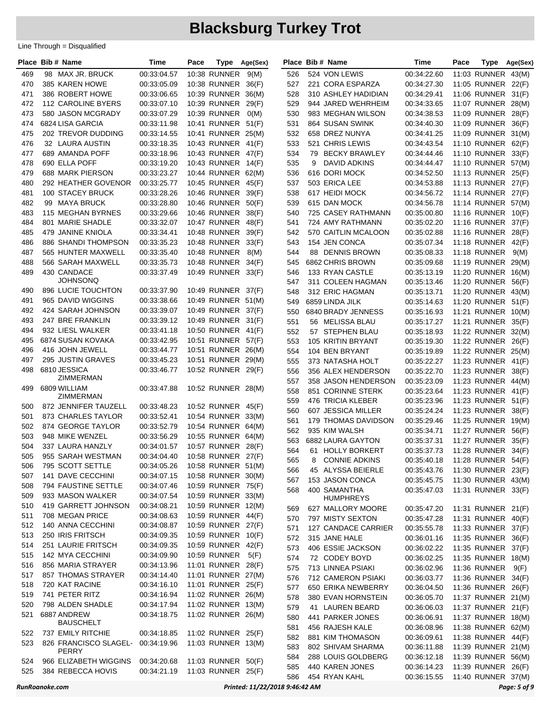|     | Place Bib # Name      | Time        | Pace | Type                | Age(Sex) |     | Place Bib # Name    | Time        | Pace | <b>Type</b>         | Age(Sex) |
|-----|-----------------------|-------------|------|---------------------|----------|-----|---------------------|-------------|------|---------------------|----------|
| 469 | 98 MAX JR. BRUCK      | 00:33:04.57 |      | 10:38 RUNNER        | 9(M)     | 526 | 524 VON LEWIS       | 00:34:22.60 |      | 11:03 RUNNER 43(M)  |          |
| 470 | 385 KAREN HOWE        | 00:33:05.09 |      | 10:38 RUNNER 36(F)  |          | 527 | 221 CORA ESPARZA    | 00:34:27.30 |      | 11:05 RUNNER        | 22(F)    |
| 471 | 386 ROBERT HOWE       | 00:33:06.65 |      | 10:39 RUNNER 36(M)  |          | 528 | 310 ASHLEY HADIDIAN | 00:34:29.41 |      | <b>11:06 RUNNER</b> | 31(F)    |
| 472 | 112 CAROLINE BYERS    | 00:33:07.10 |      | 10:39 RUNNER        | 29(F)    | 529 | 944 JARED WEHRHEIM  | 00:34:33.65 |      | 11:07 RUNNER 28(M)  |          |
| 473 | 580 JASON MCGRADY     | 00:33:07.29 |      | 10:39 RUNNER        | O(M)     | 530 | 983 MEGHAN WILSON   | 00:34:38.53 |      | 11:09 RUNNER        | 28(F)    |
| 474 | 6824 LISA GARCIA      | 00:33:11.98 |      | 10:41 RUNNER 51(F)  |          | 531 | 864 SUSAN SWINK     | 00:34:40.30 |      | 11:09 RUNNER 36(F)  |          |
| 475 | 202 TREVOR DUDDING    | 00:33:14.55 |      | 10:41 RUNNER 25(M)  |          | 532 | 658 DREZ NUNYA      | 00:34:41.25 |      | 11:09 RUNNER 31(M)  |          |
| 476 | 32 LAURA AUSTIN       | 00:33:18.35 |      | 10:43 RUNNER 41(F)  |          | 533 | 521 CHRIS LEWIS     | 00:34:43.54 |      | 11:10 RUNNER 62(F)  |          |
| 477 | 689 AMANDA POFF       | 00:33:18.96 |      | 10:43 RUNNER        | 47(F)    | 534 | 79 BECKY BRAWLEY    | 00:34:44.46 |      | 11:10 RUNNER        | 33(F)    |
| 478 | 690 ELLA POFF         | 00:33:19.20 |      | 10:43 RUNNER        | 14(F)    | 535 | 9<br>DAVID ADKINS   | 00:34:44.47 |      | 11:10 RUNNER 57(M)  |          |
| 479 | 688 MARK PIERSON      | 00:33:23.27 |      | 10:44 RUNNER 62(M)  |          | 536 | 616 DORI MOCK       | 00:34:52.50 |      | 11:13 RUNNER 25(F)  |          |
| 480 | 292 HEATHER GOVENOR   | 00:33:25.77 |      | 10:45 RUNNER 45(F)  |          | 537 | 503 ERICA LEE       | 00:34:53.88 |      | 11:13 RUNNER 27(F)  |          |
| 481 | 100 STACEY BRUCK      | 00:33:28.26 |      | 10:46 RUNNER 39(F)  |          | 538 | 617 HEIDI MOCK      | 00:34:56.72 |      | 11:14 RUNNER 27(F)  |          |
| 482 | 99 MAYA BRUCK         | 00:33:28.80 |      | 10:46 RUNNER 50(F)  |          | 539 | 615 DAN MOCK        | 00:34:56.78 |      | 11:14 RUNNER 57(M)  |          |
| 483 | 115 MEGHAN BYRNES     | 00:33:29.66 |      | <b>10:46 RUNNER</b> | 38(F)    | 540 | 725 CASEY RATHMANN  | 00:35:00.80 |      | 11:16 RUNNER        | 10(F)    |
| 484 | 801 MARIE SHADLE      | 00:33:32.07 |      | <b>10:47 RUNNER</b> | 48(F)    | 541 | 724 AMY RATHMANN    | 00:35:02.20 |      | 11:16 RUNNER        | 37(F)    |
| 485 | 479 JANINE KNIOLA     | 00:33:34.41 |      | 10:48 RUNNER 39(F)  |          | 542 | 570 CAITLIN MCALOON | 00:35:02.88 |      | 11:16 RUNNER        | 28(F)    |
| 486 | 886 SHANDI THOMPSON   | 00:33:35.23 |      | 10:48 RUNNER        | 33(F)    | 543 | 154 JEN CONCA       | 00:35:07.34 |      | <b>11:18 RUNNER</b> | 42(F)    |
| 487 | 565 HUNTER MAXWELL    | 00:33:35.40 |      | <b>10:48 RUNNER</b> | 8(M)     | 544 | 88 DENNIS BROWN     | 00:35:08.33 |      | 11:18 RUNNER        | 9(M)     |
| 488 | 566 SARAH MAXWELL     | 00:33:35.73 |      | 10:48 RUNNER 34(F)  |          | 545 | 6862 CHRIS BROWN    | 00:35:09.68 |      | 11:19 RUNNER 29(M)  |          |
| 489 | 430 CANDACE           | 00:33:37.49 |      | <b>10:49 RUNNER</b> | 33(F)    | 546 | 133 RYAN CASTLE     | 00:35:13.19 |      | 11:20 RUNNER 16(M)  |          |
|     | <b>JOHNSONQ</b>       |             |      |                     |          | 547 | 311 COLEEN HAGMAN   | 00:35:13.46 |      | 11:20 RUNNER        | 56(F)    |
| 490 | 896 LUCIE TOUCHTON    | 00:33:37.90 |      | 10:49 RUNNER 37(F)  |          | 548 | 312 ERIC HAGMAN     | 00:35:13.71 |      | 11:20 RUNNER 43(M)  |          |
| 491 | 965 DAVID WIGGINS     | 00:33:38.66 |      | 10:49 RUNNER 51(M)  |          | 549 | 6859 LINDA JILK     | 00:35:14.63 |      | 11:20 RUNNER 51(F)  |          |
| 492 | 424 SARAH JOHNSON     | 00:33:39.07 |      | 10:49 RUNNER 37(F)  |          | 550 | 6840 BRADY JENNESS  | 00:35:16.93 |      | 11:21 RUNNER 10(M)  |          |
| 493 | 247 BRE FRANKLIN      | 00:33:39.12 |      | 10:49 RUNNER 31(F)  |          | 551 | 56 MELISSA BLAU     | 00:35:17.27 |      | 11:21 RUNNER        | 35(F)    |
| 494 | 932 LIESL WALKER      | 00:33:41.18 |      | 10:50 RUNNER 41(F)  |          | 552 | 57 STEPHEN BLAU     | 00:35:18.93 |      | 11:22 RUNNER 32(M)  |          |
| 495 | 6874 SUSAN KOVAKA     | 00:33:42.95 |      | 10:51 RUNNER 57(F)  |          | 553 | 105 KRITIN BRYANT   | 00:35:19.30 |      | 11:22 RUNNER        | 26(F)    |
| 496 | 416 JOHN JEWELL       | 00:33:44.77 |      | 10:51 RUNNER 26(M)  |          | 554 | 104 BEN BRYANT      |             |      | 11:22 RUNNER 25(M)  |          |
| 497 | 295 JUSTIN GRAVES     | 00:33:45.23 |      | 10:51 RUNNER 29(M)  |          | 555 | 373 NATASHA HOLT    | 00:35:19.89 |      | 11:23 RUNNER 41(F)  |          |
| 498 | 6810 JESSICA          | 00:33:46.77 |      | 10:52 RUNNER 29(F)  |          | 556 | 356 ALEX HENDERSON  | 00:35:22.27 |      |                     |          |
|     | ZIMMERMAN             |             |      |                     |          |     |                     | 00:35:22.70 |      | 11:23 RUNNER 38(F)  |          |
| 499 | 6809 WILLIAM          | 00:33:47.88 |      | 10:52 RUNNER 28(M)  |          | 557 | 358 JASON HENDERSON | 00:35:23.09 |      | 11:23 RUNNER 44(M)  |          |
|     | ZIMMERMAN             |             |      |                     |          | 558 | 851 CORINNE STERK   | 00:35:23.64 |      | 11:23 RUNNER 41(F)  |          |
| 500 | 872 JENNIFER TAUZELL  | 00:33:48.23 |      | 10:52 RUNNER 45(F)  |          | 559 | 476 TRICIA KLEBER   | 00:35:23.96 |      | 11:23 RUNNER        | 51(F)    |
| 501 | 873 CHARLES TAYLOR    | 00:33:52.41 |      | 10:54 RUNNER 33(M)  |          | 560 | 607 JESSICA MILLER  | 00:35:24.24 |      | 11:23 RUNNER        | 38(F)    |
| 502 | 874 GEORGE TAYLOR     | 00:33:52.79 |      | 10:54 RUNNER 64(M)  |          | 561 | 179 THOMAS DAVIDSON | 00:35:29.46 |      | 11:25 RUNNER 19(M)  |          |
| 503 | 948 MIKE WENZEL       | 00:33:56.29 |      | 10:55 RUNNER 64(M)  |          | 562 | 935 KIM WALSH       | 00:35:34.71 |      | 11:27 RUNNER 56(F)  |          |
| 504 | 337 LAURA HANZLY      | 00:34:01.57 |      | <b>10:57 RUNNER</b> | 28(F)    | 563 | 6882 LAURA GAYTON   | 00:35:37.31 |      | <b>11:27 RUNNER</b> | 35(F)    |
| 505 | 955 SARAH WESTMAN     | 00:34:04.40 |      | 10:58 RUNNER 27(F)  |          | 564 | 61 HOLLY BORKERT    | 00:35:37.73 |      | 11:28 RUNNER        | 34(F)    |
| 506 | 795 SCOTT SETTLE      | 00:34:05.26 |      | 10:58 RUNNER 51(M)  |          | 565 | 8 CONNIE ADKINS     | 00:35:40.18 |      | 11:28 RUNNER 54(F)  |          |
| 507 | 141 DAVE CECCHINI     | 00:34:07.15 |      | 10:58 RUNNER 30(M)  |          | 566 | 45 ALYSSA BEIERLE   | 00:35:43.76 |      | 11:30 RUNNER 23(F)  |          |
| 508 | 794 FAUSTINE SETTLE   | 00:34:07.46 |      | 10:59 RUNNER 75(F)  |          | 567 | 153 JASON CONCA     | 00:35:45.75 |      | 11:30 RUNNER 43(M)  |          |
| 509 | 933 MASON WALKER      | 00:34:07.54 |      | 10:59 RUNNER 33(M)  |          | 568 | 400 SAMANTHA        | 00:35:47.03 |      | 11:31 RUNNER 33(F)  |          |
| 510 | 419 GARRETT JOHNSON   | 00:34:08.21 |      | 10:59 RUNNER 12(M)  |          |     | <b>HUMPHREYS</b>    |             |      |                     |          |
| 511 | 708 MEGAN PRICE       | 00:34:08.63 |      | 10:59 RUNNER 44(F)  |          | 569 | 627 MALLORY MOORE   | 00:35:47.20 |      | 11:31 RUNNER 21(F)  |          |
| 512 | 140 ANNA CECCHINI     | 00:34:08.87 |      | 10:59 RUNNER 27(F)  |          | 570 | 797 MISTY SEXTON    | 00:35:47.28 |      | 11:31 RUNNER 40(F)  |          |
| 513 | 250 IRIS FRITSCH      | 00:34:09.35 |      | 10:59 RUNNER 10(F)  |          | 571 | 127 CANDACE CARRIER | 00:35:55.78 |      | 11:33 RUNNER 37(F)  |          |
| 514 | 251 LAURIE FRITSCH    | 00:34:09.35 |      | 10:59 RUNNER 42(F)  |          | 572 | 315 JANE HALE       | 00:36:01.16 |      | 11:35 RUNNER 36(F)  |          |
| 515 | 142 MYA CECCHINI      | 00:34:09.90 |      | 10:59 RUNNER 5(F)   |          | 573 | 406 ESSIE JACKSON   | 00:36:02.22 |      | 11:35 RUNNER 37(F)  |          |
| 516 | 856 MARIA STRAYER     | 00:34:13.96 |      | 11:01 RUNNER 28(F)  |          | 574 | 72 CODEY BOYD       | 00:36:02.25 |      | 11:35 RUNNER 18(M)  |          |
| 517 | 857 THOMAS STRAYER    | 00:34:14.40 |      | 11:01 RUNNER 27(M)  |          | 575 | 713 LINNEA PSIAKI   | 00:36:02.96 |      | 11:36 RUNNER        | 9(F)     |
| 518 | 720 KAT RACINE        | 00:34:16.10 |      | 11:01 RUNNER 25(F)  |          | 576 | 712 CAMERON PSIAKI  | 00:36:03.77 |      | 11:36 RUNNER 34(F)  |          |
| 519 | 741 PETER RITZ        | 00:34:16.94 |      | 11:02 RUNNER 26(M)  |          | 577 | 650 ERIKA NEWBERRY  | 00:36:04.50 |      | 11:36 RUNNER 26(F)  |          |
| 520 | 798 ALDEN SHADLE      | 00:34:17.94 |      | 11:02 RUNNER 13(M)  |          | 578 | 380 EVAN HORNSTEIN  | 00:36:05.70 |      | 11:37 RUNNER 21(M)  |          |
| 521 | 6887 ANDREW           | 00:34:18.75 |      | 11:02 RUNNER 26(M)  |          | 579 | 41 LAUREN BEARD     | 00:36:06.03 |      | 11:37 RUNNER 21(F)  |          |
|     | <b>BAUSCHELT</b>      |             |      |                     |          | 580 | 441 PARKER JONES    | 00:36:06.91 |      | 11:37 RUNNER 18(M)  |          |
| 522 | 737 EMILY RITCHIE     | 00:34:18.85 |      | 11:02 RUNNER 25(F)  |          | 581 | 456 RAJESH KALE     | 00:36:08.96 |      | 11:38 RUNNER 62(M)  |          |
| 523 | 826 FRANCISCO SLAGEL- | 00:34:19.96 |      | 11:03 RUNNER 13(M)  |          | 582 | 881 KIM THOMASON    | 00:36:09.61 |      | 11:38 RUNNER 44(F)  |          |
|     | PERRY                 |             |      |                     |          | 583 | 802 SHIVAM SHARMA   | 00:36:11.88 |      | 11:39 RUNNER 21(M)  |          |
| 524 | 966 ELIZABETH WIGGINS | 00:34:20.68 |      | 11:03 RUNNER 50(F)  |          | 584 | 288 LOUIS GOLDBERG  | 00:36:12.18 |      | 11:39 RUNNER 56(M)  |          |
| 525 | 384 REBECCA HOVIS     | 00:34:21.19 |      | 11:03 RUNNER 25(F)  |          | 585 | 440 KAREN JONES     | 00:36:14.23 |      | 11:39 RUNNER 26(F)  |          |
|     |                       |             |      |                     |          | 586 | 454 RYAN KAHL       | 00:36:15.55 |      | 11:40 RUNNER 37(M)  |          |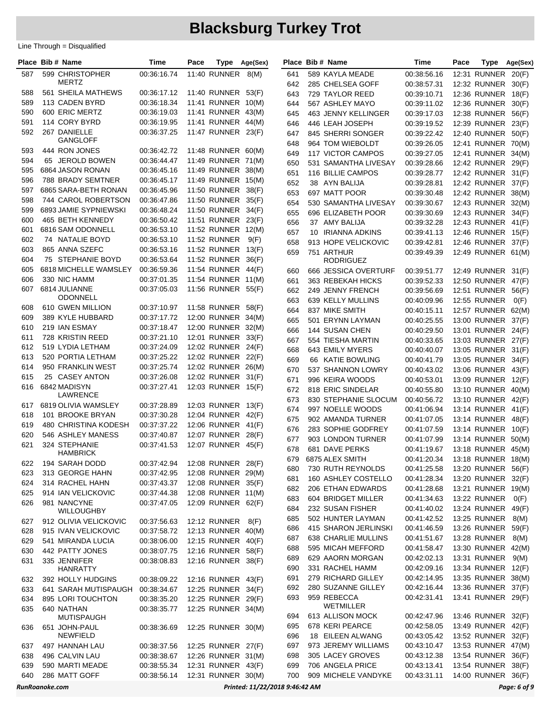|                | Place Bib # Name                          | Time                       | Pace | <b>Type</b>                              | Age(Sex)                       |            | Place Bib # Name                          | Time                       | Pace | <b>Type</b>                              | Age(Sex)     |
|----------------|-------------------------------------------|----------------------------|------|------------------------------------------|--------------------------------|------------|-------------------------------------------|----------------------------|------|------------------------------------------|--------------|
| 587            | 599 CHRISTOPHER                           | 00:36:16.74                |      | <b>11:40 RUNNER</b>                      | 8(M)                           | 641        | 589 KAYLA MEADE                           | 00:38:56.16                |      | 12:31 RUNNER                             | 20(F)        |
|                | <b>MERTZ</b>                              |                            |      |                                          |                                | 642        | 285 CHELSEA GOFF                          | 00:38:57.31                |      | 12:32 RUNNER                             | 30(F)        |
| 588            | 561 SHEILA MATHEWS                        | 00:36:17.12                |      | 11:40 RUNNER 53(F)                       |                                | 643        | 729 TAYLOR REED                           | 00:39:10.71                |      | <b>12:36 RUNNER</b>                      | 18(F)        |
| 589            | 113 CADEN BYRD                            | 00:36:18.34                |      | 11:41 RUNNER 10(M)                       |                                | 644        | 567 ASHLEY MAYO                           | 00:39:11.02                |      | <b>12:36 RUNNER</b>                      | 30(F)        |
| 590            | 600 ERIC MERTZ                            | 00:36:19.03                |      | 11:41 RUNNER 43(M)                       |                                | 645        | 463 JENNY KELLINGER                       | 00:39:17.03                |      | <b>12:38 RUNNER</b>                      | 56(F)        |
| 591            | 114 CORY BYRD                             | 00:36:19.95                |      | 11:41 RUNNER 44(M)                       |                                | 646        | 446 LEAH JOSEPH                           | 00:39:19.52                |      | 12:39 RUNNER                             | 23(F)        |
| 592            | 267 DANIELLE                              | 00:36:37.25                |      | 11:47 RUNNER 23(F)                       |                                | 647        | 845 SHERRI SONGER                         | 00:39:22.42                |      | 12:40 RUNNER                             | 50(F)        |
|                | <b>GANGLOFF</b>                           |                            |      |                                          |                                | 648        | 964 TOM WIEBOLDT                          | 00:39:26.05                |      | 12:41 RUNNER 70(M)                       |              |
| 593<br>594     | 444 RON JONES<br>65 JEROLD BOWEN          | 00:36:42.72<br>00:36:44.47 |      | 11:48 RUNNER 60(M)<br>11:49 RUNNER 71(M) |                                | 649        | 117 VICTOR CAMPOS                         | 00:39:27.05                |      | 12:41 RUNNER 34(M)                       |              |
| 595            | 6864 JASON RONAN                          | 00:36:45.16                |      | 11:49 RUNNER 38(M)                       |                                | 650        | 531 SAMANTHA LIVESAY                      | 00:39:28.66                |      | 12:42 RUNNER                             | 29(F)        |
| 596            | 788 BRADY SEMTNER                         | 00:36:45.17                |      | 11:49 RUNNER 15(M)                       |                                | 651        | 116 BILLIE CAMPOS                         | 00:39:28.77                |      | 12:42 RUNNER 31(F)                       |              |
| 597            | 6865 SARA-BETH RONAN                      | 00:36:45.96                |      | <b>11:50 RUNNER</b>                      | 38(F)                          | 652        | 38 AYN BALIJA                             | 00:39:28.81                |      | 12:42 RUNNER 37(F)                       |              |
| 598            | 744 CAROL ROBERTSON                       | 00:36:47.86                |      | 11:50 RUNNER 35(F)                       |                                | 653        | 697 MATT POOR                             | 00:39:30.48                |      | 12:42 RUNNER 38(M)                       |              |
| 599            | 6893 JAMIE SYPNIEWSKI                     | 00:36:48.24                |      | 11:50 RUNNER 34(F)                       |                                | 654        | 530 SAMANTHA LIVESAY                      | 00:39:30.67                |      | 12:43 RUNNER 32(M)                       |              |
| 600            | 465 BETH KENNEDY                          | 00:36:50.42                |      | 11:51 RUNNER 23(F)                       |                                | 655        | 696 ELIZABETH POOR                        | 00:39:30.69                |      | 12:43 RUNNER                             | 34(F)        |
| 601            | 6816 SAM ODONNELL                         | 00:36:53.10                |      | 11:52 RUNNER 12(M)                       |                                | 656        | 37 AMY BALIJA                             | 00:39:32.28                |      | 12:43 RUNNER 41(F)                       |              |
| 602            | 74 NATALIE BOYD                           | 00:36:53.10                |      | <b>11:52 RUNNER</b>                      | 9(F)                           | 657        | 10 IRIANNA ADKINS<br>913 HOPE VELICKOVIC  | 00:39:41.13<br>00:39:42.81 |      | 12:46 RUNNER 15(F)                       |              |
| 603            | 865 ANNA SZEFC                            | 00:36:53.16                |      | 11:52 RUNNER 13(F)                       |                                | 658<br>659 | 751 ARTHUR                                | 00:39:49.39                |      | 12:46 RUNNER 37(F)<br>12:49 RUNNER 61(M) |              |
| 604            | 75 STEPHANIE BOYD                         | 00:36:53.64                |      | <b>11:52 RUNNER</b>                      | 36(F)                          |            | <b>RODRIGUEZ</b>                          |                            |      |                                          |              |
| 605            | 6818 MICHELLE WAMSLEY                     | 00:36:59.36                |      | 11:54 RUNNER 44(F)                       |                                | 660        | 666 JESSICA OVERTURF                      | 00:39:51.77                |      | 12:49 RUNNER 31(F)                       |              |
| 606            | 330 NIC HAMM                              | 00:37:01.35                |      | 11:54 RUNNER 11(M)                       |                                | 661        | 363 REBEKAH HICKS                         | 00:39:52.33                |      | 12:50 RUNNER 47(F)                       |              |
| 607            | 6814 JULIANNE                             | 00:37:05.03                |      | 11:56 RUNNER 55(F)                       |                                | 662        | 249 JENNY FRENCH                          | 00:39:56.69                |      | <b>12:51 RUNNER</b>                      | 56(F)        |
|                | <b>ODONNELL</b>                           |                            |      |                                          |                                | 663        | 639 KELLY MULLINS                         | 00:40:09.96                |      | <b>12:55 RUNNER</b>                      | O(F)         |
| 608            | 610 GWEN MILLION                          | 00:37:10.97                |      | 11:58 RUNNER 58(F)                       |                                | 664        | 837 MIKE SMITH                            | 00:40:15.11                |      | 12:57 RUNNER 62(M)                       |              |
| 609            | 389 KYLE HUBBARD                          | 00:37:17.72                |      | 12:00 RUNNER 34(M)                       |                                | 665        | 501 ERYNN LAYMAN                          | 00:40:25.55                |      | 13:00 RUNNER                             | 37(F)        |
| 610            | 219 IAN ESMAY                             | 00:37:18.47                |      | 12:00 RUNNER 32(M)                       |                                | 666        | 144 SUSAN CHEN                            | 00:40:29.50                |      | 13:01 RUNNER                             | 24(F)        |
| 611            | 728 KRISTIN REED                          | 00:37:21.10                |      | 12:01 RUNNER                             | 33(F)                          | 667        | 554 TIESHA MARTIN                         | 00:40:33.65                |      | 13:03 RUNNER                             | 27(F)        |
| 612            | 519 LYDIA LETHAM                          | 00:37:24.09                |      | 12:02 RUNNER 24(F)                       |                                | 668        | 643 EMILY MYERS                           | 00:40:40.07                |      | 13:05 RUNNER 31(F)                       |              |
| 613            | 520 PORTIA LETHAM                         | 00:37:25.22                |      | 12:02 RUNNER 22(F)                       |                                | 669        | 66 KATIE BOWLING                          | 00:40:41.79                |      | 13:05 RUNNER                             | 34(F)        |
| 614            | 950 FRANKLIN WEST                         | 00:37:25.74                |      | 12:02 RUNNER 26(M)                       |                                | 670        | 537 SHANNON LOWRY                         | 00:40:43.02                |      | 13:06 RUNNER 43(F)                       |              |
| 615            | 25 CASEY ANTON                            | 00:37:26.08                |      | 12:02 RUNNER 31(F)                       |                                | 671        | 996 KEIRA WOODS                           | 00:40:53.01                |      | 13:09 RUNNER                             | 12(F)        |
| 616            | 6842 MADISYN<br>LAWRENCE                  | 00:37:27.41                |      | 12:03 RUNNER 15(F)                       |                                | 672        | 818 ERIC SINDELAR                         | 00:40:55.80                |      | 13:10 RUNNER 40(M)                       |              |
| 617            | 6819 OLIVIA WAMSLEY                       | 00:37:28.89                |      | 12:03 RUNNER 13(F)                       |                                | 673        | 830 STEPHANIE SLOCUM                      | 00:40:56.72                |      | 13:10 RUNNER 42(F)                       |              |
| 618            | 101 BROOKE BRYAN                          | 00:37:30.28                |      | 12:04 RUNNER 42(F)                       |                                | 674        | 997 NOELLE WOODS                          | 00:41:06.94                |      | 13:14 RUNNER 41(F)                       |              |
| 619            | 480 CHRISTINA KODESH                      | 00:37:37.22                |      | 12:06 RUNNER 41(F)                       |                                | 675        | 902 AMANDA TURNER                         | 00:41:07.05                |      | 13:14 RUNNER                             | 48(F)        |
| 620            | 546 ASHLEY MANESS                         | 00:37:40.87                |      | <b>12:07 RUNNER</b>                      | 28(F)                          | 676        | 283 SOPHIE GODFREY                        | 00:41:07.59                |      | 13:14 RUNNER 10(F)                       |              |
| 621            | 324 STEPHANIE                             | 00:37:41.53                |      | <b>12:07 RUNNER</b>                      | 45(F)                          | 677        | 903 LONDON TURNER                         | 00:41:07.99                |      | 13:14 RUNNER 50(M)                       |              |
|                | <b>HAMBRICK</b>                           |                            |      |                                          |                                | 678        | 681 DAVE PERKS                            | 00:41:19.67                |      | 13:18 RUNNER 45(M)                       |              |
| 622            | 194 SARAH DODD                            | 00:37:42.94                |      | 12:08 RUNNER 28(F)                       |                                | 679        | 6875 ALEX SMITH                           | 00:41:20.34                |      | 13:18 RUNNER 18(M)                       |              |
| 623            | 313 GEORGE HAHN                           | 00:37:42.95                |      | 12:08 RUNNER 29(M)                       |                                | 680        | 730 RUTH REYNOLDS                         | 00:41:25.58                |      | 13:20 RUNNER 56(F)                       |              |
| 624            | 314 RACHEL HAHN                           | 00:37:43.37                |      | 12:08 RUNNER 35(F)                       |                                | 681        | 160 ASHLEY COSTELLO                       | 00:41:28.34                |      | 13:20 RUNNER 32(F)                       |              |
| 625            | 914 IAN VELICKOVIC                        | 00:37:44.38                |      | 12:08 RUNNER 11(M)                       |                                | 682        | 206 ETHAN EDWARDS                         | 00:41:28.68                |      | 13:21 RUNNER 19(M)                       |              |
| 626            | 981 NANCYNE                               | 00:37:47.05                |      | 12:09 RUNNER 62(F)                       |                                | 683        | 604 BRIDGET MILLER                        | 00:41:34.63                |      | 13:22 RUNNER                             | O(F)         |
|                | <b>WILLOUGHBY</b>                         |                            |      |                                          |                                | 684        | 232 SUSAN FISHER                          | 00:41:40.02                |      | 13:24 RUNNER                             | 49(F)        |
| 627            | 912 OLIVIA VELICKOVIC                     | 00:37:56.63                |      | <b>12:12 RUNNER</b>                      | 8(F)                           | 685        | 502 HUNTER LAYMAN<br>415 SHARON JERLINSKI | 00:41:42.52                |      | 13:25 RUNNER 8(M)<br>13:26 RUNNER 59(F)  |              |
| 628            | 915 IVAN VELICKOVIC                       | 00:37:58.72                |      | 12:13 RUNNER 40(M)                       |                                | 686<br>687 | 638 CHARLIE MULLINS                       | 00:41:46.59<br>00:41:51.67 |      | 13:28 RUNNER 8(M)                        |              |
| 629            | 541 MIRANDA LUCIA                         | 00:38:06.00                |      | 12:15 RUNNER 40(F)                       |                                | 688        | 595 MICAH MEFFORD                         | 00:41:58.47                |      | 13:30 RUNNER 42(M)                       |              |
| 630            | 442 PATTY JONES                           | 00:38:07.75                |      | 12:16 RUNNER 58(F)                       |                                | 689        | 629 AAORN MORGAN                          | 00:42:02.13                |      | 13:31 RUNNER 9(M)                        |              |
| 631            | 335 JENNIFER                              | 00:38:08.83                |      | 12:16 RUNNER 38(F)                       |                                | 690        | 331 RACHEL HAMM                           | 00:42:09.16                |      | 13:34 RUNNER 12(F)                       |              |
|                | <b>HANRATTY</b>                           |                            |      |                                          |                                | 691        | 279 RICHARD GILLEY                        | 00:42:14.95                |      | 13:35 RUNNER 38(M)                       |              |
| 632            | 392 HOLLY HUDGINS                         | 00:38:09.22                |      | 12:16 RUNNER 43(F)                       |                                | 692        | 280 SUZANNE GILLEY                        | 00:42:16.44                |      | 13:36 RUNNER 37(F)                       |              |
| 633<br>634     | 641 SARAH MUTISPAUGH<br>895 LORI TOUCHTON | 00:38:34.67                |      | 12:25 RUNNER 34(F)<br>12:25 RUNNER 29(F) |                                | 693        | 959 REBECCA                               | 00:42:31.41                |      | 13:41 RUNNER 29(F)                       |              |
| 635            | 640 NATHAN                                | 00:38:35.20                |      |                                          |                                |            | WETMILLER                                 |                            |      |                                          |              |
|                | <b>MUTISPAUGH</b>                         | 00:38:35.77                |      | 12:25 RUNNER 34(M)                       |                                | 694        | 613 ALLISON MOCK                          | 00:42:47.96                |      | 13:46 RUNNER 32(F)                       |              |
| 636            | 651 JOHN-PAUL                             | 00:38:36.69                |      | 12:25 RUNNER 30(M)                       |                                | 695        | 678 KERI PEARCE                           | 00:42:58.05                |      | 13:49 RUNNER 42(F)                       |              |
|                | <b>NEWFIELD</b>                           |                            |      |                                          |                                | 696        | 18 EILEEN ALWANG                          | 00:43:05.42                |      | 13:52 RUNNER 32(F)                       |              |
| 637            | 497 HANNAH LAU                            | 00:38:37.56                |      | 12:25 RUNNER 27(F)                       |                                | 697        | 973 JEREMY WILLIAMS                       | 00:43:10.47                |      | 13:53 RUNNER 47(M)                       |              |
| 638            | 496 CALVIN LAU                            | 00:38:38.67                |      | 12:26 RUNNER 31(M)                       |                                | 698        | 305 LACEY GROVES                          | 00:43:12.38                |      | 13:54 RUNNER 36(F)                       |              |
| 639            | 590 MARTI MEADE                           | 00:38:55.34                |      | 12:31 RUNNER 43(F)                       |                                | 699        | 706 ANGELA PRICE                          | 00:43:13.41                |      | 13:54 RUNNER 38(F)                       |              |
| 640            | 286 MATT GOFF                             | 00:38:56.14                |      | 12:31 RUNNER 30(M)                       |                                | 700        | 909 MICHELE VANDYKE                       | 00:43:31.11                |      | 14:00 RUNNER 36(F)                       |              |
| RunRoanoke.com |                                           |                            |      |                                          | Printed: 11/22/2018 9:46:42 AM |            |                                           |                            |      |                                          | Page: 6 of 9 |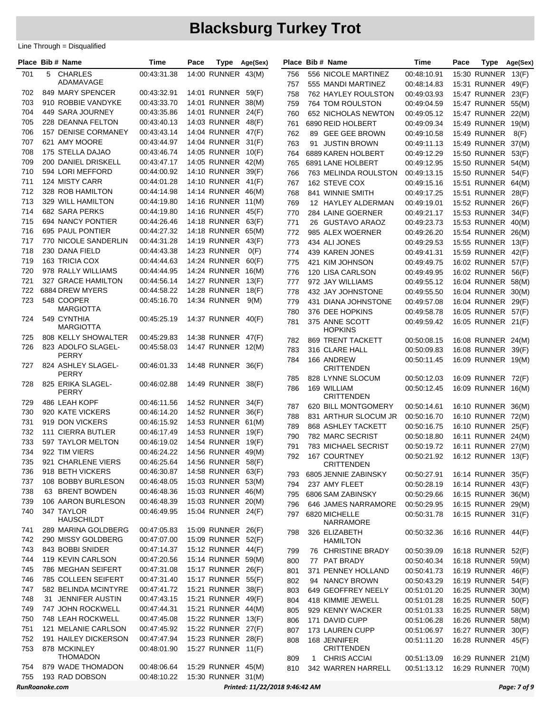|                | Place Bib # Name                            | Time        | Pace | Type                                     | Age(Sex)                       |     | Place Bib # Name           | Time        | Pace | Type                | Age(Sex)     |
|----------------|---------------------------------------------|-------------|------|------------------------------------------|--------------------------------|-----|----------------------------|-------------|------|---------------------|--------------|
| 701            | 5 CHARLES                                   | 00:43:31.38 |      | 14:00 RUNNER 43(M)                       |                                | 756 | 556 NICOLE MARTINEZ        | 00:48:10.91 |      | 15:30 RUNNER 13(F)  |              |
|                | ADAMAVAGE                                   |             |      |                                          |                                | 757 | 555 MANDI MARTINEZ         | 00:48:14.83 |      | <b>15:31 RUNNER</b> | 49(F)        |
| 702            | 849 MARY SPENCER                            | 00:43:32.91 |      | 14:01 RUNNER 59(F)                       |                                | 758 | 762 HAYLEY ROULSTON        | 00:49:03.93 |      | 15:47 RUNNER        | 23(F)        |
| 703            | 910 ROBBIE VANDYKE                          | 00:43:33.70 |      | 14:01 RUNNER 38(M)                       |                                | 759 | 764 TOM ROULSTON           | 00:49:04.59 |      | 15:47 RUNNER 55(M)  |              |
| 704            | 449 SARA JOURNEY                            | 00:43:35.86 |      | 14:01 RUNNER 24(F)                       |                                | 760 | <b>652 NICHOLAS NEWTON</b> | 00:49:05.12 |      | 15:47 RUNNER 22(M)  |              |
| 705            | 228 DEANNA FELTON                           | 00:43:40.13 |      | 14:03 RUNNER 48(F)                       |                                | 761 | 6890 REID HOLBERT          | 00:49:09.34 |      | 15:49 RUNNER 19(M)  |              |
| 706            | 157 DENISE CORMANEY                         | 00:43:43.14 |      | 14:04 RUNNER 47(F)                       |                                | 762 | 89 GEE GEE BROWN           | 00:49:10.58 |      | <b>15:49 RUNNER</b> | 8(F)         |
| 707            | 621 AMY MOORE                               | 00:43:44.97 |      | 14:04 RUNNER 31(F)                       |                                | 763 | 91 JUSTIN BROWN            | 00:49:11.13 |      | 15:49 RUNNER 37(M)  |              |
| 708            | 175 STELLA DAJAO                            | 00:43:46.74 |      | 14:05 RUNNER 10(F)                       |                                | 764 | 6889 KAREN HOLBERT         | 00:49:12.29 |      | 15:50 RUNNER 53(F)  |              |
| 709            | 200 DANIEL DRISKELL                         | 00:43:47.17 |      | 14:05 RUNNER 42(M)                       |                                | 765 | 6891 LANE HOLBERT          | 00:49:12.95 |      | 15:50 RUNNER 54(M)  |              |
| 710            | 594 LORI MEFFORD                            | 00:44:00.92 |      | 14:10 RUNNER 39(F)                       |                                | 766 | 763 MELINDA ROULSTON       | 00:49:13.15 |      | 15:50 RUNNER 54(F)  |              |
| 711            | 124 MISTY CARR                              | 00:44:01.28 |      | 14:10 RUNNER 41(F)                       |                                | 767 | 162 STEVE COX              | 00:49:15.16 |      | 15:51 RUNNER 64(M)  |              |
| 712            | 328 ROB HAMILTON                            | 00:44:14.98 |      | 14:14 RUNNER 46(M)                       |                                | 768 | 841 WINNIE SMITH           | 00:49:17.25 |      | 15:51 RUNNER 28(F)  |              |
| 713            | 329 WILL HAMILTON                           | 00:44:19.80 |      | 14:16 RUNNER 11(M)                       |                                | 769 | 12 HAYLEY ALDERMAN         | 00:49:19.01 |      | 15:52 RUNNER        | 26(F)        |
| 714            | 682 SARA PERKS                              | 00:44:19.80 |      | 14:16 RUNNER 45(F)                       |                                | 770 | 284 LAINE GOERNER          | 00:49:21.17 |      | 15:53 RUNNER 34(F)  |              |
| 715            | 694 NANCY PONTIER                           | 00:44:26.46 |      | 14:18 RUNNER 63(F)                       |                                | 771 | 26 GUSTAVO ARAOZ           | 00:49:23.73 |      | 15:53 RUNNER 40(M)  |              |
| 716            | 695 PAUL PONTIER                            | 00:44:27.32 |      | 14:18 RUNNER 65(M)                       |                                | 772 | 985 ALEX WOERNER           | 00:49:26.20 |      | 15:54 RUNNER 26(M)  |              |
| 717            | 770 NICOLE SANDERLIN                        | 00:44:31.28 |      | 14:19 RUNNER 43(F)                       |                                | 773 | 434 ALI JONES              | 00:49:29.53 |      | 15:55 RUNNER 13(F)  |              |
| 718            | 230 DANA FIELD                              | 00:44:43.38 |      | <b>14:23 RUNNER</b>                      | O(F)                           | 774 | 439 KAREN JONES            | 00:49:41.31 |      | 15:59 RUNNER 42(F)  |              |
| 719            | 163 TRICIA COX                              | 00:44:44.63 |      | 14:24 RUNNER 60(F)                       |                                | 775 | 421 KIM JOHNSON            | 00:49:49.75 |      | 16:02 RUNNER 57(F)  |              |
| 720            | 978 RALLY WILLIAMS                          | 00:44:44.95 |      | 14:24 RUNNER 16(M)                       |                                | 776 | 120 LISA CARLSON           | 00:49:49.95 |      | 16:02 RUNNER 56(F)  |              |
| 721            | 327 GRACE HAMILTON                          | 00:44:56.14 |      | 14:27 RUNNER 13(F)                       |                                | 777 | 972 JAY WILLIAMS           | 00:49:55.12 |      | 16:04 RUNNER 58(M)  |              |
| 722            | 6884 DREW MYERS                             | 00:44:58.22 |      | 14:28 RUNNER 18(F)                       |                                | 778 | 432 JAY JOHNSTONE          | 00:49:55.50 |      | 16:04 RUNNER 30(M)  |              |
| 723            | 548 COOPER                                  | 00:45:16.70 |      | 14:34 RUNNER                             | 9(M)                           | 779 | 431 DIANA JOHNSTONE        | 00:49:57.08 |      | 16:04 RUNNER 29(F)  |              |
|                | <b>MARGIOTTA</b>                            |             |      |                                          |                                | 780 | 376 DEE HOPKINS            | 00:49:58.78 |      | 16:05 RUNNER 57(F)  |              |
| 724            | 549 CYNTHIA                                 | 00:45:25.19 |      | 14:37 RUNNER                             | 40(F)                          | 781 | 375 ANNE SCOTT             | 00:49:59.42 |      | 16:05 RUNNER 21(F)  |              |
|                | <b>MARGIOTTA</b>                            |             |      |                                          |                                |     | <b>HOPKINS</b>             |             |      |                     |              |
| 725            | 808 KELLY SHOWALTER                         | 00:45:29.83 |      | 14:38 RUNNER 47(F)                       |                                | 782 | 869 TRENT TACKETT          | 00:50:08.15 |      | 16:08 RUNNER 24(M)  |              |
| 726            | 823 ADOLFO SLAGEL-                          | 00:45:58.03 |      | 14:47 RUNNER 12(M)                       |                                | 783 | 316 CLARE HALL             | 00:50:09.83 |      | 16:08 RUNNER 39(F)  |              |
|                | PERRY                                       |             |      |                                          |                                | 784 | 166 ANDREW                 | 00:50:11.45 |      | 16:09 RUNNER 19(M)  |              |
| 727            | 824 ASHLEY SLAGEL-                          | 00:46:01.33 |      | 14:48 RUNNER 36(F)                       |                                |     | CRITTENDEN                 |             |      |                     |              |
|                | PERRY                                       |             |      |                                          |                                | 785 | 828 LYNNE SLOCUM           | 00:50:12.03 |      | 16:09 RUNNER 72(F)  |              |
| 728            | 825 ERIKA SLAGEL-<br>PERRY                  | 00:46:02.88 |      | 14:49 RUNNER 38(F)                       |                                | 786 | 169 WILLIAM                | 00:50:12.45 |      | 16:09 RUNNER 16(M)  |              |
| 729            | 486 LEAH KOPF                               | 00:46:11.56 |      |                                          |                                |     | <b>CRITTENDEN</b>          |             |      |                     |              |
| 730            | 920 KATE VICKERS                            | 00:46:14.20 |      | 14:52 RUNNER 34(F)<br>14:52 RUNNER 36(F) |                                | 787 | 620 BILL MONTGOMERY        | 00:50:14.61 |      | 16:10 RUNNER 36(M)  |              |
| 731            | 919 DON VICKERS                             | 00:46:15.92 |      | 14:53 RUNNER 61(M)                       |                                | 788 | 831 ARTHUR SLOCUM JR       | 00:50:16.70 |      | 16:10 RUNNER 72(M)  |              |
|                | 111 CIERRA BUTLER                           |             |      | 14:53 RUNNER 19(F)                       |                                | 789 | 868 ASHLEY TACKETT         | 00:50:16.75 |      | 16:10 RUNNER 25(F)  |              |
| 732<br>733     | 597 TAYLOR MELTON                           | 00:46:17.49 |      | 14:54 RUNNER 19(F)                       |                                | 790 | 782 MARC SECRIST           | 00:50:18.80 |      | 16:11 RUNNER 24(M)  |              |
|                | 922 TIM VIERS                               | 00:46:19.02 |      |                                          |                                | 791 | <b>783 MICHAEL SECRIST</b> | 00:50:19.72 |      | 16:11 RUNNER 27(M)  |              |
| 734<br>735     |                                             | 00:46:24.22 |      | 14:56 RUNNER 49(M)<br>14:56 RUNNER 58(F) |                                | 792 | <b>167 COURTNEY</b>        | 00:50:21.92 |      | 16:12 RUNNER 13(F)  |              |
|                | 921 CHARLENE VIERS                          | 00:46:25.64 |      |                                          |                                |     | <b>CRITTENDEN</b>          |             |      |                     |              |
| 736            | 918 BETH VICKERS                            | 00:46:30.87 |      | 14:58 RUNNER 63(F)                       |                                | 793 | 6805 JENNIE ZABINSKY       | 00:50:27.91 |      | 16:14 RUNNER 35(F)  |              |
| 737            | 108 BOBBY BURLESON                          | 00:46:48.05 |      | 15:03 RUNNER 53(M)                       |                                | 794 | 237 AMY FLEET              | 00:50:28.19 |      | 16:14 RUNNER 43(F)  |              |
| 738            | 63 BRENT BOWDEN                             | 00:46:48.36 |      | 15:03 RUNNER 46(M)                       |                                | 795 | 6806 SAM ZABINSKY          | 00:50:29.66 |      | 16:15 RUNNER 36(M)  |              |
| 739            | 106 AARON BURLESON                          | 00:46:48.39 |      | 15:03 RUNNER 20(M)                       |                                | 796 | 646 JAMES NARRAMORE        | 00:50:29.95 |      | 16:15 RUNNER 29(M)  |              |
| 740            | 347 TAYLOR<br><b>HAUSCHILDT</b>             | 00:46:49.95 |      | 15:04 RUNNER 24(F)                       |                                | 797 | 6820 MICHELLE              | 00:50:31.78 |      | 16:15 RUNNER 31(F)  |              |
| 741            | 289 MARINA GOLDBERG                         | 00:47:05.83 |      | 15:09 RUNNER 26(F)                       |                                |     | NARRAMORE                  |             |      |                     |              |
| 742            | 290 MISSY GOLDBERG                          | 00:47:07.00 |      | 15:09 RUNNER 52(F)                       |                                | 798 | 326 ELIZABETH              | 00:50:32.36 |      | 16:16 RUNNER 44(F)  |              |
| 743            | 843 BOBBI SNIDER                            | 00:47:14.37 |      | 15:12 RUNNER 44(F)                       |                                |     | <b>HAMILTON</b>            |             |      |                     |              |
| 744            | 119 KEVIN CARLSON                           | 00:47:20.56 |      | 15:14 RUNNER 59(M)                       |                                | 799 | 76 CHRISTINE BRADY         | 00:50:39.09 |      | 16:18 RUNNER 52(F)  |              |
| 745            | 786 MEGHAN SEIFERT                          | 00:47:31.08 |      | 15:17 RUNNER 26(F)                       |                                | 800 | 77 PAT BRADY               | 00:50:40.34 |      | 16:18 RUNNER 59(M)  |              |
| 746            | 785 COLLEEN SEIFERT                         | 00:47:31.40 |      | 15:17 RUNNER 55(F)                       |                                | 801 | 371 PENNEY HOLLAND         | 00:50:41.73 |      | 16:19 RUNNER 46(F)  |              |
| 747            | 582 BELINDA MCINTYRE                        | 00:47:41.72 |      | 15:21 RUNNER 38(F)                       |                                | 802 | 94 NANCY BROWN             | 00:50:43.29 |      | 16:19 RUNNER 54(F)  |              |
| 748            | 31 JENNIFER AUSTIN                          | 00:47:43.15 |      | 15:21 RUNNER 49(F)                       |                                | 803 | 649 GEOFFREY NEELY         | 00:51:01.20 |      | 16:25 RUNNER 30(M)  |              |
| 749            | 747 JOHN ROCKWELL                           | 00:47:44.31 |      | 15:21 RUNNER 44(M)                       |                                | 804 | 418 KIMMIE JEWELL          | 00:51:01.28 |      | 16:25 RUNNER 50(F)  |              |
| 750            | 748 LEAH ROCKWELL                           |             |      | 15:22 RUNNER 13(F)                       |                                | 805 | 929 KENNY WACKER           | 00:51:01.33 |      | 16:25 RUNNER 58(M)  |              |
|                |                                             | 00:47:45.08 |      |                                          |                                | 806 | 171 DAVID CUPP             | 00:51:06.28 |      | 16:26 RUNNER 58(M)  |              |
| 751            | 121 MELANIE CARLSON<br>191 HAILEY DICKERSON | 00:47:45.92 |      | 15:22 RUNNER 27(F)<br>15:23 RUNNER 28(F) |                                | 807 | 173 LAUREN CUPP            | 00:51:06.97 |      | 16:27 RUNNER 30(F)  |              |
| 752<br>753     | 878 MCKINLEY                                | 00:47:47.94 |      | 15:27 RUNNER 11(F)                       |                                | 808 | 168 JENNIFER<br>CRITTENDEN | 00:51:11.20 |      | 16:28 RUNNER 45(F)  |              |
|                | THOMADON                                    | 00:48:01.90 |      |                                          |                                | 809 | 1 CHRIS ACCIAI             | 00:51:13.09 |      | 16:29 RUNNER 21(M)  |              |
| 754            | 879 WADE THOMADON                           | 00:48:06.64 |      | 15:29 RUNNER 45(M)                       |                                | 810 | 342 WARREN HARRELL         | 00:51:13.12 |      | 16:29 RUNNER 70(M)  |              |
| 755            | 193 RAD DOBSON                              | 00:48:10.22 |      | 15:30 RUNNER 31(M)                       |                                |     |                            |             |      |                     |              |
| RunRoanoke.com |                                             |             |      |                                          | Printed: 11/22/2018 9:46:42 AM |     |                            |             |      |                     | Page: 7 of 9 |
|                |                                             |             |      |                                          |                                |     |                            |             |      |                     |              |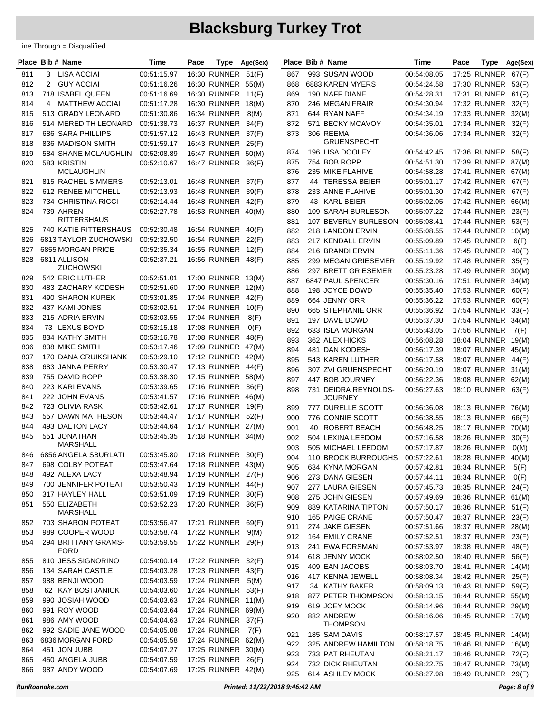|            | Place Bib # Name                               | Time                       | Pace | Type                                | Age(Sex) |            | Place Bib # Name                   | Time                       | Pace | <b>Type</b>                               | Age(Sex) |
|------------|------------------------------------------------|----------------------------|------|-------------------------------------|----------|------------|------------------------------------|----------------------------|------|-------------------------------------------|----------|
| 811        | 3 LISA ACCIAI                                  | 00:51:15.97                |      | 16:30 RUNNER                        | 51(F)    | 867        | 993 SUSAN WOOD                     | 00:54:08.05                |      | 17:25 RUNNER 67(F)                        |          |
| 812        | <b>GUY ACCIAI</b><br>2                         | 00:51:16.26                |      | 16:30 RUNNER 55(M)                  |          | 868        | 6883 KAREN MYERS                   | 00:54:24.58                |      | 17:30 RUNNER 53(F)                        |          |
| 813        | 718 ISABEL QUEEN                               | 00:51:16.69                |      | 16:30 RUNNER                        | 11(F)    | 869        | 190 NAFF DIANE                     | 00:54:28.31                |      | 17:31 RUNNER 61(F)                        |          |
| 814        | 4 MATTHEW ACCIAI                               | 00:51:17.28                |      | 16:30 RUNNER 18(M)                  |          | 870        | 246 MEGAN FRAIR                    | 00:54:30.94                |      | 17:32 RUNNER                              | 32(F)    |
| 815        | 513 GRADY LEONARD                              | 00:51:30.86                |      | 16:34 RUNNER                        | 8(M)     | 871        | 644 RYAN NAFF                      | 00:54:34.19                |      | 17:33 RUNNER 32(M)                        |          |
| 816        | 514 MEREDITH LEONARD                           | 00:51:38.73                |      | 16:37 RUNNER                        | 34(F)    | 872        | 571 BECKY MCAVOY                   | 00:54:35.01                |      | <b>17:34 RUNNER</b>                       | 32(F)    |
| 817        | 686 SARA PHILLIPS                              | 00:51:57.12                |      | 16:43 RUNNER                        | 37(F)    | 873        | 306 REEMA                          | 00:54:36.06                |      | 17:34 RUNNER 32(F)                        |          |
| 818        | 836 MADISON SMITH                              | 00:51:59.17                |      | 16:43 RUNNER                        | 25(F)    |            | <b>GRUENSPECHT</b>                 |                            |      |                                           |          |
| 819        | 584 SHANE MCLAUGHLIN                           | 00:52:08.89                |      | 16:47 RUNNER 50(M)                  |          | 874        | 196 LISA DOOLEY                    | 00:54:42.45                |      | 17:36 RUNNER                              | 58(F)    |
| 820        | 583 KRISTIN                                    | 00:52:10.67                |      | 16:47 RUNNER                        | 36(F)    | 875        | 754 BOB ROPP                       | 00:54:51.30                |      | 17:39 RUNNER 87(M)                        |          |
|            | MCLAUGHLIN                                     |                            |      |                                     |          | 876        | 235 MIKE FLAHIVE                   | 00:54:58.28                |      | 17:41 RUNNER 67(M)                        |          |
| 821        | 815 RACHEL SIMMERS                             | 00:52:13.01                |      | 16:48 RUNNER                        | 37(F)    | 877        | 44 TERESSA BEIER                   | 00:55:01.17                |      | 17:42 RUNNER 67(F)                        |          |
| 822        | 612 RENEE MITCHELL                             | 00:52:13.93                |      | 16:48 RUNNER                        | 39(F)    | 878        | 233 ANNE FLAHIVE                   | 00:55:01.30                |      | 17:42 RUNNER 67(F)                        |          |
| 823        | 734 CHRISTINA RICCI                            | 00:52:14.44                |      | <b>16:48 RUNNER</b>                 | 42(F)    | 879        | 43 KARL BEIER                      | 00:55:02.05                |      | 17:42 RUNNER 66(M)                        |          |
| 824        | 739 AHREN                                      | 00:52:27.78                |      | 16:53 RUNNER 40(M)                  |          | 880        | 109 SARAH BURLESON                 | 00:55:07.22                |      | 17:44 RUNNER                              | 23(F)    |
|            | <b>RITTERSHAUS</b>                             |                            |      |                                     |          | 881        | 107 BEVERLY BURLESON               | 00:55:08.41                |      | 17:44 RUNNER 53(F)                        |          |
| 825        | 740 KATIE RITTERSHAUS<br>6813 TAYLOR ZUCHOWSKI | 00:52:30.48                |      | 16:54 RUNNER<br><b>16:54 RUNNER</b> | 40(F)    | 882        | 218 LANDON ERVIN                   | 00:55:08.55                |      | 17:44 RUNNER 10(M)                        |          |
| 826        | 6855 MORGAN PRICE                              | 00:52:32.50                |      | <b>16:55 RUNNER</b>                 | 22(F)    | 883        | 217 KENDALL ERVIN                  | 00:55:09.89                |      | <b>17:45 RUNNER</b>                       | 6(F)     |
| 827<br>828 | 6811 ALLISON                                   | 00:52:35.34<br>00:52:37.21 |      | 16:56 RUNNER                        | 12(F)    | 884        | 216 BRANDI ERVIN                   | 00:55:11.36                |      | 17:45 RUNNER                              | 40(F)    |
|            | ZUCHOWSKI                                      |                            |      |                                     | 48(F)    | 885        | 299 MEGAN GRIESEMER                | 00:55:19.92                |      | 17:48 RUNNER                              | 35(F)    |
| 829        | 542 ERIC LUTHER                                | 00:52:51.01                |      | 17:00 RUNNER 13(M)                  |          | 886        | 297 BRETT GRIESEMER                | 00:55:23.28                |      | 17:49 RUNNER 30(M)                        |          |
| 830        | 483 ZACHARY KODESH                             | 00:52:51.60                |      | 17:00 RUNNER 12(M)                  |          | 887        | 6847 PAUL SPENCER                  | 00:55:30.16                |      | 17:51 RUNNER 34(M)                        |          |
| 831        | <b>490 SHARON KUREK</b>                        | 00:53:01.85                |      | 17:04 RUNNER                        | 42(F)    | 888        | 198 JOYCE DOWD                     | 00:55:35.40                |      | 17:53 RUNNER 60(F)                        |          |
| 832        | 437 KAMI JONES                                 | 00:53:02.51                |      | 17:04 RUNNER                        | 10(F)    | 889        | 664 JENNY ORR                      | 00:55:36.22                |      | 17:53 RUNNER 60(F)                        |          |
| 833        | 215 ADRIA ERVIN                                | 00:53:03.55                |      | 17:04 RUNNER                        | 8(F)     | 890        | 665 STEPHANIE ORR                  | 00:55:36.92                |      | 17:54 RUNNER 33(F)                        |          |
| 834        | 73 LEXUS BOYD                                  | 00:53:15.18                |      | <b>17:08 RUNNER</b>                 | O(F)     | 891        | 197 DAVE DOWD                      | 00:55:37.30                |      | 17:54 RUNNER 34(M)                        |          |
| 835        | 834 KATHY SMITH                                | 00:53:16.78                |      | 17:08 RUNNER                        | 48(F)    | 892<br>893 | 633 ISLA MORGAN<br>362 ALEX HICKS  | 00:55:43.05                |      | <b>17:56 RUNNER</b><br>18:04 RUNNER 19(M) | 7(F)     |
| 836        | 838 MIKE SMITH                                 | 00:53:17.46                |      | 17:09 RUNNER 47(M)                  |          | 894        |                                    | 00:56:08.28                |      |                                           |          |
| 837        | 170 DANA CRUIKSHANK                            | 00:53:29.10                |      | 17:12 RUNNER 42(M)                  |          | 895        | 481 DAN KODESH<br>543 KAREN LUTHER | 00:56:17.39                |      | 18:07 RUNNER 45(M)<br>18:07 RUNNER 44(F)  |          |
| 838        | 683 JANNA PERRY                                | 00:53:30.47                |      | 17:13 RUNNER                        | 44(F)    | 896        | 307 ZVI GRUENSPECHT                | 00:56:17.58<br>00:56:20.19 |      | 18:07 RUNNER 31(M)                        |          |
| 839        | 755 DAVID ROPP                                 | 00:53:38.30                |      | 17:15 RUNNER                        | 58(M)    | 897        | 447 BOB JOURNEY                    | 00:56:22.36                |      | 18:08 RUNNER 62(M)                        |          |
| 840        | 223 KARI EVANS                                 | 00:53:39.65                |      | <b>17:16 RUNNER</b>                 | 36(F)    | 898        | 731 DEIDRA REYNOLDS-               | 00:56:27.63                |      | 18:10 RUNNER 63(F)                        |          |
| 841        | 222 JOHN EVANS                                 | 00:53:41.57                |      | 17:16 RUNNER 46(M)                  |          |            | <b>JOURNEY</b>                     |                            |      |                                           |          |
| 842        | 723 OLIVIA RASK                                | 00:53:42.61                |      | 17:17 RUNNER                        | 19(F)    | 899        | 777 DURELLE SCOTT                  | 00:56:36.08                |      | 18:13 RUNNER 76(M)                        |          |
| 843        | 557 DAWN MATHESON                              | 00:53:44.47                |      | 17:17 RUNNER                        | 52(F)    | 900        | 776 CONNIE SCOTT                   | 00:56:38.55                |      | 18:13 RUNNER 66(F)                        |          |
| 844        | 493 DALTON LACY                                | 00:53:44.64                |      | 17:17 RUNNER 27(M)                  |          | 901        | 40 ROBERT BEACH                    | 00:56:48.25                |      | 18:17 RUNNER 70(M)                        |          |
| 845        | 551 JONATHAN                                   | 00:53:45.35                |      | 17:18 RUNNER 34(M)                  |          | 902        | 504 LEXINA LEEDOM                  | 00:57:16.58                |      | 18:26 RUNNER                              | 30(F)    |
|            | MARSHALL                                       |                            |      |                                     |          | 903        | 505 MICHAEL LEEDOM                 | 00:57:17.87                |      | <b>18:26 RUNNER</b>                       | O(M)     |
| 846        | 6856 ANGELA SBURLATI                           | 00:53:45.80                |      | 17:18 RUNNER 30(F)                  |          | 904        | 110 BROCK BURROUGHS                | 00:57:22.61                |      | 18:28 RUNNER 40(M)                        |          |
| 847        | 698 COLBY POTEAT                               | 00:53:47.64                |      | 17:18 RUNNER 43(M)                  |          | 905        | 634 KYNA MORGAN                    | 00:57:42.81                |      | 18:34 RUNNER                              | 5(F)     |
| 848        | 492 ALEXA LACY                                 | 00:53:48.94                |      | 17:19 RUNNER 27(F)                  |          | 906        | 273 DANA GIESEN                    | 00:57:44.11                |      | 18:34 RUNNER                              | O(F)     |
| 849        | 700 JENNIFER POTEAT                            | 00:53:50.43                |      | 17:19 RUNNER                        | 44(F)    | 907        | 277 LAURA GIESEN                   | 00:57:45.73                |      | 18:35 RUNNER 24(F)                        |          |
| 850        | 317 HAYLEY HALL                                | 00:53:51.09                |      | 17:19 RUNNER 30(F)                  |          | 908        | 275 JOHN GIESEN                    | 00:57:49.69                |      | 18:36 RUNNER 61(M)                        |          |
| 851        | 550 ELIZABETH                                  | 00:53:52.23                |      | 17:20 RUNNER 36(F)                  |          | 909        | 889 KATARINA TIPTON                | 00:57:50.17                |      | 18:36 RUNNER 51(F)                        |          |
|            | MARSHALL                                       |                            |      |                                     |          | 910        | 165 PAIGE CRANE                    | 00:57:50.47                |      | 18:37 RUNNER 23(F)                        |          |
| 852        | 703 SHARON POTEAT                              | 00:53:56.47                |      | 17:21 RUNNER 69(F)                  |          | 911        | 274 JAKE GIESEN                    | 00:57:51.66                |      | 18:37 RUNNER 28(M)                        |          |
| 853        | 989 COOPER WOOD                                | 00:53:58.74                |      | 17:22 RUNNER                        | 9(M)     | 912        | 164 EMILY CRANE                    | 00:57:52.51                |      | 18:37 RUNNER 23(F)                        |          |
| 854        | 294 BRITTANY GRAMS-<br><b>FORD</b>             | 00:53:59.55                |      | 17:22 RUNNER 29(F)                  |          | 913        | 241 EWA FORSMAN                    | 00:57:53.97                |      | 18:38 RUNNER 48(F)                        |          |
| 855        | 810 JESS SIGNORINO                             | 00:54:00.14                |      | 17:22 RUNNER 32(F)                  |          | 914        | 618 JENNY MOCK                     | 00:58:02.50                |      | 18:40 RUNNER 56(F)                        |          |
| 856        | 134 SARAH CASTLE                               | 00:54:03.28                |      | 17:23 RUNNER                        | 43(F)    | 915        | 409 EAN JACOBS                     | 00:58:03.70                |      | 18:41 RUNNER 14(M)                        |          |
| 857        | 988 BENJI WOOD                                 | 00:54:03.59                |      | 17:24 RUNNER                        | 5(M)     | 916        | 417 KENNA JEWELL                   | 00:58:08.34                |      | 18:42 RUNNER 25(F)                        |          |
| 858        | 62 KAY BOSTJANICK                              | 00:54:03.60                |      | 17:24 RUNNER 53(F)                  |          | 917        | 34 KATHY BAKER                     | 00:58:09.13                |      | 18:43 RUNNER 59(F)                        |          |
| 859        | 990 JOSIAH WOOD                                | 00:54:03.63                |      | 17:24 RUNNER 11(M)                  |          | 918        | 877 PETER THIOMPSON                | 00:58:13.15                |      | 18:44 RUNNER 55(M)                        |          |
| 860        | 991 ROY WOOD                                   | 00:54:03.64                |      | 17:24 RUNNER 69(M)                  |          | 919        | 619 JOEY MOCK                      | 00:58:14.96                |      | 18:44 RUNNER 29(M)                        |          |
| 861        | 986 AMY WOOD                                   | 00:54:04.63                |      | 17:24 RUNNER 37(F)                  |          | 920        | 882 ANDREW                         | 00:58:16.06                |      | 18:45 RUNNER 17(M)                        |          |
| 862        | 992 SADIE JANE WOOD                            | 00:54:05.08                |      | 17:24 RUNNER                        | 7(F)     |            | <b>THOMPSON</b>                    |                            |      |                                           |          |
| 863        | 6836 MORGAN FORD                               | 00:54:05.58                |      | 17:24 RUNNER 62(M)                  |          | 921        | 185 SAM DAVIS                      | 00:58:17.57                |      | 18:45 RUNNER 14(M)                        |          |
| 864        | 451 JON JUBB                                   | 00:54:07.27                |      | 17:25 RUNNER 30(M)                  |          | 922        | 325 ANDREW HAMILTON                | 00:58:18.75                |      | 18:46 RUNNER 16(M)                        |          |
| 865        | 450 ANGELA JUBB                                | 00:54:07.59                |      | 17:25 RUNNER                        | 26(F)    | 923        | 733 PAT RHEUTAN                    | 00:58:21.17                |      | 18:46 RUNNER 72(F)                        |          |
| 866        | 987 ANDY WOOD                                  | 00:54:07.69                |      | 17:25 RUNNER 42(M)                  |          | 924        | 732 DICK RHEUTAN                   | 00:58:22.75                |      | 18:47 RUNNER 73(M)                        |          |
|            |                                                |                            |      |                                     |          | 925        | 614 ASHLEY MOCK                    | 00:58:27.98                |      | 18:49 RUNNER 29(F)                        |          |